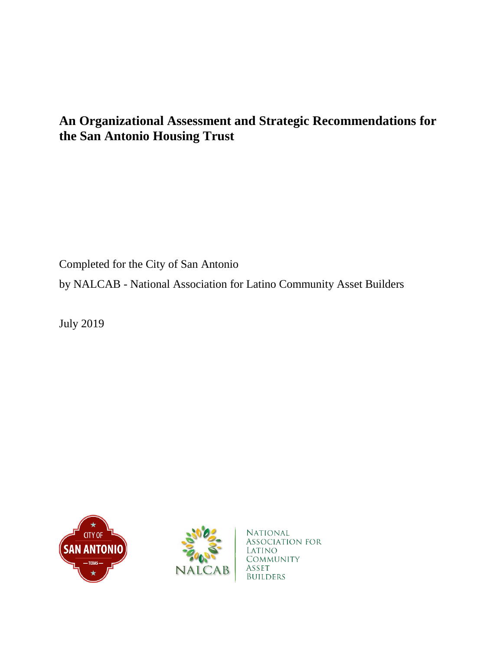# **An Organizational Assessment and Strategic Recommendations for the San Antonio Housing Trust**

Completed for the City of San Antonio by NALCAB - National Association for Latino Community Asset Builders

July 2019





National ASSOCIATION FOR Latino **COMMUNITY** ASSET **BUILDERS**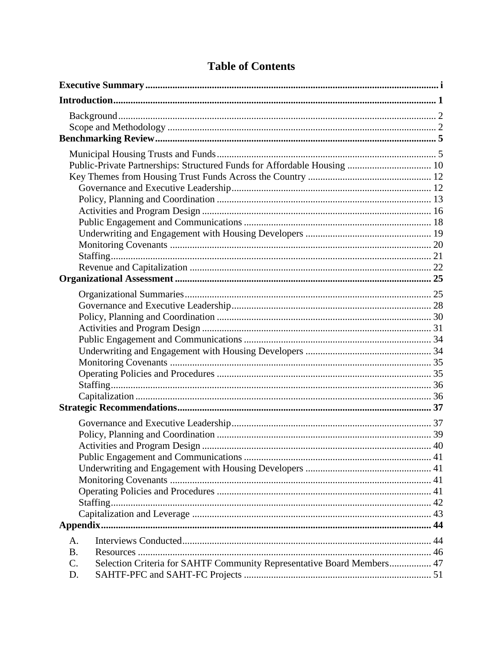| Public-Private Partnerships: Structured Funds for Affordable Housing  10                  |  |
|-------------------------------------------------------------------------------------------|--|
|                                                                                           |  |
|                                                                                           |  |
|                                                                                           |  |
|                                                                                           |  |
|                                                                                           |  |
|                                                                                           |  |
|                                                                                           |  |
|                                                                                           |  |
|                                                                                           |  |
|                                                                                           |  |
|                                                                                           |  |
|                                                                                           |  |
|                                                                                           |  |
|                                                                                           |  |
|                                                                                           |  |
|                                                                                           |  |
|                                                                                           |  |
|                                                                                           |  |
|                                                                                           |  |
|                                                                                           |  |
|                                                                                           |  |
|                                                                                           |  |
|                                                                                           |  |
|                                                                                           |  |
|                                                                                           |  |
|                                                                                           |  |
|                                                                                           |  |
|                                                                                           |  |
|                                                                                           |  |
|                                                                                           |  |
|                                                                                           |  |
| A.                                                                                        |  |
| <b>B.</b>                                                                                 |  |
| Selection Criteria for SAHTF Community Representative Board Members 47<br>$\mathcal{C}$ . |  |
| D.                                                                                        |  |
|                                                                                           |  |

# **Table of Contents**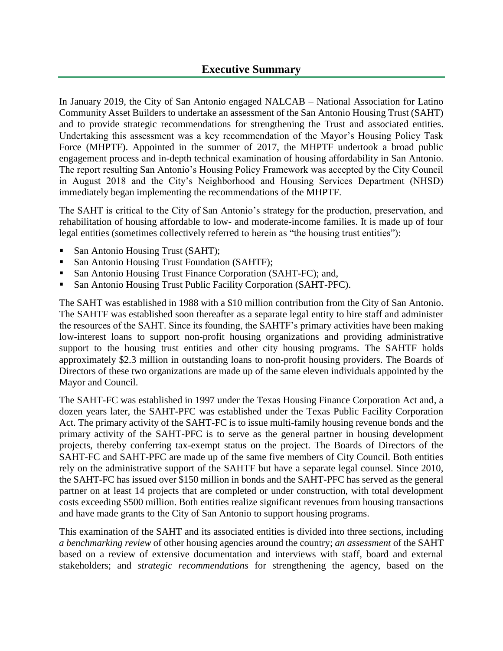# **Executive Summary**

In January 2019, the City of San Antonio engaged NALCAB – National Association for Latino Community Asset Builders to undertake an assessment of the San Antonio Housing Trust (SAHT) and to provide strategic recommendations for strengthening the Trust and associated entities. Undertaking this assessment was a key recommendation of the Mayor's Housing Policy Task Force (MHPTF). Appointed in the summer of 2017, the MHPTF undertook a broad public engagement process and in-depth technical examination of housing affordability in San Antonio. The report resulting San Antonio's Housing Policy Framework was accepted by the City Council in August 2018 and the City's Neighborhood and Housing Services Department (NHSD) immediately began implementing the recommendations of the MHPTF.

The SAHT is critical to the City of San Antonio's strategy for the production, preservation, and rehabilitation of housing affordable to low- and moderate-income families. It is made up of four legal entities (sometimes collectively referred to herein as "the housing trust entities"):

- San Antonio Housing Trust (SAHT);
- San Antonio Housing Trust Foundation (SAHTF);
- San Antonio Housing Trust Finance Corporation (SAHT-FC); and,
- San Antonio Housing Trust Public Facility Corporation (SAHT-PFC).

The SAHT was established in 1988 with a \$10 million contribution from the City of San Antonio. The SAHTF was established soon thereafter as a separate legal entity to hire staff and administer the resources of the SAHT. Since its founding, the SAHTF's primary activities have been making low-interest loans to support non-profit housing organizations and providing administrative support to the housing trust entities and other city housing programs. The SAHTF holds approximately \$2.3 million in outstanding loans to non-profit housing providers. The Boards of Directors of these two organizations are made up of the same eleven individuals appointed by the Mayor and Council.

The SAHT-FC was established in 1997 under the Texas Housing Finance Corporation Act and, a dozen years later, the SAHT-PFC was established under the Texas Public Facility Corporation Act. The primary activity of the SAHT-FC is to issue multi-family housing revenue bonds and the primary activity of the SAHT-PFC is to serve as the general partner in housing development projects, thereby conferring tax-exempt status on the project. The Boards of Directors of the SAHT-FC and SAHT-PFC are made up of the same five members of City Council. Both entities rely on the administrative support of the SAHTF but have a separate legal counsel. Since 2010, the SAHT-FC has issued over \$150 million in bonds and the SAHT-PFC has served as the general partner on at least 14 projects that are completed or under construction, with total development costs exceeding \$500 million. Both entities realize significant revenues from housing transactions and have made grants to the City of San Antonio to support housing programs.

This examination of the SAHT and its associated entities is divided into three sections, including *a benchmarking review* of other housing agencies around the country; *an assessment* of the SAHT based on a review of extensive documentation and interviews with staff, board and external stakeholders; and *strategic recommendations* for strengthening the agency, based on the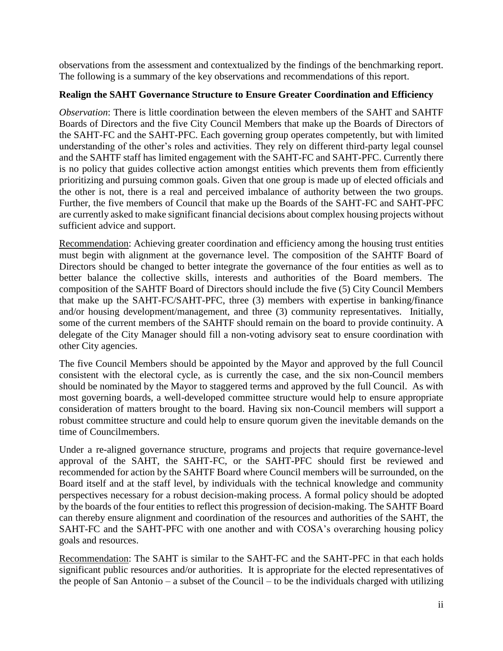observations from the assessment and contextualized by the findings of the benchmarking report. The following is a summary of the key observations and recommendations of this report.

# **Realign the SAHT Governance Structure to Ensure Greater Coordination and Efficiency**

*Observation*: There is little coordination between the eleven members of the SAHT and SAHTF Boards of Directors and the five City Council Members that make up the Boards of Directors of the SAHT-FC and the SAHT-PFC. Each governing group operates competently, but with limited understanding of the other's roles and activities. They rely on different third-party legal counsel and the SAHTF staff has limited engagement with the SAHT-FC and SAHT-PFC. Currently there is no policy that guides collective action amongst entities which prevents them from efficiently prioritizing and pursuing common goals. Given that one group is made up of elected officials and the other is not, there is a real and perceived imbalance of authority between the two groups. Further, the five members of Council that make up the Boards of the SAHT-FC and SAHT-PFC are currently asked to make significant financial decisions about complex housing projects without sufficient advice and support.

Recommendation: Achieving greater coordination and efficiency among the housing trust entities must begin with alignment at the governance level. The composition of the SAHTF Board of Directors should be changed to better integrate the governance of the four entities as well as to better balance the collective skills, interests and authorities of the Board members. The composition of the SAHTF Board of Directors should include the five (5) City Council Members that make up the SAHT-FC/SAHT-PFC, three (3) members with expertise in banking/finance and/or housing development/management, and three (3) community representatives. Initially, some of the current members of the SAHTF should remain on the board to provide continuity. A delegate of the City Manager should fill a non-voting advisory seat to ensure coordination with other City agencies.

The five Council Members should be appointed by the Mayor and approved by the full Council consistent with the electoral cycle, as is currently the case, and the six non-Council members should be nominated by the Mayor to staggered terms and approved by the full Council. As with most governing boards, a well-developed committee structure would help to ensure appropriate consideration of matters brought to the board. Having six non-Council members will support a robust committee structure and could help to ensure quorum given the inevitable demands on the time of Councilmembers.

Under a re-aligned governance structure, programs and projects that require governance-level approval of the SAHT, the SAHT-FC, or the SAHT-PFC should first be reviewed and recommended for action by the SAHTF Board where Council members will be surrounded, on the Board itself and at the staff level, by individuals with the technical knowledge and community perspectives necessary for a robust decision-making process. A formal policy should be adopted by the boards of the four entities to reflect this progression of decision-making. The SAHTF Board can thereby ensure alignment and coordination of the resources and authorities of the SAHT, the SAHT-FC and the SAHT-PFC with one another and with COSA's overarching housing policy goals and resources.

Recommendation: The SAHT is similar to the SAHT-FC and the SAHT-PFC in that each holds significant public resources and/or authorities. It is appropriate for the elected representatives of the people of San Antonio – a subset of the Council – to be the individuals charged with utilizing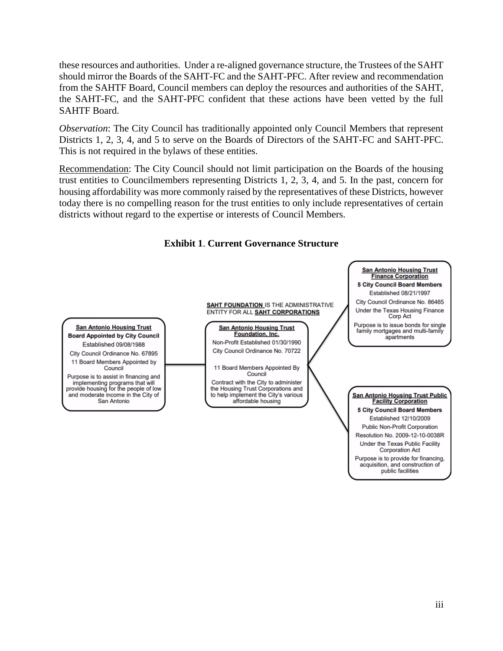these resources and authorities. Under a re-aligned governance structure, the Trustees of the SAHT should mirror the Boards of the SAHT-FC and the SAHT-PFC. After review and recommendation from the SAHTF Board, Council members can deploy the resources and authorities of the SAHT, the SAHT-FC, and the SAHT-PFC confident that these actions have been vetted by the full SAHTF Board.

*Observation*: The City Council has traditionally appointed only Council Members that represent Districts 1, 2, 3, 4, and 5 to serve on the Boards of Directors of the SAHT-FC and SAHT-PFC. This is not required in the bylaws of these entities.

Recommendation: The City Council should not limit participation on the Boards of the housing trust entities to Councilmembers representing Districts 1, 2, 3, 4, and 5. In the past, concern for housing affordability was more commonly raised by the representatives of these Districts, however today there is no compelling reason for the trust entities to only include representatives of certain districts without regard to the expertise or interests of Council Members.



# **Exhibit 1**. **Current Governance Structure**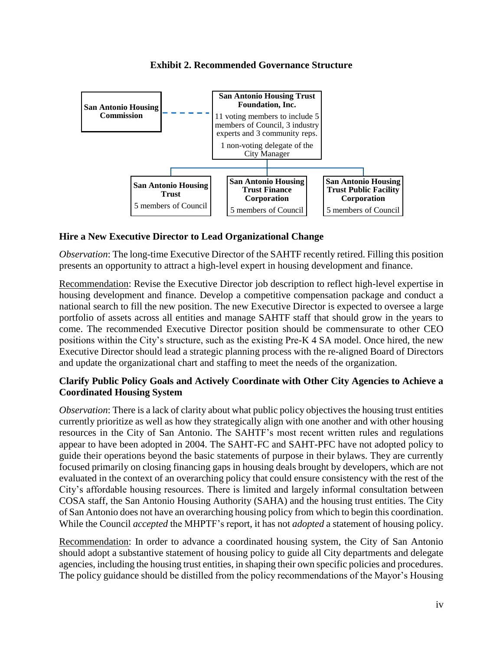

### **Exhibit 2. Recommended Governance Structure**

# **Hire a New Executive Director to Lead Organizational Change**

*Observation*: The long-time Executive Director of the SAHTF recently retired. Filling this position presents an opportunity to attract a high-level expert in housing development and finance.

Recommendation: Revise the Executive Director job description to reflect high-level expertise in housing development and finance. Develop a competitive compensation package and conduct a national search to fill the new position. The new Executive Director is expected to oversee a large portfolio of assets across all entities and manage SAHTF staff that should grow in the years to come. The recommended Executive Director position should be commensurate to other CEO positions within the City's structure, such as the existing Pre-K 4 SA model. Once hired, the new Executive Director should lead a strategic planning process with the re-aligned Board of Directors and update the organizational chart and staffing to meet the needs of the organization.

# **Clarify Public Policy Goals and Actively Coordinate with Other City Agencies to Achieve a Coordinated Housing System**

*Observation*: There is a lack of clarity about what public policy objectives the housing trust entities currently prioritize as well as how they strategically align with one another and with other housing resources in the City of San Antonio. The SAHTF's most recent written rules and regulations appear to have been adopted in 2004. The SAHT-FC and SAHT-PFC have not adopted policy to guide their operations beyond the basic statements of purpose in their bylaws. They are currently focused primarily on closing financing gaps in housing deals brought by developers, which are not evaluated in the context of an overarching policy that could ensure consistency with the rest of the City's affordable housing resources. There is limited and largely informal consultation between COSA staff, the San Antonio Housing Authority (SAHA) and the housing trust entities. The City of San Antonio does not have an overarching housing policy from which to begin this coordination. While the Council *accepted* the MHPTF's report, it has not *adopted* a statement of housing policy.

Recommendation: In order to advance a coordinated housing system, the City of San Antonio should adopt a substantive statement of housing policy to guide all City departments and delegate agencies, including the housing trust entities, in shaping their own specific policies and procedures. The policy guidance should be distilled from the policy recommendations of the Mayor's Housing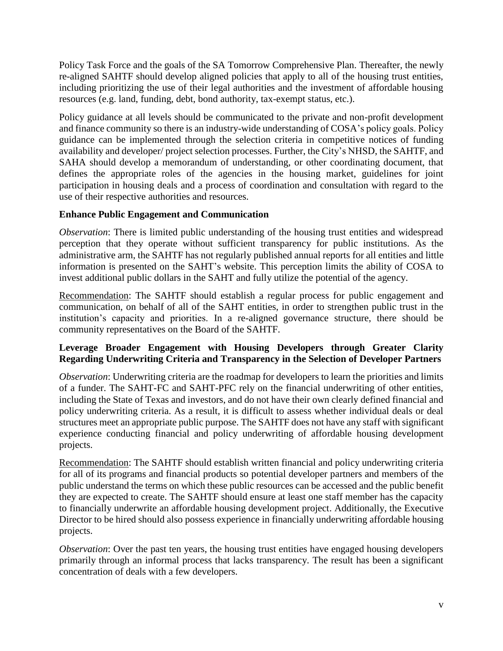Policy Task Force and the goals of the SA Tomorrow Comprehensive Plan. Thereafter, the newly re-aligned SAHTF should develop aligned policies that apply to all of the housing trust entities, including prioritizing the use of their legal authorities and the investment of affordable housing resources (e.g. land, funding, debt, bond authority, tax-exempt status, etc.).

Policy guidance at all levels should be communicated to the private and non-profit development and finance community so there is an industry-wide understanding of COSA's policy goals. Policy guidance can be implemented through the selection criteria in competitive notices of funding availability and developer/ project selection processes. Further, the City's NHSD, the SAHTF, and SAHA should develop a memorandum of understanding, or other coordinating document, that defines the appropriate roles of the agencies in the housing market, guidelines for joint participation in housing deals and a process of coordination and consultation with regard to the use of their respective authorities and resources.

# **Enhance Public Engagement and Communication**

*Observation*: There is limited public understanding of the housing trust entities and widespread perception that they operate without sufficient transparency for public institutions. As the administrative arm, the SAHTF has not regularly published annual reports for all entities and little information is presented on the SAHT's website. This perception limits the ability of COSA to invest additional public dollars in the SAHT and fully utilize the potential of the agency.

Recommendation: The SAHTF should establish a regular process for public engagement and communication, on behalf of all of the SAHT entities, in order to strengthen public trust in the institution's capacity and priorities. In a re-aligned governance structure, there should be community representatives on the Board of the SAHTF.

# **Leverage Broader Engagement with Housing Developers through Greater Clarity Regarding Underwriting Criteria and Transparency in the Selection of Developer Partners**

*Observation*: Underwriting criteria are the roadmap for developers to learn the priorities and limits of a funder. The SAHT-FC and SAHT-PFC rely on the financial underwriting of other entities, including the State of Texas and investors, and do not have their own clearly defined financial and policy underwriting criteria. As a result, it is difficult to assess whether individual deals or deal structures meet an appropriate public purpose. The SAHTF does not have any staff with significant experience conducting financial and policy underwriting of affordable housing development projects.

Recommendation: The SAHTF should establish written financial and policy underwriting criteria for all of its programs and financial products so potential developer partners and members of the public understand the terms on which these public resources can be accessed and the public benefit they are expected to create. The SAHTF should ensure at least one staff member has the capacity to financially underwrite an affordable housing development project. Additionally, the Executive Director to be hired should also possess experience in financially underwriting affordable housing projects.

*Observation*: Over the past ten years, the housing trust entities have engaged housing developers primarily through an informal process that lacks transparency. The result has been a significant concentration of deals with a few developers.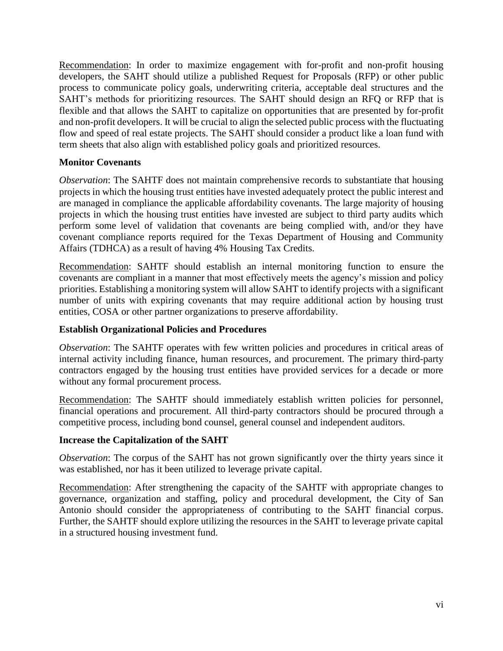Recommendation: In order to maximize engagement with for-profit and non-profit housing developers, the SAHT should utilize a published Request for Proposals (RFP) or other public process to communicate policy goals, underwriting criteria, acceptable deal structures and the SAHT's methods for prioritizing resources. The SAHT should design an RFQ or RFP that is flexible and that allows the SAHT to capitalize on opportunities that are presented by for-profit and non-profit developers. It will be crucial to align the selected public process with the fluctuating flow and speed of real estate projects. The SAHT should consider a product like a loan fund with term sheets that also align with established policy goals and prioritized resources.

### **Monitor Covenants**

*Observation*: The SAHTF does not maintain comprehensive records to substantiate that housing projects in which the housing trust entities have invested adequately protect the public interest and are managed in compliance the applicable affordability covenants. The large majority of housing projects in which the housing trust entities have invested are subject to third party audits which perform some level of validation that covenants are being complied with, and/or they have covenant compliance reports required for the Texas Department of Housing and Community Affairs (TDHCA) as a result of having 4% Housing Tax Credits.

Recommendation: SAHTF should establish an internal monitoring function to ensure the covenants are compliant in a manner that most effectively meets the agency's mission and policy priorities. Establishing a monitoring system will allow SAHT to identify projects with a significant number of units with expiring covenants that may require additional action by housing trust entities, COSA or other partner organizations to preserve affordability.

### **Establish Organizational Policies and Procedures**

*Observation*: The SAHTF operates with few written policies and procedures in critical areas of internal activity including finance, human resources, and procurement. The primary third-party contractors engaged by the housing trust entities have provided services for a decade or more without any formal procurement process.

Recommendation: The SAHTF should immediately establish written policies for personnel, financial operations and procurement. All third-party contractors should be procured through a competitive process, including bond counsel, general counsel and independent auditors.

### **Increase the Capitalization of the SAHT**

*Observation*: The corpus of the SAHT has not grown significantly over the thirty years since it was established, nor has it been utilized to leverage private capital.

Recommendation: After strengthening the capacity of the SAHTF with appropriate changes to governance, organization and staffing, policy and procedural development, the City of San Antonio should consider the appropriateness of contributing to the SAHT financial corpus. Further, the SAHTF should explore utilizing the resources in the SAHT to leverage private capital in a structured housing investment fund.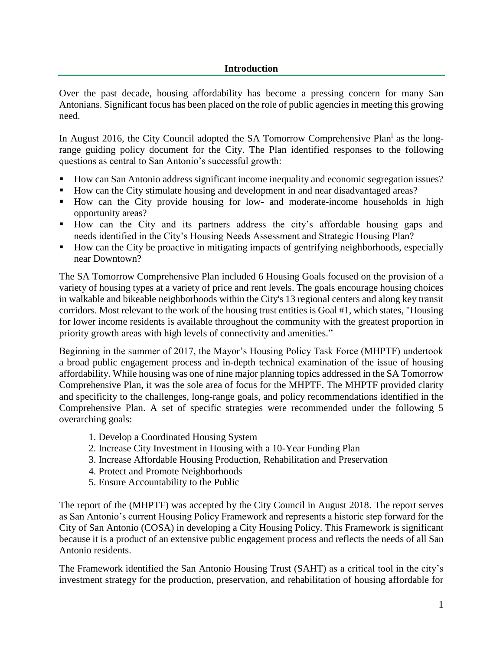Over the past decade, housing affordability has become a pressing concern for many San Antonians. Significant focus has been placed on the role of public agencies in meeting this growing need.

In August 2016, the City Council adopted the SA Tomorrow Comprehensive Plan<sup>i</sup> as the longrange guiding policy document for the City. The Plan identified responses to the following questions as central to San Antonio's successful growth:

- How can San Antonio address significant income inequality and economic segregation issues?
- How can the City stimulate housing and development in and near disadvantaged areas?
- How can the City provide housing for low- and moderate-income households in high opportunity areas?
- How can the City and its partners address the city's affordable housing gaps and needs identified in the City's Housing Needs Assessment and Strategic Housing Plan?
- How can the City be proactive in mitigating impacts of gentrifying neighborhoods, especially near Downtown?

The SA Tomorrow Comprehensive Plan included 6 Housing Goals focused on the provision of a variety of housing types at a variety of price and rent levels. The goals encourage housing choices in walkable and bikeable neighborhoods within the City's 13 regional centers and along key transit corridors. Most relevant to the work of the housing trust entities is Goal #1, which states, "Housing for lower income residents is available throughout the community with the greatest proportion in priority growth areas with high levels of connectivity and amenities."

Beginning in the summer of 2017, the Mayor's Housing Policy Task Force (MHPTF) undertook a broad public engagement process and in-depth technical examination of the issue of housing affordability. While housing was one of nine major planning topics addressed in the SA Tomorrow Comprehensive Plan, it was the sole area of focus for the MHPTF. The MHPTF provided clarity and specificity to the challenges, long-range goals, and policy recommendations identified in the Comprehensive Plan. A set of specific strategies were recommended under the following 5 overarching goals:

- 1. Develop a Coordinated Housing System
- 2. Increase City Investment in Housing with a 10-Year Funding Plan
- 3. Increase Affordable Housing Production, Rehabilitation and Preservation
- 4. Protect and Promote Neighborhoods
- 5. Ensure Accountability to the Public

The report of the (MHPTF) was accepted by the City Council in August 2018. The report serves as San Antonio's current Housing Policy Framework and represents a historic step forward for the City of San Antonio (COSA) in developing a City Housing Policy. This Framework is significant because it is a product of an extensive public engagement process and reflects the needs of all San Antonio residents.

The Framework identified the San Antonio Housing Trust (SAHT) as a critical tool in the city's investment strategy for the production, preservation, and rehabilitation of housing affordable for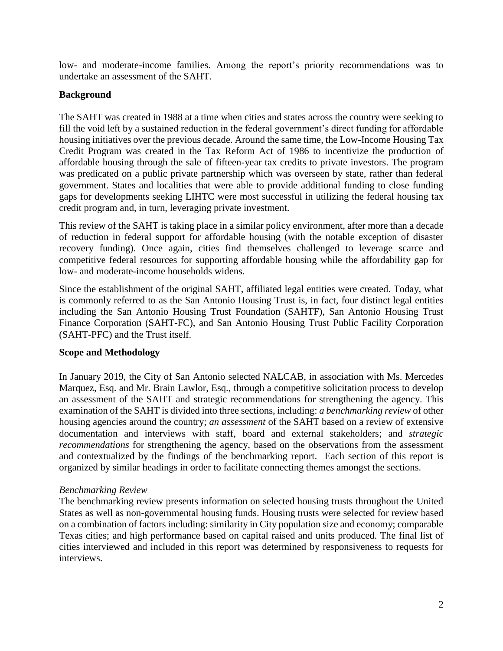low- and moderate-income families. Among the report's priority recommendations was to undertake an assessment of the SAHT.

# **Background**

The SAHT was created in 1988 at a time when cities and states across the country were seeking to fill the void left by a sustained reduction in the federal government's direct funding for affordable housing initiatives over the previous decade. Around the same time, the Low-Income Housing Tax Credit Program was created in the Tax Reform Act of 1986 to incentivize the production of affordable housing through the sale of fifteen-year tax credits to private investors. The program was predicated on a public private partnership which was overseen by state, rather than federal government. States and localities that were able to provide additional funding to close funding gaps for developments seeking LIHTC were most successful in utilizing the federal housing tax credit program and, in turn, leveraging private investment.

This review of the SAHT is taking place in a similar policy environment, after more than a decade of reduction in federal support for affordable housing (with the notable exception of disaster recovery funding). Once again, cities find themselves challenged to leverage scarce and competitive federal resources for supporting affordable housing while the affordability gap for low- and moderate-income households widens.

Since the establishment of the original SAHT, affiliated legal entities were created. Today, what is commonly referred to as the San Antonio Housing Trust is, in fact, four distinct legal entities including the San Antonio Housing Trust Foundation (SAHTF), San Antonio Housing Trust Finance Corporation (SAHT-FC), and San Antonio Housing Trust Public Facility Corporation (SAHT-PFC) and the Trust itself.

# **Scope and Methodology**

In January 2019, the City of San Antonio selected NALCAB, in association with Ms. Mercedes Marquez, Esq. and Mr. Brain Lawlor, Esq., through a competitive solicitation process to develop an assessment of the SAHT and strategic recommendations for strengthening the agency. This examination of the SAHT is divided into three sections, including: *a benchmarking review* of other housing agencies around the country; *an assessment* of the SAHT based on a review of extensive documentation and interviews with staff, board and external stakeholders; and *strategic recommendations* for strengthening the agency, based on the observations from the assessment and contextualized by the findings of the benchmarking report. Each section of this report is organized by similar headings in order to facilitate connecting themes amongst the sections.

# *Benchmarking Review*

The benchmarking review presents information on selected housing trusts throughout the United States as well as non-governmental housing funds. Housing trusts were selected for review based on a combination of factors including: similarity in City population size and economy; comparable Texas cities; and high performance based on capital raised and units produced. The final list of cities interviewed and included in this report was determined by responsiveness to requests for interviews.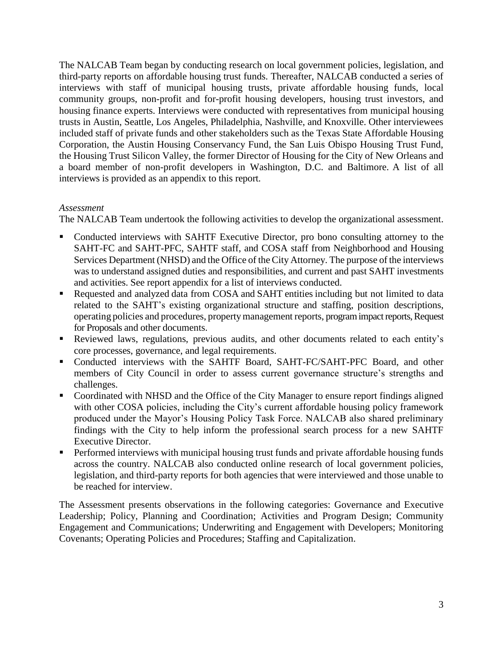The NALCAB Team began by conducting research on local government policies, legislation, and third-party reports on affordable housing trust funds. Thereafter, NALCAB conducted a series of interviews with staff of municipal housing trusts, private affordable housing funds, local community groups, non-profit and for-profit housing developers, housing trust investors, and housing finance experts. Interviews were conducted with representatives from municipal housing trusts in Austin, Seattle, Los Angeles, Philadelphia, Nashville, and Knoxville. Other interviewees included staff of private funds and other stakeholders such as the Texas State Affordable Housing Corporation, the Austin Housing Conservancy Fund, the San Luis Obispo Housing Trust Fund, the Housing Trust Silicon Valley, the former Director of Housing for the City of New Orleans and a board member of non-profit developers in Washington, D.C. and Baltimore. A list of all interviews is provided as an appendix to this report.

### *Assessment*

The NALCAB Team undertook the following activities to develop the organizational assessment.

- Conducted interviews with SAHTF Executive Director, pro bono consulting attorney to the SAHT-FC and SAHT-PFC, SAHTF staff, and COSA staff from Neighborhood and Housing Services Department (NHSD) and the Office of the City Attorney. The purpose of the interviews was to understand assigned duties and responsibilities, and current and past SAHT investments and activities. See report appendix for a list of interviews conducted.
- Requested and analyzed data from COSA and SAHT entities including but not limited to data related to the SAHT's existing organizational structure and staffing, position descriptions, operating policies and procedures, propertymanagement reports, program impact reports, Request for Proposals and other documents.
- Reviewed laws, regulations, previous audits, and other documents related to each entity's core processes, governance, and legal requirements.
- Conducted interviews with the SAHTF Board, SAHT-FC/SAHT-PFC Board, and other members of City Council in order to assess current governance structure's strengths and challenges.
- Coordinated with NHSD and the Office of the City Manager to ensure report findings aligned with other COSA policies, including the City's current affordable housing policy framework produced under the Mayor's Housing Policy Task Force. NALCAB also shared preliminary findings with the City to help inform the professional search process for a new SAHTF Executive Director.
- **•** Performed interviews with municipal housing trust funds and private affordable housing funds across the country. NALCAB also conducted online research of local government policies, legislation, and third-party reports for both agencies that were interviewed and those unable to be reached for interview.

The Assessment presents observations in the following categories: Governance and Executive Leadership; Policy, Planning and Coordination; Activities and Program Design; Community Engagement and Communications; Underwriting and Engagement with Developers; Monitoring Covenants; Operating Policies and Procedures; Staffing and Capitalization.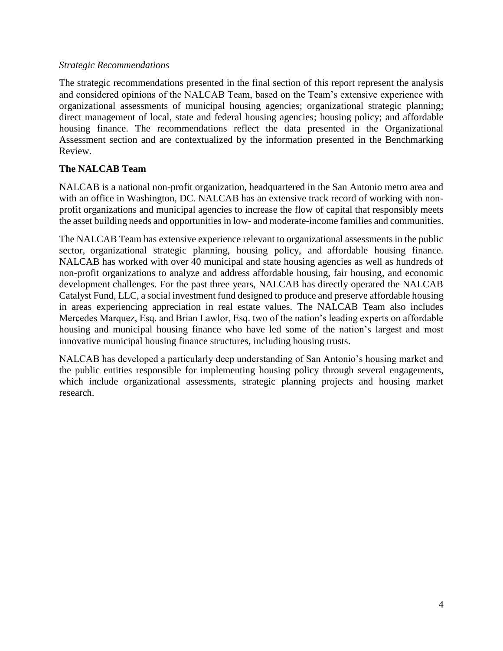### *Strategic Recommendations*

The strategic recommendations presented in the final section of this report represent the analysis and considered opinions of the NALCAB Team, based on the Team's extensive experience with organizational assessments of municipal housing agencies; organizational strategic planning; direct management of local, state and federal housing agencies; housing policy; and affordable housing finance. The recommendations reflect the data presented in the Organizational Assessment section and are contextualized by the information presented in the Benchmarking Review.

# **The NALCAB Team**

NALCAB is a national non-profit organization, headquartered in the San Antonio metro area and with an office in Washington, DC. NALCAB has an extensive track record of working with nonprofit organizations and municipal agencies to increase the flow of capital that responsibly meets the asset building needs and opportunities in low- and moderate-income families and communities.

The NALCAB Team has extensive experience relevant to organizational assessments in the public sector, organizational strategic planning, housing policy, and affordable housing finance. NALCAB has worked with over 40 municipal and state housing agencies as well as hundreds of non-profit organizations to analyze and address affordable housing, fair housing, and economic development challenges. For the past three years, NALCAB has directly operated the NALCAB Catalyst Fund, LLC, a social investment fund designed to produce and preserve affordable housing in areas experiencing appreciation in real estate values. The NALCAB Team also includes Mercedes Marquez, Esq. and Brian Lawlor, Esq. two of the nation's leading experts on affordable housing and municipal housing finance who have led some of the nation's largest and most innovative municipal housing finance structures, including housing trusts.

NALCAB has developed a particularly deep understanding of San Antonio's housing market and the public entities responsible for implementing housing policy through several engagements, which include organizational assessments, strategic planning projects and housing market research.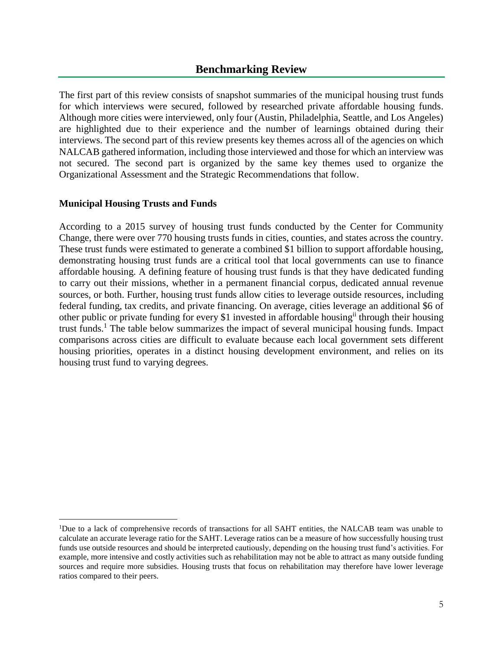# **Benchmarking Review**

The first part of this review consists of snapshot summaries of the municipal housing trust funds for which interviews were secured, followed by researched private affordable housing funds. Although more cities were interviewed, only four (Austin, Philadelphia, Seattle, and Los Angeles) are highlighted due to their experience and the number of learnings obtained during their interviews. The second part of this review presents key themes across all of the agencies on which NALCAB gathered information, including those interviewed and those for which an interview was not secured. The second part is organized by the same key themes used to organize the Organizational Assessment and the Strategic Recommendations that follow.

### **Municipal Housing Trusts and Funds**

 $\overline{a}$ 

According to a 2015 survey of housing trust funds conducted by the Center for Community Change, there were over 770 housing trusts funds in cities, counties, and states across the country. These trust funds were estimated to generate a combined \$1 billion to support affordable housing, demonstrating housing trust funds are a critical tool that local governments can use to finance affordable housing. A defining feature of housing trust funds is that they have dedicated funding to carry out their missions, whether in a permanent financial corpus, dedicated annual revenue sources, or both. Further, housing trust funds allow cities to leverage outside resources, including federal funding, tax credits, and private financing. On average, cities leverage an additional \$6 of other public or private funding for every \$1 invested in affordable housingii through their housing trust funds.<sup>1</sup> The table below summarizes the impact of several municipal housing funds. Impact comparisons across cities are difficult to evaluate because each local government sets different housing priorities, operates in a distinct housing development environment, and relies on its housing trust fund to varying degrees.

<sup>1</sup>Due to a lack of comprehensive records of transactions for all SAHT entities, the NALCAB team was unable to calculate an accurate leverage ratio for the SAHT. Leverage ratios can be a measure of how successfully housing trust funds use outside resources and should be interpreted cautiously, depending on the housing trust fund's activities. For example, more intensive and costly activities such as rehabilitation may not be able to attract as many outside funding sources and require more subsidies. Housing trusts that focus on rehabilitation may therefore have lower leverage ratios compared to their peers.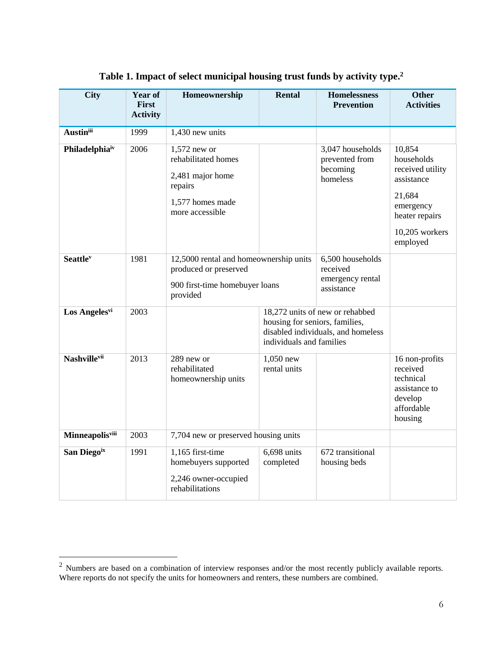| <b>City</b>                 | Year of<br><b>First</b><br><b>Activity</b> | Homeownership                                                                                                 | <b>Rental</b>                                              | <b>Homelessness</b><br><b>Prevention</b>                              | <b>Other</b><br><b>Activities</b>                                                                                             |
|-----------------------------|--------------------------------------------|---------------------------------------------------------------------------------------------------------------|------------------------------------------------------------|-----------------------------------------------------------------------|-------------------------------------------------------------------------------------------------------------------------------|
| <b>Austinii</b>             | 1999                                       | 1,430 new units                                                                                               |                                                            |                                                                       |                                                                                                                               |
| Philadelphiaiv              | 2006                                       | $1,572$ new or<br>rehabilitated homes<br>2,481 major home<br>repairs<br>1,577 homes made<br>more accessible   |                                                            | 3,047 households<br>prevented from<br>becoming<br>homeless            | 10,854<br>households<br>received utility<br>assistance<br>21,684<br>emergency<br>heater repairs<br>10,205 workers<br>employed |
| <b>Seattle</b> <sup>v</sup> | 1981                                       | 12,5000 rental and homeownership units<br>produced or preserved<br>900 first-time homebuyer loans<br>provided |                                                            | 6,500 households<br>received<br>emergency rental<br>assistance        |                                                                                                                               |
| Los Angelesvi               | 2003                                       |                                                                                                               | housing for seniors, families,<br>individuals and families | 18,272 units of new or rehabbed<br>disabled individuals, and homeless |                                                                                                                               |
| Nashvillevii                | 2013                                       | 289 new or<br>rehabilitated<br>homeownership units                                                            | 1,050 new<br>rental units                                  |                                                                       | 16 non-profits<br>received<br>technical<br>assistance to<br>develop<br>affordable<br>housing                                  |
| <b>Minneapolis</b> viii     | 2003                                       | 7,704 new or preserved housing units                                                                          |                                                            |                                                                       |                                                                                                                               |
| San Diegoix                 | 1991                                       | 1,165 first-time<br>homebuyers supported<br>2,246 owner-occupied<br>rehabilitations                           | 6,698 units<br>completed                                   | 672 transitional<br>housing beds                                      |                                                                                                                               |

#### **Table 1. Impact of select municipal housing trust funds by activity type. 2**

 $\overline{a}$ 

 $2$  Numbers are based on a combination of interview responses and/or the most recently publicly available reports. Where reports do not specify the units for homeowners and renters, these numbers are combined.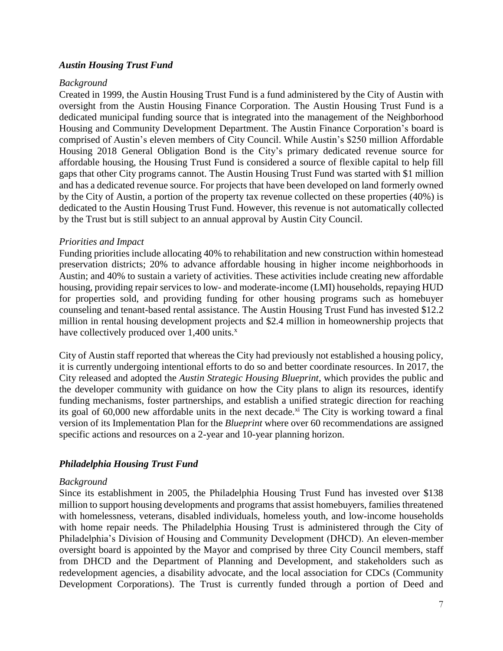### *Austin Housing Trust Fund*

#### *Background*

Created in 1999, the Austin Housing Trust Fund is a fund administered by the City of Austin with oversight from the Austin Housing Finance Corporation. The Austin Housing Trust Fund is a dedicated municipal funding source that is integrated into the management of the Neighborhood Housing and Community Development Department. The Austin Finance Corporation's board is comprised of Austin's eleven members of City Council. While Austin's \$250 million Affordable Housing 2018 General Obligation Bond is the City's primary dedicated revenue source for affordable housing, the Housing Trust Fund is considered a source of flexible capital to help fill gaps that other City programs cannot. The Austin Housing Trust Fund was started with \$1 million and has a dedicated revenue source. For projects that have been developed on land formerly owned by the City of Austin, a portion of the property tax revenue collected on these properties (40%) is dedicated to the Austin Housing Trust Fund. However, this revenue is not automatically collected by the Trust but is still subject to an annual approval by Austin City Council.

### *Priorities and Impact*

Funding priorities include allocating 40% to rehabilitation and new construction within homestead preservation districts; 20% to advance affordable housing in higher income neighborhoods in Austin; and 40% to sustain a variety of activities. These activities include creating new affordable housing, providing repair services to low- and moderate-income (LMI) households, repaying HUD for properties sold, and providing funding for other housing programs such as homebuyer counseling and tenant-based rental assistance. The Austin Housing Trust Fund has invested \$12.2 million in rental housing development projects and \$2.4 million in homeownership projects that have collectively produced over  $1,400$  units.<sup>x</sup>

City of Austin staff reported that whereas the City had previously not established a housing policy, it is currently undergoing intentional efforts to do so and better coordinate resources. In 2017, the City released and adopted the *Austin Strategic Housing Blueprint*, which provides the public and the developer community with guidance on how the City plans to align its resources, identify funding mechanisms, foster partnerships, and establish a unified strategic direction for reaching its goal of  $60,000$  new affordable units in the next decade.<sup>xi</sup> The City is working toward a final version of its Implementation Plan for the *Blueprint* where over 60 recommendations are assigned specific actions and resources on a 2-year and 10-year planning horizon.

# *Philadelphia Housing Trust Fund*

### *Background*

Since its establishment in 2005, the Philadelphia Housing Trust Fund has invested over \$138 million to support housing developments and programs that assist homebuyers, families threatened with homelessness, veterans, disabled individuals, homeless youth, and low-income households with home repair needs. The Philadelphia Housing Trust is administered through the City of Philadelphia's Division of Housing and Community Development (DHCD). An eleven-member oversight board is appointed by the Mayor and comprised by three City Council members, staff from DHCD and the Department of Planning and Development, and stakeholders such as redevelopment agencies, a disability advocate, and the local association for CDCs (Community Development Corporations). The Trust is currently funded through a portion of Deed and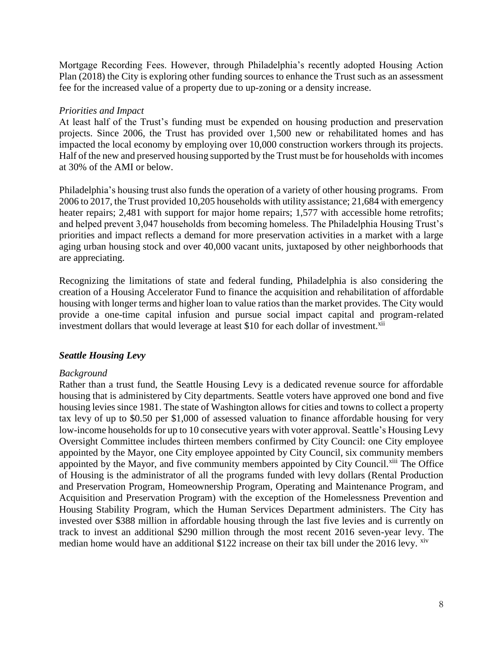Mortgage Recording Fees. However, through Philadelphia's recently adopted Housing Action Plan (2018) the City is exploring other funding sources to enhance the Trust such as an assessment fee for the increased value of a property due to up-zoning or a density increase.

### *Priorities and Impact*

At least half of the Trust's funding must be expended on housing production and preservation projects. Since 2006, the Trust has provided over 1,500 new or rehabilitated homes and has impacted the local economy by employing over 10,000 construction workers through its projects. Half of the new and preserved housing supported by the Trust must be for households with incomes at 30% of the AMI or below.

Philadelphia's housing trust also funds the operation of a variety of other housing programs. From 2006 to 2017, the Trust provided 10,205 households with utility assistance; 21,684 with emergency heater repairs; 2,481 with support for major home repairs; 1,577 with accessible home retrofits; and helped prevent 3,047 households from becoming homeless. The Philadelphia Housing Trust's priorities and impact reflects a demand for more preservation activities in a market with a large aging urban housing stock and over 40,000 vacant units, juxtaposed by other neighborhoods that are appreciating.

Recognizing the limitations of state and federal funding, Philadelphia is also considering the creation of a Housing Accelerator Fund to finance the acquisition and rehabilitation of affordable housing with longer terms and higher loan to value ratios than the market provides. The City would provide a one-time capital infusion and pursue social impact capital and program-related investment dollars that would leverage at least \$10 for each dollar of investment.<sup>xii</sup>

# *Seattle Housing Levy*

# *Background*

Rather than a trust fund, the Seattle Housing Levy is a dedicated revenue source for affordable housing that is administered by City departments. Seattle voters have approved one bond and five housing levies since 1981. The state of Washington allows for cities and towns to collect a property tax levy of up to \$0.50 per \$1,000 of assessed valuation to finance affordable housing for very low-income households for up to 10 consecutive years with voter approval. Seattle's Housing Levy Oversight Committee includes thirteen members confirmed by City Council: one City employee appointed by the Mayor, one City employee appointed by City Council, six community members appointed by the Mayor, and five community members appointed by City Council.<sup>xiii</sup> The Office of Housing is the administrator of all the programs funded with levy dollars (Rental Production and Preservation Program, Homeownership Program, Operating and Maintenance Program, and Acquisition and Preservation Program) with the exception of the Homelessness Prevention and Housing Stability Program, which the Human Services Department administers. The City has invested over \$388 million in affordable housing through the last five levies and is currently on track to invest an additional \$290 million through the most recent 2016 seven-year levy. The median home would have an additional \$122 increase on their tax bill under the 2016 levy. <sup>xiv</sup>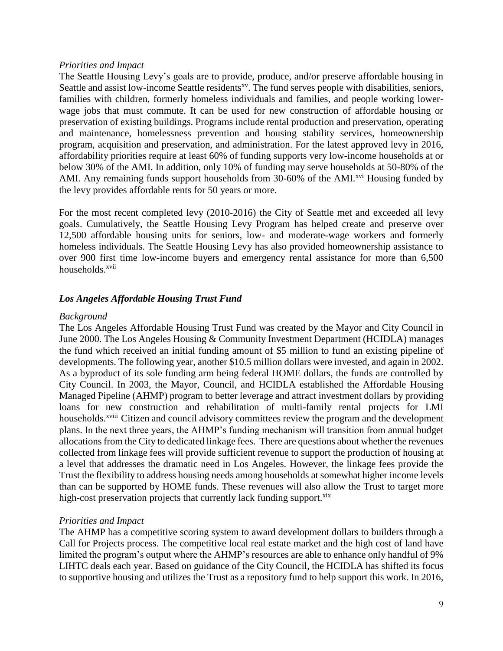#### *Priorities and Impact*

The Seattle Housing Levy's goals are to provide, produce, and/or preserve affordable housing in Seattle and assist low-income Seattle residents<sup>xy</sup>. The fund serves people with disabilities, seniors, families with children, formerly homeless individuals and families, and people working lowerwage jobs that must commute. It can be used for new construction of affordable housing or preservation of existing buildings. Programs include rental production and preservation, operating and maintenance, homelessness prevention and housing stability services, homeownership program, acquisition and preservation, and administration. For the latest approved levy in 2016, affordability priorities require at least 60% of funding supports very low-income households at or below 30% of the AMI. In addition, only 10% of funding may serve households at 50-80% of the AMI. Any remaining funds support households from 30-60% of the AMI.<sup>xvi</sup> Housing funded by the levy provides affordable rents for 50 years or more.

For the most recent completed levy (2010-2016) the City of Seattle met and exceeded all levy goals. Cumulatively, the Seattle Housing Levy Program has helped create and preserve over 12,500 affordable housing units for seniors, low- and moderate-wage workers and formerly homeless individuals. The Seattle Housing Levy has also provided homeownership assistance to over 900 first time low-income buyers and emergency rental assistance for more than 6,500 households.<sup>xvii</sup>

### *Los Angeles Affordable Housing Trust Fund*

#### *Background*

The Los Angeles Affordable Housing Trust Fund was created by the Mayor and City Council in June 2000. The Los Angeles Housing & Community Investment Department (HCIDLA) manages the fund which received an initial funding amount of \$5 million to fund an existing pipeline of developments. The following year, another \$10.5 million dollars were invested, and again in 2002. As a byproduct of its sole funding arm being federal HOME dollars, the funds are controlled by City Council. In 2003, the Mayor, Council, and HCIDLA established the Affordable Housing Managed Pipeline (AHMP) program to better leverage and attract investment dollars by providing loans for new construction and rehabilitation of multi-family rental projects for LMI households.<sup>xviii</sup> Citizen and council advisory committees review the program and the development plans. In the next three years, the AHMP's funding mechanism will transition from annual budget allocations from the City to dedicated linkage fees. There are questions about whether the revenues collected from linkage fees will provide sufficient revenue to support the production of housing at a level that addresses the dramatic need in Los Angeles. However, the linkage fees provide the Trust the flexibility to address housing needs among households at somewhat higher income levels than can be supported by HOME funds. These revenues will also allow the Trust to target more high-cost preservation projects that currently lack funding support.<sup>xix</sup>

### *Priorities and Impact*

The AHMP has a competitive scoring system to award development dollars to builders through a Call for Projects process. The competitive local real estate market and the high cost of land have limited the program's output where the AHMP's resources are able to enhance only handful of 9% LIHTC deals each year. Based on guidance of the City Council, the HCIDLA has shifted its focus to supportive housing and utilizes the Trust as a repository fund to help support this work. In 2016,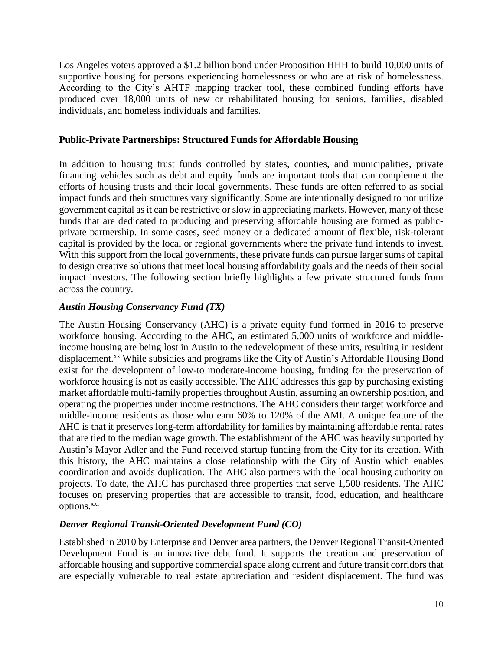Los Angeles voters approved a \$1.2 billion bond under Proposition HHH to build 10,000 units of supportive housing for persons experiencing homelessness or who are at risk of homelessness. According to the City's AHTF mapping tracker tool, these combined funding efforts have produced over 18,000 units of new or rehabilitated housing for seniors, families, disabled individuals, and homeless individuals and families.

### **Public-Private Partnerships: Structured Funds for Affordable Housing**

In addition to housing trust funds controlled by states, counties, and municipalities, private financing vehicles such as debt and equity funds are important tools that can complement the efforts of housing trusts and their local governments. These funds are often referred to as social impact funds and their structures vary significantly. Some are intentionally designed to not utilize government capital as it can be restrictive or slow in appreciating markets. However, many of these funds that are dedicated to producing and preserving affordable housing are formed as publicprivate partnership. In some cases, seed money or a dedicated amount of flexible, risk-tolerant capital is provided by the local or regional governments where the private fund intends to invest. With this support from the local governments, these private funds can pursue larger sums of capital to design creative solutions that meet local housing affordability goals and the needs of their social impact investors. The following section briefly highlights a few private structured funds from across the country.

### *Austin Housing Conservancy Fund (TX)*

The Austin Housing Conservancy (AHC) is a private equity fund formed in 2016 to preserve workforce housing. According to the AHC, an estimated 5,000 units of workforce and middleincome housing are being lost in Austin to the redevelopment of these units, resulting in resident displacement.<sup>xx</sup> While subsidies and programs like the City of Austin's Affordable Housing Bond exist for the development of low-to moderate-income housing, funding for the preservation of workforce housing is not as easily accessible. The AHC addresses this gap by purchasing existing market affordable multi-family properties throughout Austin, assuming an ownership position, and operating the properties under income restrictions. The AHC considers their target workforce and middle-income residents as those who earn 60% to 120% of the AMI. A unique feature of the AHC is that it preserves long-term affordability for families by maintaining affordable rental rates that are tied to the median wage growth. The establishment of the AHC was heavily supported by Austin's Mayor Adler and the Fund received startup funding from the City for its creation. With this history, the AHC maintains a close relationship with the City of Austin which enables coordination and avoids duplication. The AHC also partners with the local housing authority on projects. To date, the AHC has purchased three properties that serve 1,500 residents. The AHC focuses on preserving properties that are accessible to transit, food, education, and healthcare options.<sup>xxi</sup>

# *Denver Regional Transit-Oriented Development Fund (CO)*

Established in 2010 by Enterprise and Denver area partners, the Denver Regional Transit-Oriented Development Fund is an innovative debt fund. It supports the creation and preservation of affordable housing and supportive commercial space along current and future transit corridors that are especially vulnerable to real estate appreciation and resident displacement. The fund was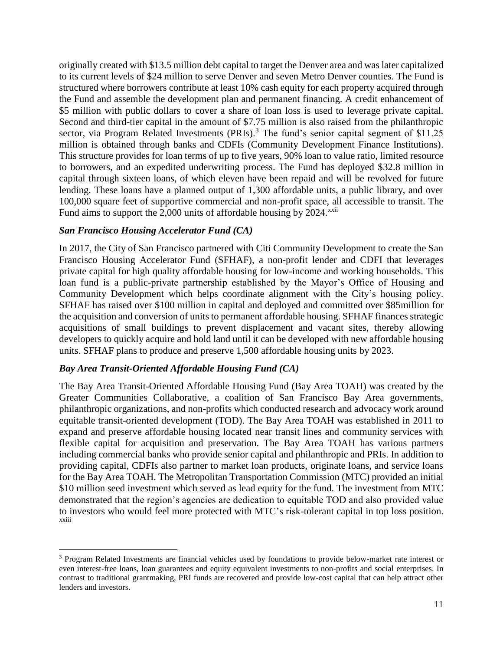originally created with \$13.5 million debt capital to target the Denver area and was later capitalized to its current levels of \$24 million to serve Denver and seven Metro Denver counties. The Fund is structured where borrowers contribute at least 10% cash equity for each property acquired through the Fund and assemble the development plan and permanent financing. A credit enhancement of \$5 million with public dollars to cover a share of loan loss is used to leverage private capital. Second and third-tier capital in the amount of \$7.75 million is also raised from the philanthropic sector, via Program Related Investments (PRIs).<sup>3</sup> The fund's senior capital segment of  $$11.25$ million is obtained through banks and CDFIs (Community Development Finance Institutions). This structure provides for loan terms of up to five years, 90% loan to value ratio, limited resource to borrowers, and an expedited underwriting process. The Fund has deployed \$32.8 million in capital through sixteen loans, of which eleven have been repaid and will be revolved for future lending. These loans have a planned output of 1,300 affordable units, a public library, and over 100,000 square feet of supportive commercial and non-profit space, all accessible to transit. The Fund aims to support the  $2,000$  units of affordable housing by  $2024$ <sup>xxii</sup>

### *San Francisco Housing Accelerator Fund (CA)*

In 2017, the City of San Francisco partnered with Citi Community Development to create the San Francisco Housing Accelerator Fund (SFHAF), a non-profit lender and CDFI that leverages private capital for high quality affordable housing for low-income and working households. This loan fund is a public-private partnership established by the Mayor's Office of Housing and Community Development which helps coordinate alignment with the City's housing policy. SFHAF has raised over \$100 million in capital and deployed and committed over \$85million for the acquisition and conversion of units to permanent affordable housing. SFHAF finances strategic acquisitions of small buildings to prevent displacement and vacant sites, thereby allowing developers to quickly acquire and hold land until it can be developed with new affordable housing units. SFHAF plans to produce and preserve 1,500 affordable housing units by 2023.

# *Bay Area Transit-Oriented Affordable Housing Fund (CA)*

 $\overline{a}$ 

The Bay Area Transit-Oriented Affordable Housing Fund (Bay Area TOAH) was created by the Greater Communities Collaborative, a coalition of San Francisco Bay Area governments, philanthropic organizations, and non-profits which conducted research and advocacy work around equitable transit-oriented development (TOD). The Bay Area TOAH was established in 2011 to expand and preserve affordable housing located near transit lines and community services with flexible capital for acquisition and preservation. The Bay Area TOAH has various partners including commercial banks who provide senior capital and philanthropic and PRIs. In addition to providing capital, CDFIs also partner to market loan products, originate loans, and service loans for the Bay Area TOAH. The Metropolitan Transportation Commission (MTC) provided an initial \$10 million seed investment which served as lead equity for the fund. The investment from MTC demonstrated that the region's agencies are dedication to equitable TOD and also provided value to investors who would feel more protected with MTC's risk-tolerant capital in top loss position. xxiii

<sup>&</sup>lt;sup>3</sup> Program Related Investments are financial vehicles used by foundations to provide below-market rate interest or even interest-free loans, loan guarantees and equity equivalent investments to non-profits and social enterprises. In contrast to traditional grantmaking, PRI funds are recovered and provide low-cost capital that can help attract other lenders and investors.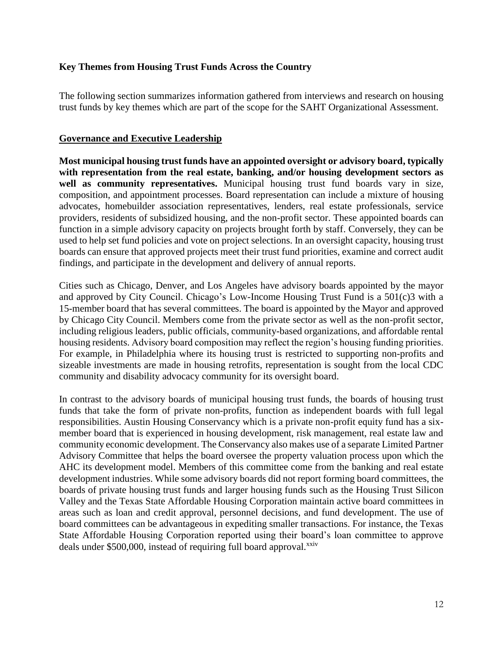### **Key Themes from Housing Trust Funds Across the Country**

The following section summarizes information gathered from interviews and research on housing trust funds by key themes which are part of the scope for the SAHT Organizational Assessment.

### **Governance and Executive Leadership**

**Most municipal housing trust funds have an appointed oversight or advisory board, typically with representation from the real estate, banking, and/or housing development sectors as well as community representatives.** Municipal housing trust fund boards vary in size, composition, and appointment processes. Board representation can include a mixture of housing advocates, homebuilder association representatives, lenders, real estate professionals, service providers, residents of subsidized housing, and the non-profit sector. These appointed boards can function in a simple advisory capacity on projects brought forth by staff. Conversely, they can be used to help set fund policies and vote on project selections. In an oversight capacity, housing trust boards can ensure that approved projects meet their trust fund priorities, examine and correct audit findings, and participate in the development and delivery of annual reports.

Cities such as Chicago, Denver, and Los Angeles have advisory boards appointed by the mayor and approved by City Council. Chicago's Low-Income Housing Trust Fund is a 501(c)3 with a 15-member board that has several committees. The board is appointed by the Mayor and approved by Chicago City Council. Members come from the private sector as well as the non-profit sector, including religious leaders, public officials, community-based organizations, and affordable rental housing residents. Advisory board composition may reflect the region's housing funding priorities. For example, in Philadelphia where its housing trust is restricted to supporting non-profits and sizeable investments are made in housing retrofits, representation is sought from the local CDC community and disability advocacy community for its oversight board.

In contrast to the advisory boards of municipal housing trust funds, the boards of housing trust funds that take the form of private non-profits, function as independent boards with full legal responsibilities. Austin Housing Conservancy which is a private non-profit equity fund has a sixmember board that is experienced in housing development, risk management, real estate law and community economic development. The Conservancy also makes use of a separate Limited Partner Advisory Committee that helps the board oversee the property valuation process upon which the AHC its development model. Members of this committee come from the banking and real estate development industries. While some advisory boards did not report forming board committees, the boards of private housing trust funds and larger housing funds such as the Housing Trust Silicon Valley and the Texas State Affordable Housing Corporation maintain active board committees in areas such as loan and credit approval, personnel decisions, and fund development. The use of board committees can be advantageous in expediting smaller transactions. For instance, the Texas State Affordable Housing Corporation reported using their board's loan committee to approve deals under \$500,000, instead of requiring full board approval.<sup>xxiv</sup>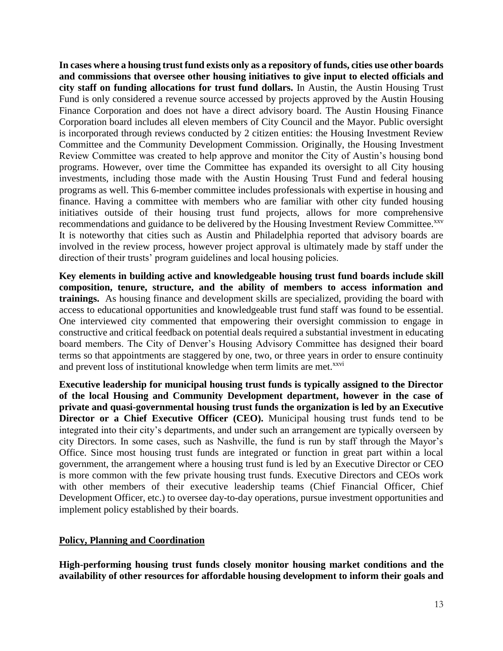**In cases where a housing trust fund exists only as a repository of funds, cities use other boards and commissions that oversee other housing initiatives to give input to elected officials and city staff on funding allocations for trust fund dollars.** In Austin, the Austin Housing Trust Fund is only considered a revenue source accessed by projects approved by the Austin Housing Finance Corporation and does not have a direct advisory board. The Austin Housing Finance Corporation board includes all eleven members of City Council and the Mayor. Public oversight is incorporated through reviews conducted by 2 citizen entities: the Housing Investment Review Committee and the Community Development Commission. Originally, the Housing Investment Review Committee was created to help approve and monitor the City of Austin's housing bond programs. However, over time the Committee has expanded its oversight to all City housing investments, including those made with the Austin Housing Trust Fund and federal housing programs as well. This 6-member committee includes professionals with expertise in housing and finance. Having a committee with members who are familiar with other city funded housing initiatives outside of their housing trust fund projects, allows for more comprehensive recommendations and guidance to be delivered by the Housing Investment Review Committee.<sup>xxv</sup> It is noteworthy that cities such as Austin and Philadelphia reported that advisory boards are involved in the review process, however project approval is ultimately made by staff under the direction of their trusts' program guidelines and local housing policies.

**Key elements in building active and knowledgeable housing trust fund boards include skill composition, tenure, structure, and the ability of members to access information and trainings.** As housing finance and development skills are specialized, providing the board with access to educational opportunities and knowledgeable trust fund staff was found to be essential. One interviewed city commented that empowering their oversight commission to engage in constructive and critical feedback on potential deals required a substantial investment in educating board members. The City of Denver's Housing Advisory Committee has designed their board terms so that appointments are staggered by one, two, or three years in order to ensure continuity and prevent loss of institutional knowledge when term limits are met.<sup>xxvi</sup>

**Executive leadership for municipal housing trust funds is typically assigned to the Director of the local Housing and Community Development department, however in the case of private and quasi-governmental housing trust funds the organization is led by an Executive Director or a Chief Executive Officer (CEO).** Municipal housing trust funds tend to be integrated into their city's departments, and under such an arrangement are typically overseen by city Directors. In some cases, such as Nashville, the fund is run by staff through the Mayor's Office. Since most housing trust funds are integrated or function in great part within a local government, the arrangement where a housing trust fund is led by an Executive Director or CEO is more common with the few private housing trust funds. Executive Directors and CEOs work with other members of their executive leadership teams (Chief Financial Officer, Chief Development Officer, etc.) to oversee day-to-day operations, pursue investment opportunities and implement policy established by their boards.

### **Policy, Planning and Coordination**

**High-performing housing trust funds closely monitor housing market conditions and the availability of other resources for affordable housing development to inform their goals and**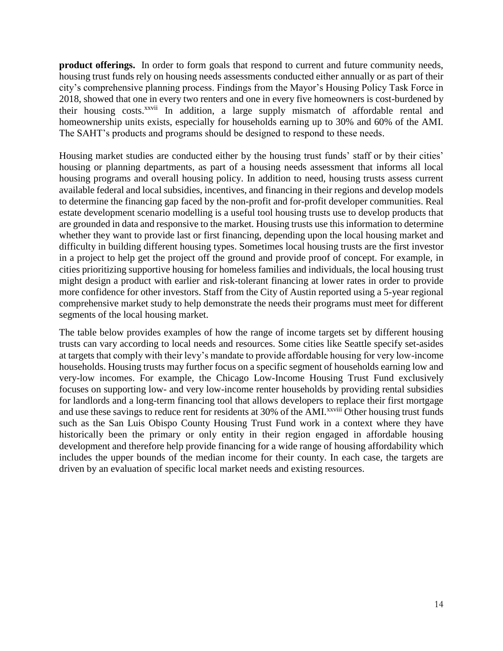**product offerings.** In order to form goals that respond to current and future community needs, housing trust funds rely on housing needs assessments conducted either annually or as part of their city's comprehensive planning process. Findings from the Mayor's Housing Policy Task Force in 2018, showed that one in every two renters and one in every five homeowners is cost-burdened by their housing costs.<sup>xxvii</sup> In addition, a large supply mismatch of affordable rental and homeownership units exists, especially for households earning up to 30% and 60% of the AMI. The SAHT's products and programs should be designed to respond to these needs.

Housing market studies are conducted either by the housing trust funds' staff or by their cities' housing or planning departments, as part of a housing needs assessment that informs all local housing programs and overall housing policy. In addition to need, housing trusts assess current available federal and local subsidies, incentives, and financing in their regions and develop models to determine the financing gap faced by the non-profit and for-profit developer communities. Real estate development scenario modelling is a useful tool housing trusts use to develop products that are grounded in data and responsive to the market. Housing trusts use this information to determine whether they want to provide last or first financing, depending upon the local housing market and difficulty in building different housing types. Sometimes local housing trusts are the first investor in a project to help get the project off the ground and provide proof of concept. For example, in cities prioritizing supportive housing for homeless families and individuals, the local housing trust might design a product with earlier and risk-tolerant financing at lower rates in order to provide more confidence for other investors. Staff from the City of Austin reported using a 5-year regional comprehensive market study to help demonstrate the needs their programs must meet for different segments of the local housing market.

The table below provides examples of how the range of income targets set by different housing trusts can vary according to local needs and resources. Some cities like Seattle specify set-asides at targets that comply with their levy's mandate to provide affordable housing for very low-income households. Housing trusts may further focus on a specific segment of households earning low and very-low incomes. For example, the Chicago Low-Income Housing Trust Fund exclusively focuses on supporting low- and very low-income renter households by providing rental subsidies for landlords and a long-term financing tool that allows developers to replace their first mortgage and use these savings to reduce rent for residents at 30% of the AMI.<sup>xxviii</sup> Other housing trust funds such as the San Luis Obispo County Housing Trust Fund work in a context where they have historically been the primary or only entity in their region engaged in affordable housing development and therefore help provide financing for a wide range of housing affordability which includes the upper bounds of the median income for their county. In each case, the targets are driven by an evaluation of specific local market needs and existing resources.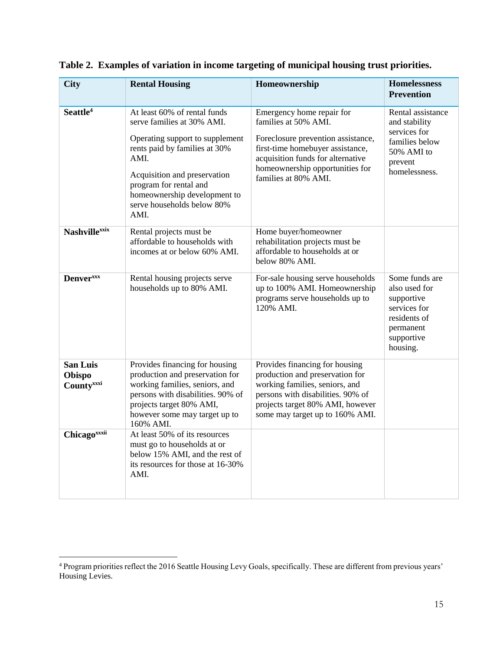| <b>City</b>                             | <b>Rental Housing</b>                                                                                                                                                                                                                                                  | Homeownership                                                                                                                                                                                                              | Homelessness<br><b>Prevention</b>                                                                                    |
|-----------------------------------------|------------------------------------------------------------------------------------------------------------------------------------------------------------------------------------------------------------------------------------------------------------------------|----------------------------------------------------------------------------------------------------------------------------------------------------------------------------------------------------------------------------|----------------------------------------------------------------------------------------------------------------------|
| Seattle <sup>4</sup>                    | At least 60% of rental funds<br>serve families at 30% AMI.<br>Operating support to supplement<br>rents paid by families at 30%<br>AMI.<br>Acquisition and preservation<br>program for rental and<br>homeownership development to<br>serve households below 80%<br>AMI. | Emergency home repair for<br>families at 50% AML<br>Foreclosure prevention assistance,<br>first-time homebuyer assistance,<br>acquisition funds for alternative<br>homeownership opportunities for<br>families at 80% AMI. | Rental assistance<br>and stability<br>services for<br>families below<br>50% AMI to<br>prevent<br>homelessness.       |
| <b>Nashvillexxix</b>                    | Rental projects must be<br>affordable to households with<br>incomes at or below 60% AMI.                                                                                                                                                                               | Home buyer/homeowner<br>rehabilitation projects must be<br>affordable to households at or<br>below 80% AMI.                                                                                                                |                                                                                                                      |
| <b>Denver</b> <sub>xxx</sub>            | Rental housing projects serve<br>households up to 80% AMI.                                                                                                                                                                                                             | For-sale housing serve households<br>up to 100% AMI. Homeownership<br>programs serve households up to<br>120% AMI.                                                                                                         | Some funds are<br>also used for<br>supportive<br>services for<br>residents of<br>permanent<br>supportive<br>housing. |
| <b>San Luis</b><br>Obispo<br>Countyxxxi | Provides financing for housing<br>production and preservation for<br>working families, seniors, and<br>persons with disabilities. 90% of<br>projects target 80% AMI,<br>however some may target up to<br>160% AMI.                                                     | Provides financing for housing<br>production and preservation for<br>working families, seniors, and<br>persons with disabilities. 90% of<br>projects target 80% AMI, however<br>some may target up to 160% AMI.            |                                                                                                                      |
| Chicagoxxxii                            | At least 50% of its resources<br>must go to households at or<br>below 15% AMI, and the rest of<br>its resources for those at 16-30%<br>AMI.                                                                                                                            |                                                                                                                                                                                                                            |                                                                                                                      |

**Table 2. Examples of variation in income targeting of municipal housing trust priorities.**

 $\overline{a}$ 

<sup>&</sup>lt;sup>4</sup> Program priorities reflect the 2016 Seattle Housing Levy Goals, specifically. These are different from previous years' Housing Levies.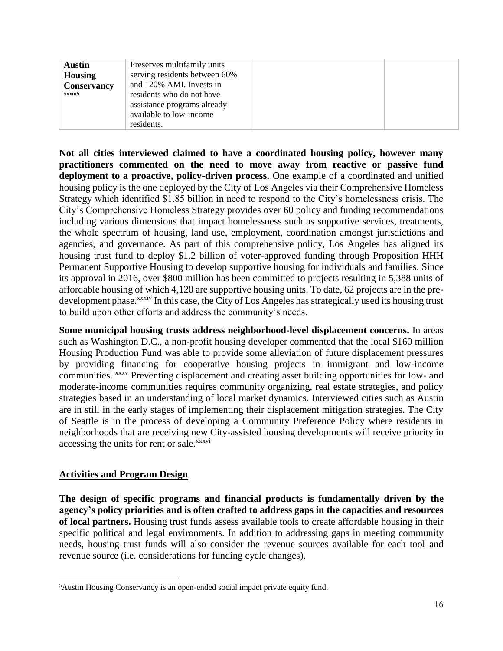| <b>Austin</b>      | Preserves multifamily units   |  |
|--------------------|-------------------------------|--|
| <b>Housing</b>     | serving residents between 60% |  |
| <b>Conservancy</b> | and 120% AMI. Invests in      |  |
| xxxiii5            | residents who do not have     |  |
|                    | assistance programs already   |  |
|                    | available to low-income       |  |
|                    | residents.                    |  |

**Not all cities interviewed claimed to have a coordinated housing policy, however many practitioners commented on the need to move away from reactive or passive fund deployment to a proactive, policy-driven process.** One example of a coordinated and unified housing policy is the one deployed by the City of Los Angeles via their Comprehensive Homeless Strategy which identified \$1.85 billion in need to respond to the City's homelessness crisis. The City's Comprehensive Homeless Strategy provides over 60 policy and funding recommendations including various dimensions that impact homelessness such as supportive services, treatments, the whole spectrum of housing, land use, employment, coordination amongst jurisdictions and agencies, and governance. As part of this comprehensive policy, Los Angeles has aligned its housing trust fund to deploy \$1.2 billion of voter-approved funding through Proposition HHH Permanent Supportive Housing to develop supportive housing for individuals and families. Since its approval in 2016, over \$800 million has been committed to projects resulting in 5,388 units of affordable housing of which 4,120 are supportive housing units. To date, 62 projects are in the predevelopment phase.<sup>xxxiv</sup> In this case, the City of Los Angeles has strategically used its housing trust to build upon other efforts and address the community's needs.

**Some municipal housing trusts address neighborhood-level displacement concerns.** In areas such as Washington D.C., a non-profit housing developer commented that the local \$160 million Housing Production Fund was able to provide some alleviation of future displacement pressures by providing financing for cooperative housing projects in immigrant and low-income communities. xxxv Preventing displacement and creating asset building opportunities for low- and moderate-income communities requires community organizing, real estate strategies, and policy strategies based in an understanding of local market dynamics. Interviewed cities such as Austin are in still in the early stages of implementing their displacement mitigation strategies. The City of Seattle is in the process of developing a Community Preference Policy where residents in neighborhoods that are receiving new City-assisted housing developments will receive priority in accessing the units for rent or sale.<sup>xxxvi</sup>

# **Activities and Program Design**

 $\overline{a}$ 

**The design of specific programs and financial products is fundamentally driven by the agency's policy priorities and is often crafted to address gaps in the capacities and resources of local partners.** Housing trust funds assess available tools to create affordable housing in their specific political and legal environments. In addition to addressing gaps in meeting community needs, housing trust funds will also consider the revenue sources available for each tool and revenue source (i.e. considerations for funding cycle changes).

<sup>5</sup>Austin Housing Conservancy is an open-ended social impact private equity fund.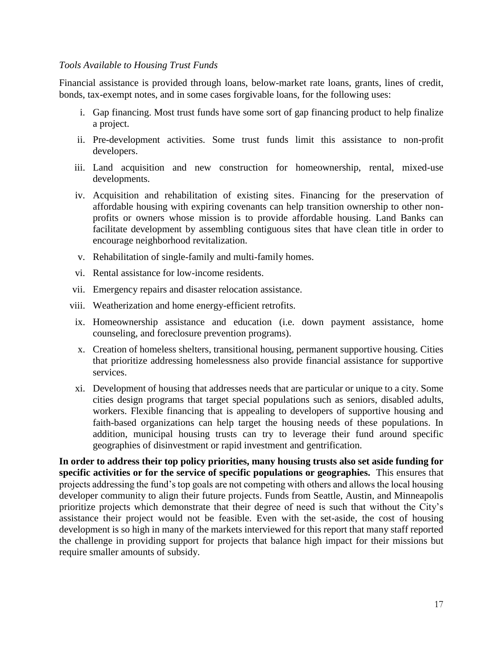#### *Tools Available to Housing Trust Funds*

Financial assistance is provided through loans, below-market rate loans, grants, lines of credit, bonds, tax-exempt notes, and in some cases forgivable loans, for the following uses:

- i. Gap financing. Most trust funds have some sort of gap financing product to help finalize a project.
- ii. Pre-development activities. Some trust funds limit this assistance to non-profit developers.
- iii. Land acquisition and new construction for homeownership, rental, mixed-use developments.
- iv. Acquisition and rehabilitation of existing sites. Financing for the preservation of affordable housing with expiring covenants can help transition ownership to other nonprofits or owners whose mission is to provide affordable housing. Land Banks can facilitate development by assembling contiguous sites that have clean title in order to encourage neighborhood revitalization.
- v. Rehabilitation of single-family and multi-family homes.
- vi. Rental assistance for low-income residents.
- vii. Emergency repairs and disaster relocation assistance.
- viii. Weatherization and home energy-efficient retrofits.
- ix. Homeownership assistance and education (i.e. down payment assistance, home counseling, and foreclosure prevention programs).
- x. Creation of homeless shelters, transitional housing, permanent supportive housing. Cities that prioritize addressing homelessness also provide financial assistance for supportive services.
- xi. Development of housing that addresses needs that are particular or unique to a city. Some cities design programs that target special populations such as seniors, disabled adults, workers. Flexible financing that is appealing to developers of supportive housing and faith-based organizations can help target the housing needs of these populations. In addition, municipal housing trusts can try to leverage their fund around specific geographies of disinvestment or rapid investment and gentrification.

**In order to address their top policy priorities, many housing trusts also set aside funding for specific activities or for the service of specific populations or geographies.** This ensures that projects addressing the fund's top goals are not competing with others and allows the local housing developer community to align their future projects. Funds from Seattle, Austin, and Minneapolis prioritize projects which demonstrate that their degree of need is such that without the City's assistance their project would not be feasible. Even with the set-aside, the cost of housing development is so high in many of the markets interviewed for this report that many staff reported the challenge in providing support for projects that balance high impact for their missions but require smaller amounts of subsidy.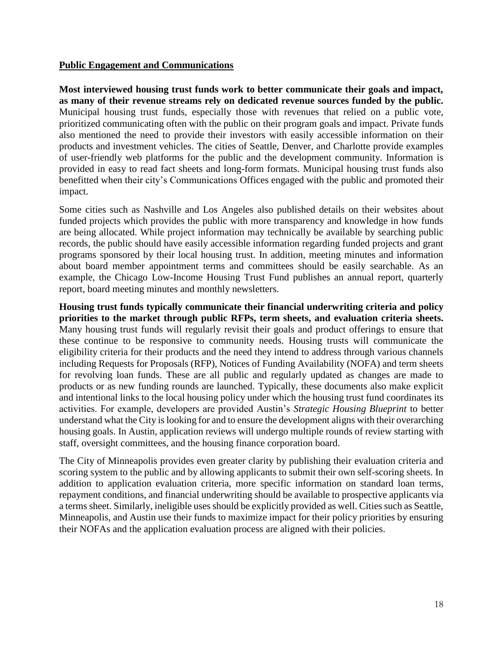### **Public Engagement and Communications**

**Most interviewed housing trust funds work to better communicate their goals and impact, as many of their revenue streams rely on dedicated revenue sources funded by the public.**  Municipal housing trust funds, especially those with revenues that relied on a public vote, prioritized communicating often with the public on their program goals and impact. Private funds also mentioned the need to provide their investors with easily accessible information on their products and investment vehicles. The cities of Seattle, Denver, and Charlotte provide examples of user-friendly web platforms for the public and the development community. Information is provided in easy to read fact sheets and long-form formats. Municipal housing trust funds also benefitted when their city's Communications Offices engaged with the public and promoted their impact.

Some cities such as Nashville and Los Angeles also published details on their websites about funded projects which provides the public with more transparency and knowledge in how funds are being allocated. While project information may technically be available by searching public records, the public should have easily accessible information regarding funded projects and grant programs sponsored by their local housing trust. In addition, meeting minutes and information about board member appointment terms and committees should be easily searchable. As an example, the Chicago Low-Income Housing Trust Fund publishes an annual report, quarterly report, board meeting minutes and monthly newsletters.

**Housing trust funds typically communicate their financial underwriting criteria and policy priorities to the market through public RFPs, term sheets, and evaluation criteria sheets.** Many housing trust funds will regularly revisit their goals and product offerings to ensure that these continue to be responsive to community needs. Housing trusts will communicate the eligibility criteria for their products and the need they intend to address through various channels including Requests for Proposals (RFP), Notices of Funding Availability (NOFA) and term sheets for revolving loan funds. These are all public and regularly updated as changes are made to products or as new funding rounds are launched. Typically, these documents also make explicit and intentional links to the local housing policy under which the housing trust fund coordinates its activities. For example, developers are provided Austin's *Strategic Housing Blueprint* to better understand what the City is looking for and to ensure the development aligns with their overarching housing goals. In Austin, application reviews will undergo multiple rounds of review starting with staff, oversight committees, and the housing finance corporation board.

The City of Minneapolis provides even greater clarity by publishing their evaluation criteria and scoring system to the public and by allowing applicants to submit their own self-scoring sheets. In addition to application evaluation criteria, more specific information on standard loan terms, repayment conditions, and financial underwriting should be available to prospective applicants via a terms sheet. Similarly, ineligible uses should be explicitly provided as well. Cities such as Seattle, Minneapolis, and Austin use their funds to maximize impact for their policy priorities by ensuring their NOFAs and the application evaluation process are aligned with their policies.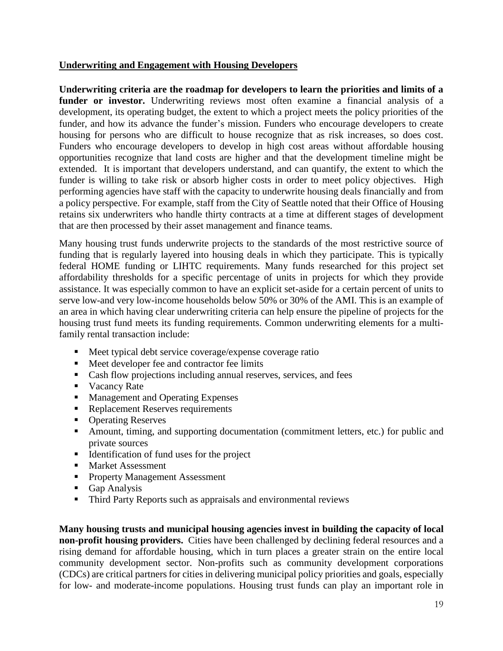# **Underwriting and Engagement with Housing Developers**

**Underwriting criteria are the roadmap for developers to learn the priorities and limits of a funder or investor.** Underwriting reviews most often examine a financial analysis of a development, its operating budget, the extent to which a project meets the policy priorities of the funder, and how its advance the funder's mission. Funders who encourage developers to create housing for persons who are difficult to house recognize that as risk increases, so does cost. Funders who encourage developers to develop in high cost areas without affordable housing opportunities recognize that land costs are higher and that the development timeline might be extended. It is important that developers understand, and can quantify, the extent to which the funder is willing to take risk or absorb higher costs in order to meet policy objectives. High performing agencies have staff with the capacity to underwrite housing deals financially and from a policy perspective. For example, staff from the City of Seattle noted that their Office of Housing retains six underwriters who handle thirty contracts at a time at different stages of development that are then processed by their asset management and finance teams.

Many housing trust funds underwrite projects to the standards of the most restrictive source of funding that is regularly layered into housing deals in which they participate. This is typically federal HOME funding or LIHTC requirements. Many funds researched for this project set affordability thresholds for a specific percentage of units in projects for which they provide assistance. It was especially common to have an explicit set-aside for a certain percent of units to serve low-and very low-income households below 50% or 30% of the AMI. This is an example of an area in which having clear underwriting criteria can help ensure the pipeline of projects for the housing trust fund meets its funding requirements. Common underwriting elements for a multifamily rental transaction include:

- Meet typical debt service coverage/expense coverage ratio
- Meet developer fee and contractor fee limits
- Cash flow projections including annual reserves, services, and fees
- Vacancy Rate
- Management and Operating Expenses
- Replacement Reserves requirements
- Operating Reserves
- Amount, timing, and supporting documentation (commitment letters, etc.) for public and private sources
- Identification of fund uses for the project
- Market Assessment
- Property Management Assessment
- Gap Analysis
- Third Party Reports such as appraisals and environmental reviews

**Many housing trusts and municipal housing agencies invest in building the capacity of local non-profit housing providers.** Cities have been challenged by declining federal resources and a rising demand for affordable housing, which in turn places a greater strain on the entire local community development sector. Non-profits such as community development corporations (CDCs) are critical partners for cities in delivering municipal policy priorities and goals, especially for low- and moderate-income populations. Housing trust funds can play an important role in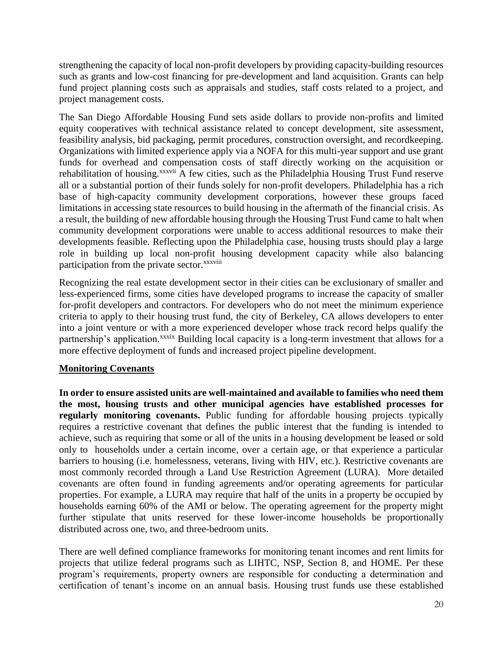strengthening the capacity of local non-profit developers by providing capacity-building resources such as grants and low-cost financing for pre-development and land acquisition. Grants can help fund project planning costs such as appraisals and studies, staff costs related to a project, and project management costs.

The San Diego Affordable Housing Fund sets aside dollars to provide non-profits and limited equity cooperatives with technical assistance related to concept development, site assessment, feasibility analysis, bid packaging, permit procedures, construction oversight, and recordkeeping. Organizations with limited experience apply via a NOFA for this multi-year support and use grant funds for overhead and compensation costs of staff directly working on the acquisition or rehabilitation of housing.<sup>xxxvii</sup> A few cities, such as the Philadelphia Housing Trust Fund reserve all or a substantial portion of their funds solely for non-profit developers. Philadelphia has a rich base of high-capacity community development corporations, however these groups faced limitations in accessing state resources to build housing in the aftermath of the financial crisis. As a result, the building of new affordable housing through the Housing Trust Fund came to halt when community development corporations were unable to access additional resources to make their developments feasible. Reflecting upon the Philadelphia case, housing trusts should play a large role in building up local non-profit housing development capacity while also balancing participation from the private sector.<sup>xxxviii</sup>

Recognizing the real estate development sector in their cities can be exclusionary of smaller and less-experienced firms, some cities have developed programs to increase the capacity of smaller for-profit developers and contractors. For developers who do not meet the minimum experience criteria to apply to their housing trust fund, the city of Berkeley, CA allows developers to enter into a joint venture or with a more experienced developer whose track record helps qualify the partnership's application.<sup>xxxix</sup> Building local capacity is a long-term investment that allows for a more effective deployment of funds and increased project pipeline development.

# **Monitoring Covenants**

**In order to ensure assisted units are well-maintained and available to families who need them the most, housing trusts and other municipal agencies have established processes for regularly monitoring covenants.** Public funding for affordable housing projects typically requires a restrictive covenant that defines the public interest that the funding is intended to achieve, such as requiring that some or all of the units in a housing development be leased or sold only to households under a certain income, over a certain age, or that experience a particular barriers to housing (i.e. homelessness, veterans, living with HIV, etc.). Restrictive covenants are most commonly recorded through a Land Use Restriction Agreement (LURA). More detailed covenants are often found in funding agreements and/or operating agreements for particular properties. For example, a LURA may require that half of the units in a property be occupied by households earning 60% of the AMI or below. The operating agreement for the property might further stipulate that units reserved for these lower-income households be proportionally distributed across one, two, and three-bedroom units.

There are well defined compliance frameworks for monitoring tenant incomes and rent limits for projects that utilize federal programs such as LIHTC, NSP, Section 8, and HOME. Per these program's requirements, property owners are responsible for conducting a determination and certification of tenant's income on an annual basis. Housing trust funds use these established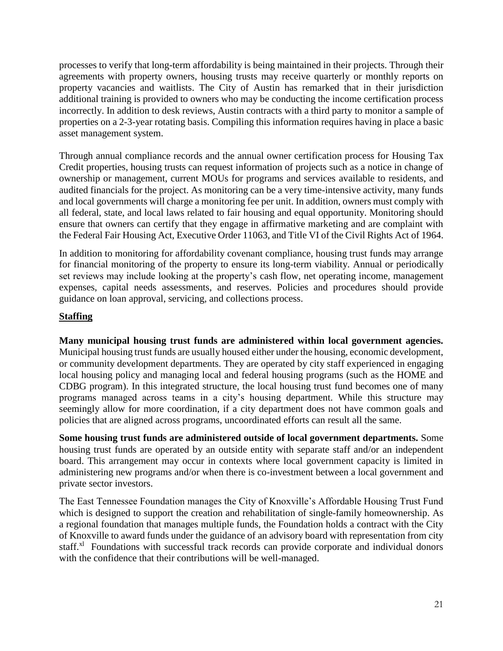processes to verify that long-term affordability is being maintained in their projects. Through their agreements with property owners, housing trusts may receive quarterly or monthly reports on property vacancies and waitlists. The City of Austin has remarked that in their jurisdiction additional training is provided to owners who may be conducting the income certification process incorrectly. In addition to desk reviews, Austin contracts with a third party to monitor a sample of properties on a 2-3-year rotating basis. Compiling this information requires having in place a basic asset management system.

Through annual compliance records and the annual owner certification process for Housing Tax Credit properties, housing trusts can request information of projects such as a notice in change of ownership or management, current MOUs for programs and services available to residents, and audited financials for the project. As monitoring can be a very time-intensive activity, many funds and local governments will charge a monitoring fee per unit. In addition, owners must comply with all federal, state, and local laws related to fair housing and equal opportunity. Monitoring should ensure that owners can certify that they engage in affirmative marketing and are complaint with the Federal Fair Housing Act, Executive Order 11063, and Title VI of the Civil Rights Act of 1964.

In addition to monitoring for affordability covenant compliance, housing trust funds may arrange for financial monitoring of the property to ensure its long-term viability. Annual or periodically set reviews may include looking at the property's cash flow, net operating income, management expenses, capital needs assessments, and reserves. Policies and procedures should provide guidance on loan approval, servicing, and collections process.

# **Staffing**

**Many municipal housing trust funds are administered within local government agencies.**  Municipal housing trust funds are usually housed either under the housing, economic development, or community development departments. They are operated by city staff experienced in engaging local housing policy and managing local and federal housing programs (such as the HOME and CDBG program). In this integrated structure, the local housing trust fund becomes one of many programs managed across teams in a city's housing department. While this structure may seemingly allow for more coordination, if a city department does not have common goals and policies that are aligned across programs, uncoordinated efforts can result all the same.

**Some housing trust funds are administered outside of local government departments.** Some housing trust funds are operated by an outside entity with separate staff and/or an independent board. This arrangement may occur in contexts where local government capacity is limited in administering new programs and/or when there is co-investment between a local government and private sector investors.

The East Tennessee Foundation manages the City of Knoxville's Affordable Housing Trust Fund which is designed to support the creation and rehabilitation of single-family homeownership. As a regional foundation that manages multiple funds, the Foundation holds a contract with the City of Knoxville to award funds under the guidance of an advisory board with representation from city staff.<sup>xl</sup> Foundations with successful track records can provide corporate and individual donors with the confidence that their contributions will be well-managed.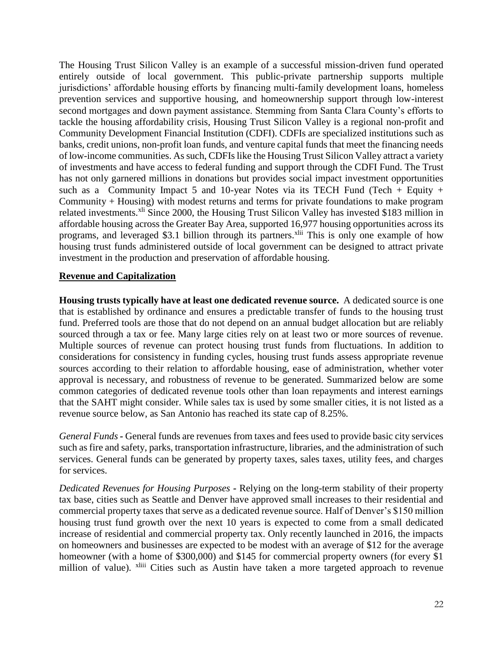The Housing Trust Silicon Valley is an example of a successful mission-driven fund operated entirely outside of local government. This public-private partnership supports multiple jurisdictions' affordable housing efforts by financing multi-family development loans, homeless prevention services and supportive housing, and homeownership support through low-interest second mortgages and down payment assistance. Stemming from Santa Clara County's efforts to tackle the housing affordability crisis, Housing Trust Silicon Valley is a regional non-profit and Community Development Financial Institution (CDFI). CDFIs are specialized institutions such as banks, credit unions, non-profit loan funds, and venture capital funds that meet the financing needs of low-income communities. As such, CDFIs like the Housing Trust Silicon Valley attract a variety of investments and have access to federal funding and support through the CDFI Fund. The Trust has not only garnered millions in donations but provides social impact investment opportunities such as a Community Impact 5 and 10-year Notes via its TECH Fund (Tech + Equity + Community + Housing) with modest returns and terms for private foundations to make program related investments.<sup>xli</sup> Since 2000, the Housing Trust Silicon Valley has invested \$183 million in affordable housing across the Greater Bay Area, supported 16,977 housing opportunities across its programs, and leveraged \$3.1 billion through its partners.<sup>xlii</sup> This is only one example of how housing trust funds administered outside of local government can be designed to attract private investment in the production and preservation of affordable housing.

### **Revenue and Capitalization**

**Housing trusts typically have at least one dedicated revenue source.** A dedicated source is one that is established by ordinance and ensures a predictable transfer of funds to the housing trust fund. Preferred tools are those that do not depend on an annual budget allocation but are reliably sourced through a tax or fee. Many large cities rely on at least two or more sources of revenue. Multiple sources of revenue can protect housing trust funds from fluctuations. In addition to considerations for consistency in funding cycles, housing trust funds assess appropriate revenue sources according to their relation to affordable housing, ease of administration, whether voter approval is necessary, and robustness of revenue to be generated. Summarized below are some common categories of dedicated revenue tools other than loan repayments and interest earnings that the SAHT might consider. While sales tax is used by some smaller cities, it is not listed as a revenue source below, as San Antonio has reached its state cap of 8.25%.

*General Funds -* General funds are revenues from taxes and fees used to provide basic city services such as fire and safety, parks, transportation infrastructure, libraries, and the administration of such services. General funds can be generated by property taxes, sales taxes, utility fees, and charges for services.

*Dedicated Revenues for Housing Purposes -* Relying on the long-term stability of their property tax base, cities such as Seattle and Denver have approved small increases to their residential and commercial property taxes that serve as a dedicated revenue source. Half of Denver's \$150 million housing trust fund growth over the next 10 years is expected to come from a small dedicated increase of residential and commercial property tax. Only recently launched in 2016, the impacts on homeowners and businesses are expected to be modest with an average of \$12 for the average homeowner (with a home of \$300,000) and \$145 for commercial property owners (for every \$1 million of value). <sup>xliii</sup> Cities such as Austin have taken a more targeted approach to revenue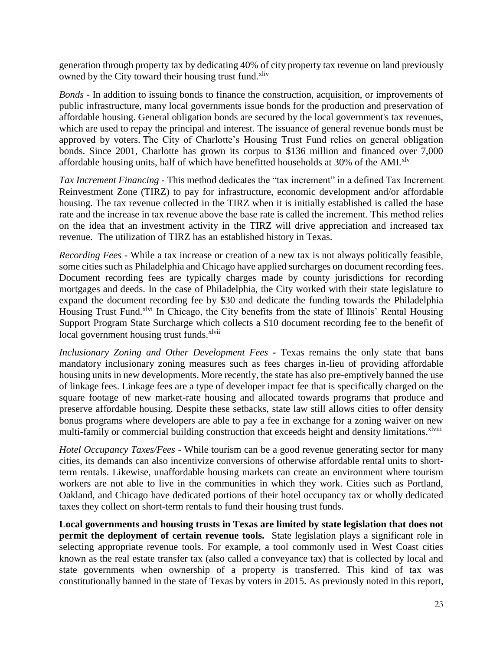generation through property tax by dedicating 40% of city property tax revenue on land previously owned by the City toward their housing trust fund.<sup>xliv</sup>

*Bonds -* In addition to issuing bonds to finance the construction, acquisition, or improvements of public infrastructure, many local governments issue bonds for the production and preservation of affordable housing. General obligation bonds are secured by the local government's tax revenues, which are used to repay the principal and interest. The issuance of general revenue bonds must be approved by voters. The City of Charlotte's Housing Trust Fund relies on general obligation bonds. Since 2001, Charlotte has grown its corpus to \$136 million and financed over 7,000 affordable housing units, half of which have benefitted households at  $30\%$  of the AMI.<sup>xlv</sup>

*Tax Increment Financing* - This method dedicates the "tax increment" in a defined Tax Increment Reinvestment Zone (TIRZ) to pay for infrastructure, economic development and/or affordable housing. The tax revenue collected in the TIRZ when it is initially established is called the base rate and the increase in tax revenue above the base rate is called the increment. This method relies on the idea that an investment activity in the TIRZ will drive appreciation and increased tax revenue. The utilization of TIRZ has an established history in Texas.

*Recording Fees* - While a tax increase or creation of a new tax is not always politically feasible, some cities such as Philadelphia and Chicago have applied surcharges on document recording fees. Document recording fees are typically charges made by county jurisdictions for recording mortgages and deeds. In the case of Philadelphia, the City worked with their state legislature to expand the document recording fee by \$30 and dedicate the funding towards the Philadelphia Housing Trust Fund.<sup>xlvi</sup> In Chicago, the City benefits from the state of Illinois' Rental Housing Support Program State Surcharge which collects a \$10 document recording fee to the benefit of local government housing trust funds.<sup>xlvii</sup>

*Inclusionary Zoning and Other Development Fees -* Texas remains the only state that bans mandatory inclusionary zoning measures such as fees charges in-lieu of providing affordable housing units in new developments. More recently, the state has also pre-emptively banned the use of linkage fees. Linkage fees are a type of developer impact fee that is specifically charged on the square footage of new market-rate housing and allocated towards programs that produce and preserve affordable housing. Despite these setbacks, state law still allows cities to offer density bonus programs where developers are able to pay a fee in exchange for a zoning waiver on new multi-family or commercial building construction that exceeds height and density limitations.<sup>xlviii</sup>

*Hotel Occupancy Taxes/Fees* **-** While tourism can be a good revenue generating sector for many cities, its demands can also incentivize conversions of otherwise affordable rental units to shortterm rentals. Likewise, unaffordable housing markets can create an environment where tourism workers are not able to live in the communities in which they work. Cities such as Portland, Oakland, and Chicago have dedicated portions of their hotel occupancy tax or wholly dedicated taxes they collect on short-term rentals to fund their housing trust funds.

**Local governments and housing trusts in Texas are limited by state legislation that does not permit the deployment of certain revenue tools.** State legislation plays a significant role in selecting appropriate revenue tools. For example, a tool commonly used in West Coast cities known as the real estate transfer tax (also called a conveyance tax) that is collected by local and state governments when ownership of a property is transferred. This kind of tax was constitutionally banned in the state of Texas by voters in 2015. As previously noted in this report,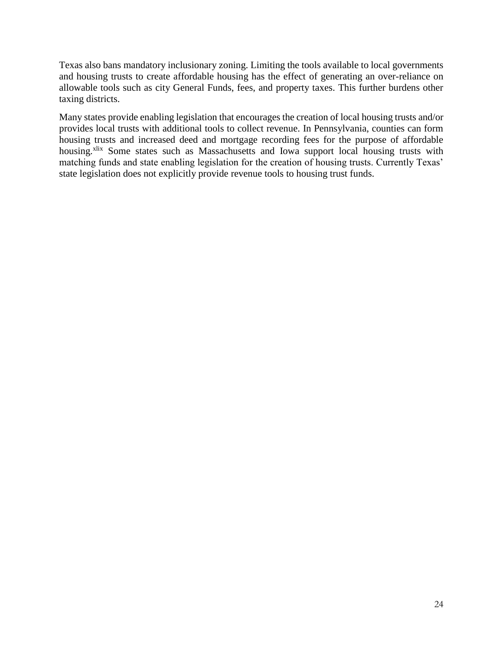Texas also bans mandatory inclusionary zoning. Limiting the tools available to local governments and housing trusts to create affordable housing has the effect of generating an over-reliance on allowable tools such as city General Funds, fees, and property taxes. This further burdens other taxing districts.

Many states provide enabling legislation that encourages the creation of local housing trusts and/or provides local trusts with additional tools to collect revenue. In Pennsylvania, counties can form housing trusts and increased deed and mortgage recording fees for the purpose of affordable housing.<sup>xlix</sup> Some states such as Massachusetts and Iowa support local housing trusts with matching funds and state enabling legislation for the creation of housing trusts. Currently Texas' state legislation does not explicitly provide revenue tools to housing trust funds.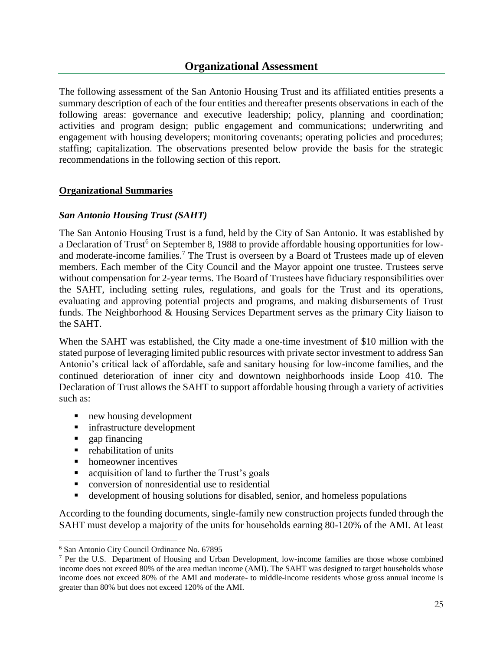The following assessment of the San Antonio Housing Trust and its affiliated entities presents a summary description of each of the four entities and thereafter presents observations in each of the following areas: governance and executive leadership; policy, planning and coordination; activities and program design; public engagement and communications; underwriting and engagement with housing developers; monitoring covenants; operating policies and procedures; staffing; capitalization. The observations presented below provide the basis for the strategic recommendations in the following section of this report.

# **Organizational Summaries**

### *San Antonio Housing Trust (SAHT)*

The San Antonio Housing Trust is a fund, held by the City of San Antonio. It was established by a Declaration of Trust<sup>6</sup> on September 8, 1988 to provide affordable housing opportunities for lowand moderate-income families.<sup>7</sup> The Trust is overseen by a Board of Trustees made up of eleven members. Each member of the City Council and the Mayor appoint one trustee. Trustees serve without compensation for 2-year terms. The Board of Trustees have fiduciary responsibilities over the SAHT, including setting rules, regulations, and goals for the Trust and its operations, evaluating and approving potential projects and programs, and making disbursements of Trust funds. The Neighborhood & Housing Services Department serves as the primary City liaison to the SAHT.

When the SAHT was established, the City made a one-time investment of \$10 million with the stated purpose of leveraging limited public resources with private sector investment to address San Antonio's critical lack of affordable, safe and sanitary housing for low-income families, and the continued deterioration of inner city and downtown neighborhoods inside Loop 410. The Declaration of Trust allows the SAHT to support affordable housing through a variety of activities such as:

- new housing development
- infrastructure development
- $\Box$  gap financing

 $\overline{a}$ 

- rehabilitation of units
- homeowner incentives
- acquisition of land to further the Trust's goals
- conversion of nonresidential use to residential
- development of housing solutions for disabled, senior, and homeless populations

According to the founding documents, single-family new construction projects funded through the SAHT must develop a majority of the units for households earning 80-120% of the AMI. At least

<sup>6</sup> San Antonio City Council Ordinance No. 67895

<sup>7</sup> Per the U.S. Department of Housing and Urban Development, low-income families are those whose combined income does not exceed 80% of the area median income (AMI). The SAHT was designed to target households whose income does not exceed 80% of the AMI and moderate- to middle-income residents whose gross annual income is greater than 80% but does not exceed 120% of the AMI.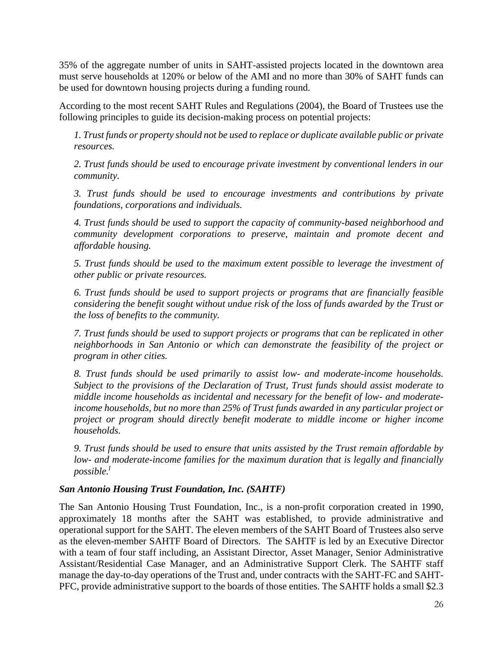35% of the aggregate number of units in SAHT-assisted projects located in the downtown area must serve households at 120% or below of the AMI and no more than 30% of SAHT funds can be used for downtown housing projects during a funding round.

According to the most recent SAHT Rules and Regulations (2004), the Board of Trustees use the following principles to guide its decision-making process on potential projects:

*1. Trust funds or property should not be used to replace or duplicate available public or private resources.*

*2. Trust funds should be used to encourage private investment by conventional lenders in our community.*

*3. Trust funds should be used to encourage investments and contributions by private foundations, corporations and individuals.*

*4. Trust funds should be used to support the capacity of community-based neighborhood and community development corporations to preserve, maintain and promote decent and affordable housing.*

*5. Trust funds should be used to the maximum extent possible to leverage the investment of other public or private resources.*

*6. Trust funds should be used to support projects or programs that are financially feasible considering the benefit sought without undue risk of the loss of funds awarded by the Trust or the loss of benefits to the community.*

*7. Trust funds should be used to support projects or programs that can be replicated in other neighborhoods in San Antonio or which can demonstrate the feasibility of the project or program in other cities.*

*8. Trust funds should be used primarily to assist low- and moderate-income households. Subject to the provisions of the Declaration of Trust, Trust funds should assist moderate to middle income households as incidental and necessary for the benefit of low- and moderateincome households, but no more than 25% of Trust funds awarded in any particular project or project or program should directly benefit moderate to middle income or higher income households.*

*9. Trust funds should be used to ensure that units assisted by the Trust remain affordable by low- and moderate-income families for the maximum duration that is legally and financially possible.<sup>l</sup>*

# *San Antonio Housing Trust Foundation, Inc. (SAHTF)*

The San Antonio Housing Trust Foundation, Inc., is a non-profit corporation created in 1990, approximately 18 months after the SAHT was established, to provide administrative and operational support for the SAHT. The eleven members of the SAHT Board of Trustees also serve as the eleven-member SAHTF Board of Directors. The SAHTF is led by an Executive Director with a team of four staff including, an Assistant Director, Asset Manager, Senior Administrative Assistant/Residential Case Manager, and an Administrative Support Clerk. The SAHTF staff manage the day-to-day operations of the Trust and, under contracts with the SAHT-FC and SAHT-PFC, provide administrative support to the boards of those entities. The SAHTF holds a small \$2.3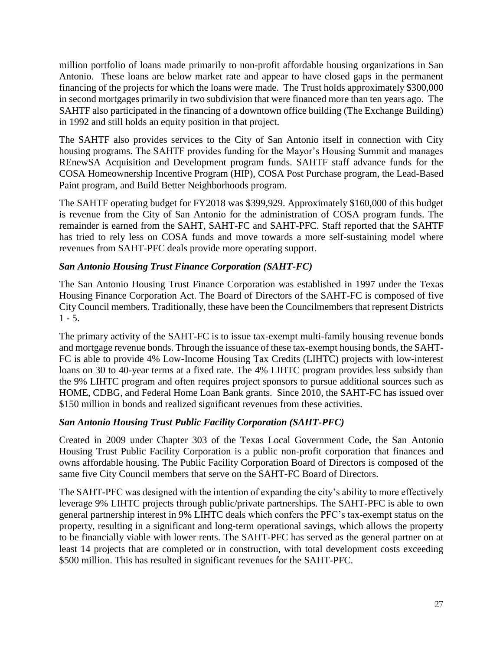million portfolio of loans made primarily to non-profit affordable housing organizations in San Antonio. These loans are below market rate and appear to have closed gaps in the permanent financing of the projects for which the loans were made. The Trust holds approximately \$300,000 in second mortgages primarily in two subdivision that were financed more than ten years ago. The SAHTF also participated in the financing of a downtown office building (The Exchange Building) in 1992 and still holds an equity position in that project.

The SAHTF also provides services to the City of San Antonio itself in connection with City housing programs. The SAHTF provides funding for the Mayor's Housing Summit and manages REnewSA Acquisition and Development program funds. SAHTF staff advance funds for the COSA Homeownership Incentive Program (HIP), COSA Post Purchase program, the Lead-Based Paint program, and Build Better Neighborhoods program.

The SAHTF operating budget for FY2018 was \$399,929. Approximately \$160,000 of this budget is revenue from the City of San Antonio for the administration of COSA program funds. The remainder is earned from the SAHT, SAHT-FC and SAHT-PFC. Staff reported that the SAHTF has tried to rely less on COSA funds and move towards a more self-sustaining model where revenues from SAHT-PFC deals provide more operating support.

# *San Antonio Housing Trust Finance Corporation (SAHT-FC)*

The San Antonio Housing Trust Finance Corporation was established in 1997 under the Texas Housing Finance Corporation Act. The Board of Directors of the SAHT-FC is composed of five City Council members. Traditionally, these have been the Councilmembers that represent Districts  $1 - 5$ .

The primary activity of the SAHT-FC is to issue tax-exempt multi-family housing revenue bonds and mortgage revenue bonds. Through the issuance of these tax-exempt housing bonds, the SAHT-FC is able to provide 4% Low-Income Housing Tax Credits (LIHTC) projects with low-interest loans on 30 to 40-year terms at a fixed rate. The 4% LIHTC program provides less subsidy than the 9% LIHTC program and often requires project sponsors to pursue additional sources such as HOME, CDBG, and Federal Home Loan Bank grants. Since 2010, the SAHT-FC has issued over \$150 million in bonds and realized significant revenues from these activities.

# *San Antonio Housing Trust Public Facility Corporation (SAHT-PFC)*

Created in 2009 under Chapter 303 of the Texas Local Government Code, the San Antonio Housing Trust Public Facility Corporation is a public non-profit corporation that finances and owns affordable housing. The Public Facility Corporation Board of Directors is composed of the same five City Council members that serve on the SAHT-FC Board of Directors.

The SAHT-PFC was designed with the intention of expanding the city's ability to more effectively leverage 9% LIHTC projects through public/private partnerships. The SAHT-PFC is able to own general partnership interest in 9% LIHTC deals which confers the PFC's tax-exempt status on the property, resulting in a significant and long-term operational savings, which allows the property to be financially viable with lower rents. The SAHT-PFC has served as the general partner on at least 14 projects that are completed or in construction, with total development costs exceeding \$500 million. This has resulted in significant revenues for the SAHT-PFC.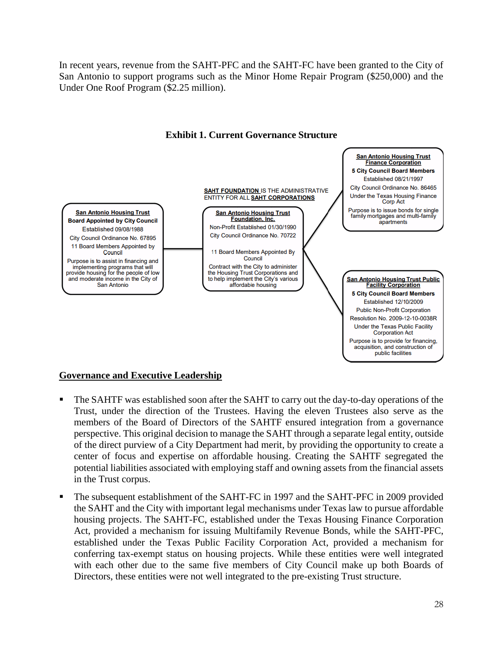In recent years, revenue from the SAHT-PFC and the SAHT-FC have been granted to the City of San Antonio to support programs such as the Minor Home Repair Program (\$250,000) and the Under One Roof Program (\$2.25 million).





### **Governance and Executive Leadership**

- The SAHTF was established soon after the SAHT to carry out the day-to-day operations of the Trust, under the direction of the Trustees. Having the eleven Trustees also serve as the members of the Board of Directors of the SAHTF ensured integration from a governance perspective. This original decision to manage the SAHT through a separate legal entity, outside of the direct purview of a City Department had merit, by providing the opportunity to create a center of focus and expertise on affordable housing. Creating the SAHTF segregated the potential liabilities associated with employing staff and owning assets from the financial assets in the Trust corpus.
- The subsequent establishment of the SAHT-FC in 1997 and the SAHT-PFC in 2009 provided the SAHT and the City with important legal mechanisms under Texas law to pursue affordable housing projects. The SAHT-FC, established under the Texas Housing Finance Corporation Act, provided a mechanism for issuing Multifamily Revenue Bonds, while the SAHT-PFC, established under the Texas Public Facility Corporation Act, provided a mechanism for conferring tax-exempt status on housing projects. While these entities were well integrated with each other due to the same five members of City Council make up both Boards of Directors, these entities were not well integrated to the pre-existing Trust structure.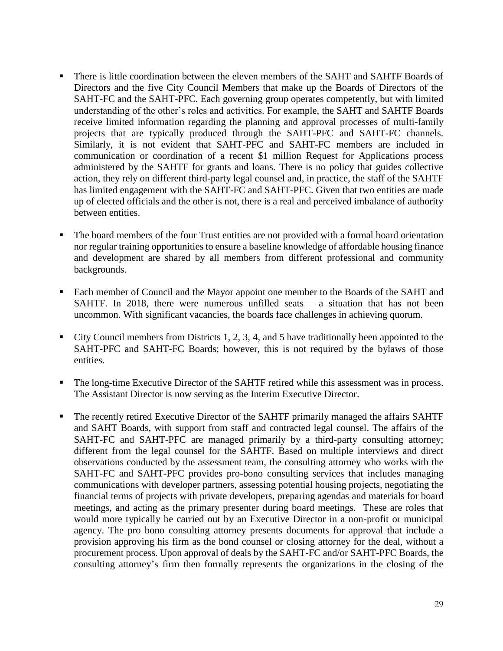- There is little coordination between the eleven members of the SAHT and SAHTF Boards of Directors and the five City Council Members that make up the Boards of Directors of the SAHT-FC and the SAHT-PFC. Each governing group operates competently, but with limited understanding of the other's roles and activities. For example, the SAHT and SAHTF Boards receive limited information regarding the planning and approval processes of multi-family projects that are typically produced through the SAHT-PFC and SAHT-FC channels. Similarly, it is not evident that SAHT-PFC and SAHT-FC members are included in communication or coordination of a recent \$1 million Request for Applications process administered by the SAHTF for grants and loans. There is no policy that guides collective action, they rely on different third-party legal counsel and, in practice, the staff of the SAHTF has limited engagement with the SAHT-FC and SAHT-PFC. Given that two entities are made up of elected officials and the other is not, there is a real and perceived imbalance of authority between entities.
- **•** The board members of the four Trust entities are not provided with a formal board orientation nor regular training opportunities to ensure a baseline knowledge of affordable housing finance and development are shared by all members from different professional and community backgrounds.
- Each member of Council and the Mayor appoint one member to the Boards of the SAHT and SAHTF. In 2018, there were numerous unfilled seats— a situation that has not been uncommon. With significant vacancies, the boards face challenges in achieving quorum.
- $\blacksquare$  City Council members from Districts 1, 2, 3, 4, and 5 have traditionally been appointed to the SAHT-PFC and SAHT-FC Boards; however, this is not required by the bylaws of those entities.
- The long-time Executive Director of the SAHTF retired while this assessment was in process. The Assistant Director is now serving as the Interim Executive Director.
- The recently retired Executive Director of the SAHTF primarily managed the affairs SAHTF and SAHT Boards, with support from staff and contracted legal counsel. The affairs of the SAHT-FC and SAHT-PFC are managed primarily by a third-party consulting attorney; different from the legal counsel for the SAHTF. Based on multiple interviews and direct observations conducted by the assessment team, the consulting attorney who works with the SAHT-FC and SAHT-PFC provides pro-bono consulting services that includes managing communications with developer partners, assessing potential housing projects, negotiating the financial terms of projects with private developers, preparing agendas and materials for board meetings, and acting as the primary presenter during board meetings. These are roles that would more typically be carried out by an Executive Director in a non-profit or municipal agency. The pro bono consulting attorney presents documents for approval that include a provision approving his firm as the bond counsel or closing attorney for the deal, without a procurement process. Upon approval of deals by the SAHT-FC and/or SAHT-PFC Boards, the consulting attorney's firm then formally represents the organizations in the closing of the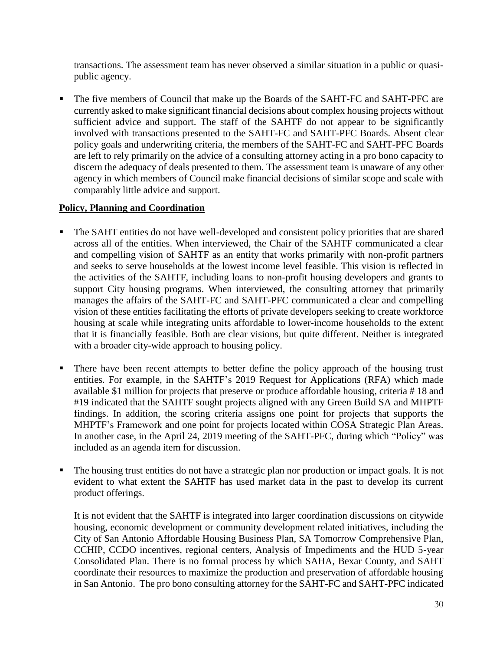transactions. The assessment team has never observed a similar situation in a public or quasipublic agency.

The five members of Council that make up the Boards of the SAHT-FC and SAHT-PFC are currently asked to make significant financial decisions about complex housing projects without sufficient advice and support. The staff of the SAHTF do not appear to be significantly involved with transactions presented to the SAHT-FC and SAHT-PFC Boards. Absent clear policy goals and underwriting criteria, the members of the SAHT-FC and SAHT-PFC Boards are left to rely primarily on the advice of a consulting attorney acting in a pro bono capacity to discern the adequacy of deals presented to them. The assessment team is unaware of any other agency in which members of Council make financial decisions of similar scope and scale with comparably little advice and support.

# **Policy, Planning and Coordination**

- The SAHT entities do not have well-developed and consistent policy priorities that are shared across all of the entities. When interviewed, the Chair of the SAHTF communicated a clear and compelling vision of SAHTF as an entity that works primarily with non-profit partners and seeks to serve households at the lowest income level feasible. This vision is reflected in the activities of the SAHTF, including loans to non-profit housing developers and grants to support City housing programs. When interviewed, the consulting attorney that primarily manages the affairs of the SAHT-FC and SAHT-PFC communicated a clear and compelling vision of these entities facilitating the efforts of private developers seeking to create workforce housing at scale while integrating units affordable to lower-income households to the extent that it is financially feasible. Both are clear visions, but quite different. Neither is integrated with a broader city-wide approach to housing policy.
- There have been recent attempts to better define the policy approach of the housing trust entities. For example, in the SAHTF's 2019 Request for Applications (RFA) which made available \$1 million for projects that preserve or produce affordable housing, criteria # 18 and #19 indicated that the SAHTF sought projects aligned with any Green Build SA and MHPTF findings. In addition, the scoring criteria assigns one point for projects that supports the MHPTF's Framework and one point for projects located within COSA Strategic Plan Areas. In another case, in the April 24, 2019 meeting of the SAHT-PFC, during which "Policy" was included as an agenda item for discussion.
- The housing trust entities do not have a strategic plan nor production or impact goals. It is not evident to what extent the SAHTF has used market data in the past to develop its current product offerings.

It is not evident that the SAHTF is integrated into larger coordination discussions on citywide housing, economic development or community development related initiatives, including the City of San Antonio Affordable Housing Business Plan, SA Tomorrow Comprehensive Plan, CCHIP, CCDO incentives, regional centers, Analysis of Impediments and the HUD 5-year Consolidated Plan. There is no formal process by which SAHA, Bexar County, and SAHT coordinate their resources to maximize the production and preservation of affordable housing in San Antonio. The pro bono consulting attorney for the SAHT-FC and SAHT-PFC indicated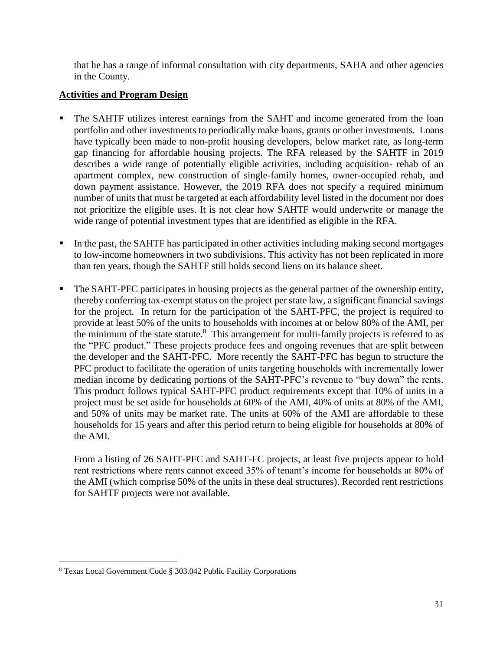that he has a range of informal consultation with city departments, SAHA and other agencies in the County.

# **Activities and Program Design**

- The SAHTF utilizes interest earnings from the SAHT and income generated from the loan portfolio and other investments to periodically make loans, grants or other investments. Loans have typically been made to non-profit housing developers, below market rate, as long-term gap financing for affordable housing projects. The RFA released by the SAHTF in 2019 describes a wide range of potentially eligible activities, including acquisition- rehab of an apartment complex, new construction of single-family homes, owner-occupied rehab, and down payment assistance. However, the 2019 RFA does not specify a required minimum number of units that must be targeted at each affordability level listed in the document nor does not prioritize the eligible uses. It is not clear how SAHTF would underwrite or manage the wide range of potential investment types that are identified as eligible in the RFA.
- In the past, the SAHTF has participated in other activities including making second mortgages to low-income homeowners in two subdivisions. This activity has not been replicated in more than ten years, though the SAHTF still holds second liens on its balance sheet.
- The SAHT-PFC participates in housing projects as the general partner of the ownership entity, thereby conferring tax-exempt status on the project per state law, a significant financial savings for the project. In return for the participation of the SAHT-PFC, the project is required to provide at least 50% of the units to households with incomes at or below 80% of the AMI, per the minimum of the state statute.<sup>8</sup> This arrangement for multi-family projects is referred to as the "PFC product." These projects produce fees and ongoing revenues that are split between the developer and the SAHT-PFC. More recently the SAHT-PFC has begun to structure the PFC product to facilitate the operation of units targeting households with incrementally lower median income by dedicating portions of the SAHT-PFC's revenue to "buy down" the rents. This product follows typical SAHT-PFC product requirements except that 10% of units in a project must be set aside for households at 60% of the AMI, 40% of units at 80% of the AMI, and 50% of units may be market rate. The units at 60% of the AMI are affordable to these households for 15 years and after this period return to being eligible for households at 80% of the AMI.

From a listing of 26 SAHT-PFC and SAHT-FC projects, at least five projects appear to hold rent restrictions where rents cannot exceed 35% of tenant's income for households at 80% of the AMI (which comprise 50% of the units in these deal structures). Recorded rent restrictions for SAHTF projects were not available.

 $\overline{a}$ 

<sup>8</sup> Texas Local Government Code § 303.042 Public Facility Corporations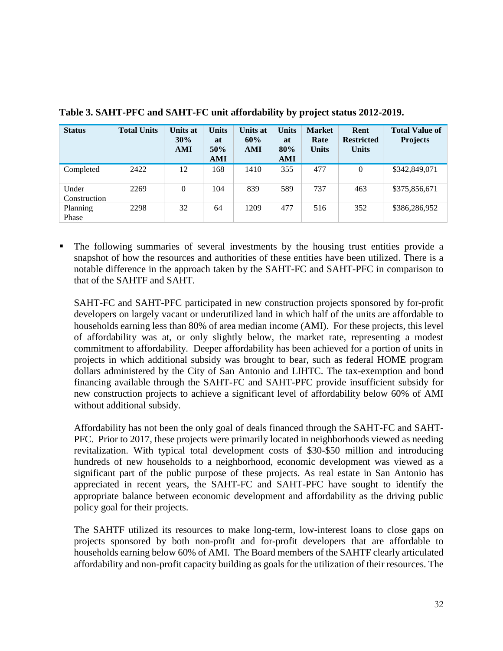| <b>Status</b>         | <b>Total Units</b> | Units at<br>30%<br>AMI | <b>Units</b><br>at<br>50%<br><b>AMI</b> | Units at<br>60%<br>AMI | <b>Units</b><br>at<br>80%<br><b>AMI</b> | <b>Market</b><br>Rate<br><b>Units</b> | Rent<br><b>Restricted</b><br><b>Units</b> | <b>Total Value of</b><br><b>Projects</b> |
|-----------------------|--------------------|------------------------|-----------------------------------------|------------------------|-----------------------------------------|---------------------------------------|-------------------------------------------|------------------------------------------|
| Completed             | 2422               | 12                     | 168                                     | 1410                   | 355                                     | 477                                   | $\mathbf{0}$                              | \$342,849,071                            |
| Under<br>Construction | 2269               | $\theta$               | 104                                     | 839                    | 589                                     | 737                                   | 463                                       | \$375,856,671                            |
| Planning<br>Phase     | 2298               | 32                     | 64                                      | 1209                   | 477                                     | 516                                   | 352                                       | \$386,286,952                            |

**Table 3. SAHT-PFC and SAHT-FC unit affordability by project status 2012-2019.**

The following summaries of several investments by the housing trust entities provide a snapshot of how the resources and authorities of these entities have been utilized. There is a notable difference in the approach taken by the SAHT-FC and SAHT-PFC in comparison to that of the SAHTF and SAHT.

SAHT-FC and SAHT-PFC participated in new construction projects sponsored by for-profit developers on largely vacant or underutilized land in which half of the units are affordable to households earning less than 80% of area median income (AMI). For these projects, this level of affordability was at, or only slightly below, the market rate, representing a modest commitment to affordability. Deeper affordability has been achieved for a portion of units in projects in which additional subsidy was brought to bear, such as federal HOME program dollars administered by the City of San Antonio and LIHTC. The tax-exemption and bond financing available through the SAHT-FC and SAHT-PFC provide insufficient subsidy for new construction projects to achieve a significant level of affordability below 60% of AMI without additional subsidy.

Affordability has not been the only goal of deals financed through the SAHT-FC and SAHT-PFC. Prior to 2017, these projects were primarily located in neighborhoods viewed as needing revitalization. With typical total development costs of \$30-\$50 million and introducing hundreds of new households to a neighborhood, economic development was viewed as a significant part of the public purpose of these projects. As real estate in San Antonio has appreciated in recent years, the SAHT-FC and SAHT-PFC have sought to identify the appropriate balance between economic development and affordability as the driving public policy goal for their projects.

The SAHTF utilized its resources to make long-term, low-interest loans to close gaps on projects sponsored by both non-profit and for-profit developers that are affordable to households earning below 60% of AMI. The Board members of the SAHTF clearly articulated affordability and non-profit capacity building as goals for the utilization of their resources. The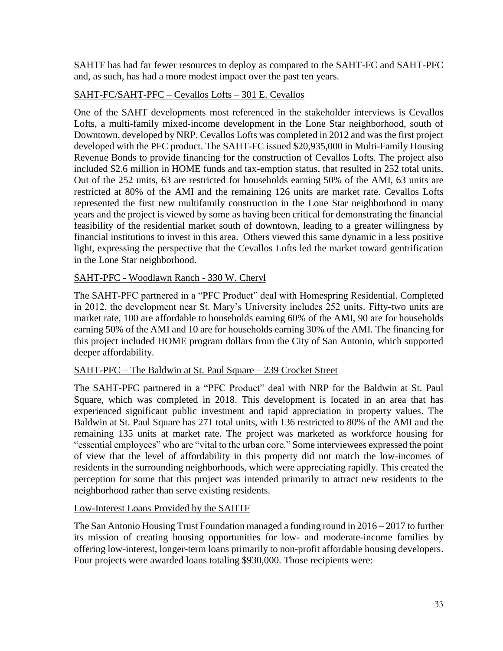SAHTF has had far fewer resources to deploy as compared to the SAHT-FC and SAHT-PFC and, as such, has had a more modest impact over the past ten years.

# SAHT-FC/SAHT-PFC – Cevallos Lofts – 301 E. Cevallos

One of the SAHT developments most referenced in the stakeholder interviews is Cevallos Lofts, a multi-family mixed-income development in the Lone Star neighborhood, south of Downtown, developed by NRP. Cevallos Lofts was completed in 2012 and was the first project developed with the PFC product. The SAHT-FC issued \$20,935,000 in Multi-Family Housing Revenue Bonds to provide financing for the construction of Cevallos Lofts. The project also included \$2.6 million in HOME funds and tax-emption status, that resulted in 252 total units. Out of the 252 units, 63 are restricted for households earning 50% of the AMI, 63 units are restricted at 80% of the AMI and the remaining 126 units are market rate. Cevallos Lofts represented the first new multifamily construction in the Lone Star neighborhood in many years and the project is viewed by some as having been critical for demonstrating the financial feasibility of the residential market south of downtown, leading to a greater willingness by financial institutions to invest in this area. Others viewed this same dynamic in a less positive light, expressing the perspective that the Cevallos Lofts led the market toward gentrification in the Lone Star neighborhood.

# SAHT-PFC - Woodlawn Ranch - 330 W. Cheryl

The SAHT-PFC partnered in a "PFC Product" deal with Homespring Residential. Completed in 2012, the development near St. Mary's University includes 252 units. Fifty-two units are market rate, 100 are affordable to households earning 60% of the AMI, 90 are for households earning 50% of the AMI and 10 are for households earning 30% of the AMI. The financing for this project included HOME program dollars from the City of San Antonio, which supported deeper affordability.

# SAHT-PFC – The Baldwin at St. Paul Square – 239 Crocket Street

The SAHT-PFC partnered in a "PFC Product" deal with NRP for the Baldwin at St. Paul Square, which was completed in 2018. This development is located in an area that has experienced significant public investment and rapid appreciation in property values. The Baldwin at St. Paul Square has 271 total units, with 136 restricted to 80% of the AMI and the remaining 135 units at market rate. The project was marketed as workforce housing for "essential employees" who are "vital to the urban core." Some interviewees expressed the point of view that the level of affordability in this property did not match the low-incomes of residents in the surrounding neighborhoods, which were appreciating rapidly. This created the perception for some that this project was intended primarily to attract new residents to the neighborhood rather than serve existing residents.

# Low-Interest Loans Provided by the SAHTF

The San Antonio Housing Trust Foundation managed a funding round in 2016 – 2017 to further its mission of creating housing opportunities for low- and moderate-income families by offering low-interest, longer-term loans primarily to non-profit affordable housing developers. Four projects were awarded loans totaling \$930,000. Those recipients were: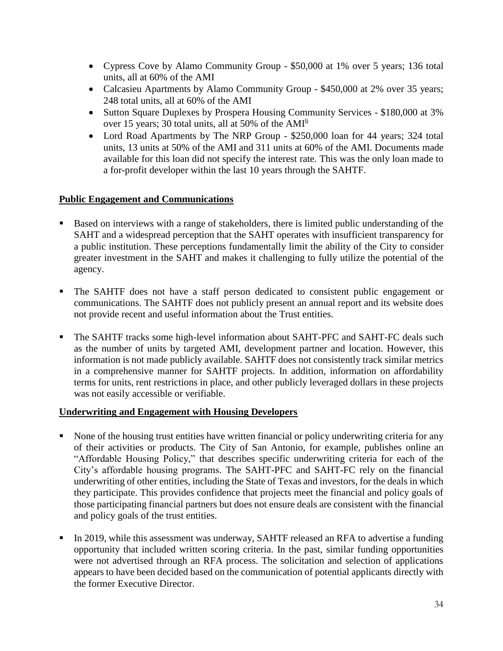- Cypress Cove by Alamo Community Group \$50,000 at 1% over 5 years; 136 total units, all at 60% of the AMI
- Calcasieu Apartments by Alamo Community Group \$450,000 at 2% over 35 years; 248 total units, all at 60% of the AMI
- Sutton Square Duplexes by Prospera Housing Community Services \$180,000 at 3% over 15 years; 30 total units, all at 50% of the AMIli
- Lord Road Apartments by The NRP Group \$250,000 loan for 44 years; 324 total units, 13 units at 50% of the AMI and 311 units at 60% of the AMI. Documents made available for this loan did not specify the interest rate. This was the only loan made to a for-profit developer within the last 10 years through the SAHTF.

### **Public Engagement and Communications**

- Based on interviews with a range of stakeholders, there is limited public understanding of the SAHT and a widespread perception that the SAHT operates with insufficient transparency for a public institution. These perceptions fundamentally limit the ability of the City to consider greater investment in the SAHT and makes it challenging to fully utilize the potential of the agency.
- The SAHTF does not have a staff person dedicated to consistent public engagement or communications. The SAHTF does not publicly present an annual report and its website does not provide recent and useful information about the Trust entities.
- The SAHTF tracks some high-level information about SAHT-PFC and SAHT-FC deals such as the number of units by targeted AMI, development partner and location. However, this information is not made publicly available. SAHTF does not consistently track similar metrics in a comprehensive manner for SAHTF projects. In addition, information on affordability terms for units, rent restrictions in place, and other publicly leveraged dollars in these projects was not easily accessible or verifiable.

### **Underwriting and Engagement with Housing Developers**

- None of the housing trust entities have written financial or policy underwriting criteria for any of their activities or products. The City of San Antonio, for example, publishes online an "Affordable Housing Policy," that describes specific underwriting criteria for each of the City's affordable housing programs. The SAHT-PFC and SAHT-FC rely on the financial underwriting of other entities, including the State of Texas and investors, for the deals in which they participate. This provides confidence that projects meet the financial and policy goals of those participating financial partners but does not ensure deals are consistent with the financial and policy goals of the trust entities.
- In 2019, while this assessment was underway, SAHTF released an RFA to advertise a funding opportunity that included written scoring criteria. In the past, similar funding opportunities were not advertised through an RFA process. The solicitation and selection of applications appears to have been decided based on the communication of potential applicants directly with the former Executive Director.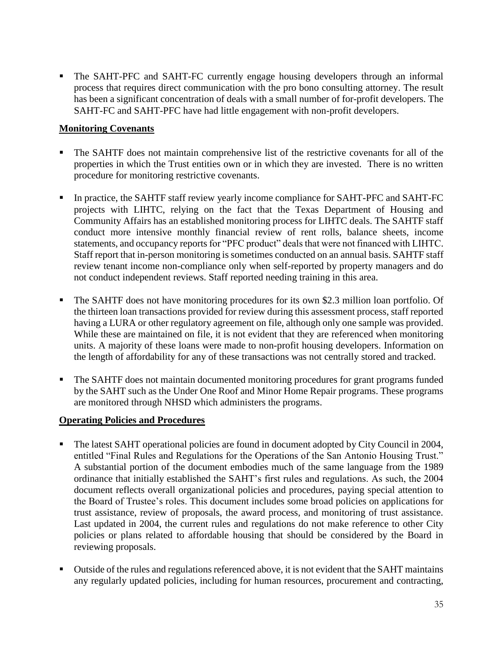The SAHT-PFC and SAHT-FC currently engage housing developers through an informal process that requires direct communication with the pro bono consulting attorney. The result has been a significant concentration of deals with a small number of for-profit developers. The SAHT-FC and SAHT-PFC have had little engagement with non-profit developers.

# **Monitoring Covenants**

- The SAHTF does not maintain comprehensive list of the restrictive covenants for all of the properties in which the Trust entities own or in which they are invested. There is no written procedure for monitoring restrictive covenants.
- In practice, the SAHTF staff review yearly income compliance for SAHT-PFC and SAHT-FC projects with LIHTC, relying on the fact that the Texas Department of Housing and Community Affairs has an established monitoring process for LIHTC deals. The SAHTF staff conduct more intensive monthly financial review of rent rolls, balance sheets, income statements, and occupancy reports for "PFC product" deals that were not financed with LIHTC. Staff report that in-person monitoring is sometimes conducted on an annual basis. SAHTF staff review tenant income non-compliance only when self-reported by property managers and do not conduct independent reviews. Staff reported needing training in this area.
- The SAHTF does not have monitoring procedures for its own \$2.3 million loan portfolio. Of the thirteen loan transactions provided for review during this assessment process, staff reported having a LURA or other regulatory agreement on file, although only one sample was provided. While these are maintained on file, it is not evident that they are referenced when monitoring units. A majority of these loans were made to non-profit housing developers. Information on the length of affordability for any of these transactions was not centrally stored and tracked.
- The SAHTF does not maintain documented monitoring procedures for grant programs funded by the SAHT such as the Under One Roof and Minor Home Repair programs. These programs are monitored through NHSD which administers the programs.

# **Operating Policies and Procedures**

- The latest SAHT operational policies are found in document adopted by City Council in 2004, entitled "Final Rules and Regulations for the Operations of the San Antonio Housing Trust." A substantial portion of the document embodies much of the same language from the 1989 ordinance that initially established the SAHT's first rules and regulations. As such, the 2004 document reflects overall organizational policies and procedures, paying special attention to the Board of Trustee's roles. This document includes some broad policies on applications for trust assistance, review of proposals, the award process, and monitoring of trust assistance. Last updated in 2004, the current rules and regulations do not make reference to other City policies or plans related to affordable housing that should be considered by the Board in reviewing proposals.
- Outside of the rules and regulations referenced above, it is not evident that the SAHT maintains any regularly updated policies, including for human resources, procurement and contracting,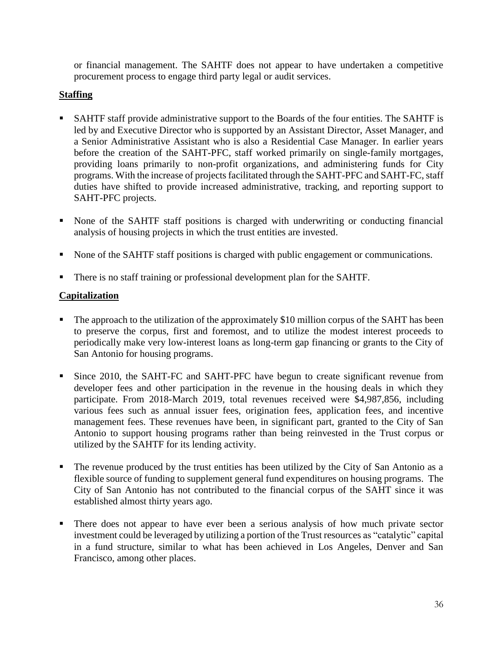or financial management. The SAHTF does not appear to have undertaken a competitive procurement process to engage third party legal or audit services.

# **Staffing**

- **SAHTF** staff provide administrative support to the Boards of the four entities. The SAHTF is led by and Executive Director who is supported by an Assistant Director, Asset Manager, and a Senior Administrative Assistant who is also a Residential Case Manager. In earlier years before the creation of the SAHT-PFC, staff worked primarily on single-family mortgages, providing loans primarily to non-profit organizations, and administering funds for City programs. With the increase of projects facilitated through the SAHT-PFC and SAHT-FC, staff duties have shifted to provide increased administrative, tracking, and reporting support to SAHT-PFC projects.
- None of the SAHTF staff positions is charged with underwriting or conducting financial analysis of housing projects in which the trust entities are invested.
- None of the SAHTF staff positions is charged with public engagement or communications.
- There is no staff training or professional development plan for the SAHTF.

# **Capitalization**

- The approach to the utilization of the approximately \$10 million corpus of the SAHT has been to preserve the corpus, first and foremost, and to utilize the modest interest proceeds to periodically make very low-interest loans as long-term gap financing or grants to the City of San Antonio for housing programs.
- Since 2010, the SAHT-FC and SAHT-PFC have begun to create significant revenue from developer fees and other participation in the revenue in the housing deals in which they participate. From 2018-March 2019, total revenues received were \$4,987,856, including various fees such as annual issuer fees, origination fees, application fees, and incentive management fees. These revenues have been, in significant part, granted to the City of San Antonio to support housing programs rather than being reinvested in the Trust corpus or utilized by the SAHTF for its lending activity.
- The revenue produced by the trust entities has been utilized by the City of San Antonio as a flexible source of funding to supplement general fund expenditures on housing programs. The City of San Antonio has not contributed to the financial corpus of the SAHT since it was established almost thirty years ago.
- There does not appear to have ever been a serious analysis of how much private sector investment could be leveraged by utilizing a portion of the Trust resources as "catalytic" capital in a fund structure, similar to what has been achieved in Los Angeles, Denver and San Francisco, among other places.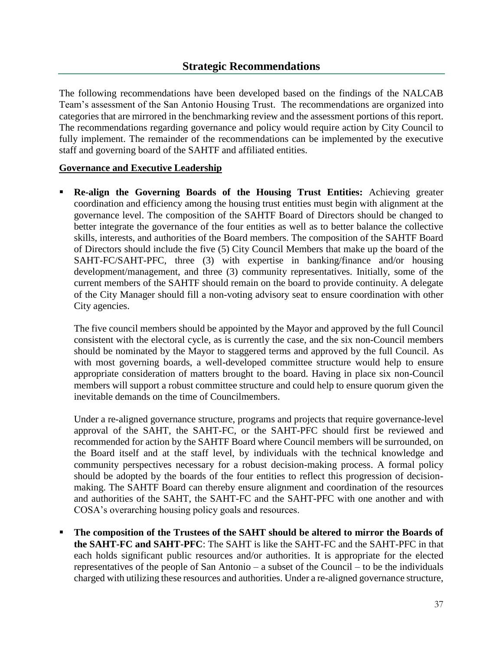The following recommendations have been developed based on the findings of the NALCAB Team's assessment of the San Antonio Housing Trust. The recommendations are organized into categories that are mirrored in the benchmarking review and the assessment portions of this report. The recommendations regarding governance and policy would require action by City Council to fully implement. The remainder of the recommendations can be implemented by the executive staff and governing board of the SAHTF and affiliated entities.

# **Governance and Executive Leadership**

**Re-align the Governing Boards of the Housing Trust Entities:** Achieving greater coordination and efficiency among the housing trust entities must begin with alignment at the governance level. The composition of the SAHTF Board of Directors should be changed to better integrate the governance of the four entities as well as to better balance the collective skills, interests, and authorities of the Board members. The composition of the SAHTF Board of Directors should include the five (5) City Council Members that make up the board of the SAHT-FC/SAHT-PFC, three (3) with expertise in banking/finance and/or housing development/management, and three (3) community representatives. Initially, some of the current members of the SAHTF should remain on the board to provide continuity. A delegate of the City Manager should fill a non-voting advisory seat to ensure coordination with other City agencies.

The five council members should be appointed by the Mayor and approved by the full Council consistent with the electoral cycle, as is currently the case, and the six non-Council members should be nominated by the Mayor to staggered terms and approved by the full Council. As with most governing boards, a well-developed committee structure would help to ensure appropriate consideration of matters brought to the board. Having in place six non-Council members will support a robust committee structure and could help to ensure quorum given the inevitable demands on the time of Councilmembers.

Under a re-aligned governance structure, programs and projects that require governance-level approval of the SAHT, the SAHT-FC, or the SAHT-PFC should first be reviewed and recommended for action by the SAHTF Board where Council members will be surrounded, on the Board itself and at the staff level, by individuals with the technical knowledge and community perspectives necessary for a robust decision-making process. A formal policy should be adopted by the boards of the four entities to reflect this progression of decisionmaking. The SAHTF Board can thereby ensure alignment and coordination of the resources and authorities of the SAHT, the SAHT-FC and the SAHT-PFC with one another and with COSA's overarching housing policy goals and resources.

▪ **The composition of the Trustees of the SAHT should be altered to mirror the Boards of the SAHT-FC and SAHT-PFC**: The SAHT is like the SAHT-FC and the SAHT-PFC in that each holds significant public resources and/or authorities. It is appropriate for the elected representatives of the people of San Antonio – a subset of the Council – to be the individuals charged with utilizing these resources and authorities. Under a re-aligned governance structure,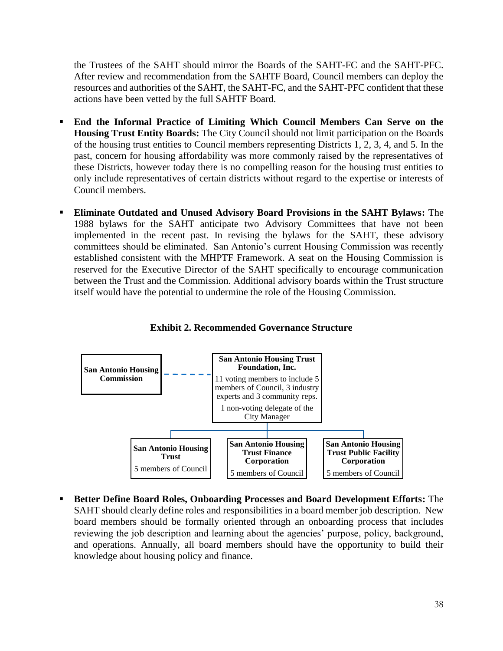the Trustees of the SAHT should mirror the Boards of the SAHT-FC and the SAHT-PFC. After review and recommendation from the SAHTF Board, Council members can deploy the resources and authorities of the SAHT, the SAHT-FC, and the SAHT-PFC confident that these actions have been vetted by the full SAHTF Board.

- End the Informal Practice of Limiting Which Council Members Can Serve on the **Housing Trust Entity Boards:** The City Council should not limit participation on the Boards of the housing trust entities to Council members representing Districts 1, 2, 3, 4, and 5. In the past, concern for housing affordability was more commonly raised by the representatives of these Districts, however today there is no compelling reason for the housing trust entities to only include representatives of certain districts without regard to the expertise or interests of Council members.
- **Eliminate Outdated and Unused Advisory Board Provisions in the SAHT Bylaws:** The 1988 bylaws for the SAHT anticipate two Advisory Committees that have not been implemented in the recent past. In revising the bylaws for the SAHT, these advisory committees should be eliminated. San Antonio's current Housing Commission was recently established consistent with the MHPTF Framework. A seat on the Housing Commission is reserved for the Executive Director of the SAHT specifically to encourage communication between the Trust and the Commission. Additional advisory boards within the Trust structure itself would have the potential to undermine the role of the Housing Commission.



**Exhibit 2. Recommended Governance Structure**

▪ **Better Define Board Roles, Onboarding Processes and Board Development Efforts:** The SAHT should clearly define roles and responsibilities in a board member job description. New board members should be formally oriented through an onboarding process that includes reviewing the job description and learning about the agencies' purpose, policy, background, and operations. Annually, all board members should have the opportunity to build their knowledge about housing policy and finance.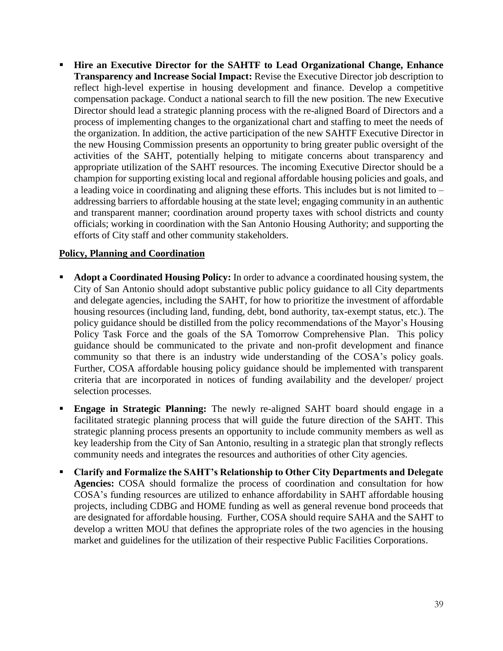**Hire an Executive Director for the SAHTF to Lead Organizational Change, Enhance Transparency and Increase Social Impact:** Revise the Executive Director job description to reflect high-level expertise in housing development and finance. Develop a competitive compensation package. Conduct a national search to fill the new position. The new Executive Director should lead a strategic planning process with the re-aligned Board of Directors and a process of implementing changes to the organizational chart and staffing to meet the needs of the organization. In addition, the active participation of the new SAHTF Executive Director in the new Housing Commission presents an opportunity to bring greater public oversight of the activities of the SAHT, potentially helping to mitigate concerns about transparency and appropriate utilization of the SAHT resources. The incoming Executive Director should be a champion for supporting existing local and regional affordable housing policies and goals, and a leading voice in coordinating and aligning these efforts. This includes but is not limited to – addressing barriers to affordable housing at the state level; engaging community in an authentic and transparent manner; coordination around property taxes with school districts and county officials; working in coordination with the San Antonio Housing Authority; and supporting the efforts of City staff and other community stakeholders.

# **Policy, Planning and Coordination**

- Adopt a Coordinated Housing Policy: In order to advance a coordinated housing system, the City of San Antonio should adopt substantive public policy guidance to all City departments and delegate agencies, including the SAHT, for how to prioritize the investment of affordable housing resources (including land, funding, debt, bond authority, tax-exempt status, etc.). The policy guidance should be distilled from the policy recommendations of the Mayor's Housing Policy Task Force and the goals of the SA Tomorrow Comprehensive Plan. This policy guidance should be communicated to the private and non-profit development and finance community so that there is an industry wide understanding of the COSA's policy goals. Further, COSA affordable housing policy guidance should be implemented with transparent criteria that are incorporated in notices of funding availability and the developer/ project selection processes.
- **Engage in Strategic Planning:** The newly re-aligned SAHT board should engage in a facilitated strategic planning process that will guide the future direction of the SAHT. This strategic planning process presents an opportunity to include community members as well as key leadership from the City of San Antonio, resulting in a strategic plan that strongly reflects community needs and integrates the resources and authorities of other City agencies.
- **Clarify and Formalize the SAHT's Relationship to Other City Departments and Delegate Agencies:** COSA should formalize the process of coordination and consultation for how COSA's funding resources are utilized to enhance affordability in SAHT affordable housing projects, including CDBG and HOME funding as well as general revenue bond proceeds that are designated for affordable housing. Further, COSA should require SAHA and the SAHT to develop a written MOU that defines the appropriate roles of the two agencies in the housing market and guidelines for the utilization of their respective Public Facilities Corporations.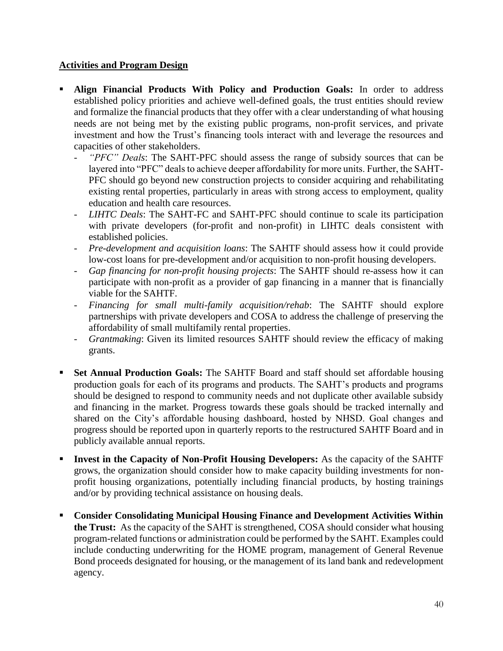# **Activities and Program Design**

- **Align Financial Products With Policy and Production Goals:** In order to address established policy priorities and achieve well-defined goals, the trust entities should review and formalize the financial products that they offer with a clear understanding of what housing needs are not being met by the existing public programs, non-profit services, and private investment and how the Trust's financing tools interact with and leverage the resources and capacities of other stakeholders.
	- *"PFC" Deals*: The SAHT-PFC should assess the range of subsidy sources that can be layered into "PFC" deals to achieve deeper affordability for more units. Further, the SAHT-PFC should go beyond new construction projects to consider acquiring and rehabilitating existing rental properties, particularly in areas with strong access to employment, quality education and health care resources.
	- *LIHTC Deals*: The SAHT-FC and SAHT-PFC should continue to scale its participation with private developers (for-profit and non-profit) in LIHTC deals consistent with established policies.
	- *Pre-development and acquisition loans*: The SAHTF should assess how it could provide low-cost loans for pre-development and/or acquisition to non-profit housing developers.
	- *Gap financing for non-profit housing projects*: The SAHTF should re-assess how it can participate with non-profit as a provider of gap financing in a manner that is financially viable for the SAHTF.
	- *Financing for small multi-family acquisition/rehab*: The SAHTF should explore partnerships with private developers and COSA to address the challenge of preserving the affordability of small multifamily rental properties.
	- *Grantmaking*: Given its limited resources SAHTF should review the efficacy of making grants.
- **Set Annual Production Goals:** The SAHTF Board and staff should set affordable housing production goals for each of its programs and products. The SAHT's products and programs should be designed to respond to community needs and not duplicate other available subsidy and financing in the market. Progress towards these goals should be tracked internally and shared on the City's affordable housing dashboard, hosted by NHSD. Goal changes and progress should be reported upon in quarterly reports to the restructured SAHTF Board and in publicly available annual reports.
- **Invest in the Capacity of Non-Profit Housing Developers:** As the capacity of the SAHTF grows, the organization should consider how to make capacity building investments for nonprofit housing organizations, potentially including financial products, by hosting trainings and/or by providing technical assistance on housing deals.
- **Consider Consolidating Municipal Housing Finance and Development Activities Within the Trust:** As the capacity of the SAHT is strengthened, COSA should consider what housing program-related functions or administration could be performed by the SAHT. Examples could include conducting underwriting for the HOME program, management of General Revenue Bond proceeds designated for housing, or the management of its land bank and redevelopment agency.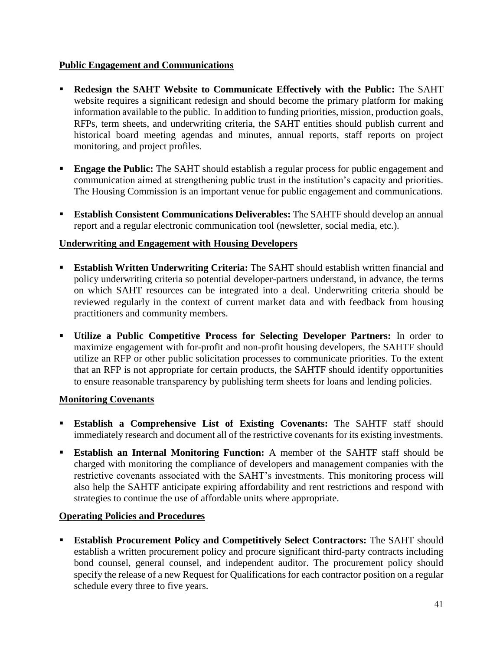# **Public Engagement and Communications**

- **Redesign the SAHT Website to Communicate Effectively with the Public:** The SAHT website requires a significant redesign and should become the primary platform for making information available to the public. In addition to funding priorities, mission, production goals, RFPs, term sheets, and underwriting criteria, the SAHT entities should publish current and historical board meeting agendas and minutes, annual reports, staff reports on project monitoring, and project profiles.
- **Engage the Public:** The SAHT should establish a regular process for public engagement and communication aimed at strengthening public trust in the institution's capacity and priorities. The Housing Commission is an important venue for public engagement and communications.
- **Establish Consistent Communications Deliverables:** The SAHTF should develop an annual report and a regular electronic communication tool (newsletter, social media, etc.).

# **Underwriting and Engagement with Housing Developers**

- **Establish Written Underwriting Criteria:** The SAHT should establish written financial and policy underwriting criteria so potential developer-partners understand, in advance, the terms on which SAHT resources can be integrated into a deal. Underwriting criteria should be reviewed regularly in the context of current market data and with feedback from housing practitioners and community members.
- **Utilize a Public Competitive Process for Selecting Developer Partners:** In order to maximize engagement with for-profit and non-profit housing developers, the SAHTF should utilize an RFP or other public solicitation processes to communicate priorities. To the extent that an RFP is not appropriate for certain products, the SAHTF should identify opportunities to ensure reasonable transparency by publishing term sheets for loans and lending policies.

# **Monitoring Covenants**

- **Establish a Comprehensive List of Existing Covenants:** The SAHTF staff should immediately research and document all of the restrictive covenants for its existing investments.
- **Establish an Internal Monitoring Function:** A member of the SAHTF staff should be charged with monitoring the compliance of developers and management companies with the restrictive covenants associated with the SAHT's investments. This monitoring process will also help the SAHTF anticipate expiring affordability and rent restrictions and respond with strategies to continue the use of affordable units where appropriate.

# **Operating Policies and Procedures**

▪ **Establish Procurement Policy and Competitively Select Contractors:** The SAHT should establish a written procurement policy and procure significant third-party contracts including bond counsel, general counsel, and independent auditor. The procurement policy should specify the release of a new Request for Qualifications for each contractor position on a regular schedule every three to five years.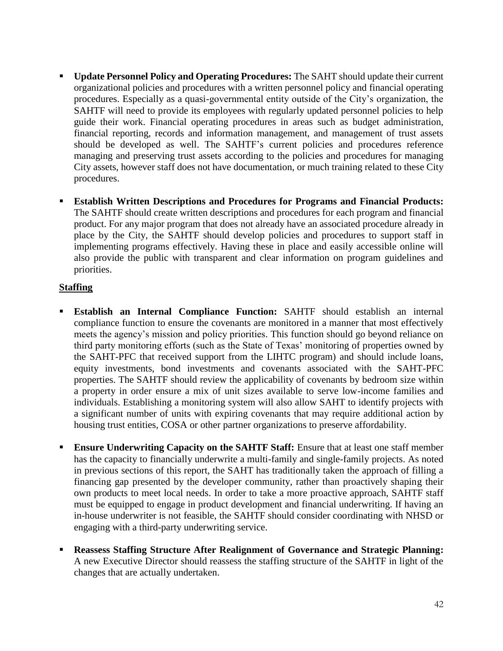- Update Personnel Policy and Operating Procedures: The SAHT should update their current organizational policies and procedures with a written personnel policy and financial operating procedures. Especially as a quasi-governmental entity outside of the City's organization, the SAHTF will need to provide its employees with regularly updated personnel policies to help guide their work. Financial operating procedures in areas such as budget administration, financial reporting, records and information management, and management of trust assets should be developed as well. The SAHTF's current policies and procedures reference managing and preserving trust assets according to the policies and procedures for managing City assets, however staff does not have documentation, or much training related to these City procedures.
- **Establish Written Descriptions and Procedures for Programs and Financial Products:** The SAHTF should create written descriptions and procedures for each program and financial product. For any major program that does not already have an associated procedure already in place by the City, the SAHTF should develop policies and procedures to support staff in implementing programs effectively. Having these in place and easily accessible online will also provide the public with transparent and clear information on program guidelines and priorities.

# **Staffing**

- **Establish an Internal Compliance Function:** SAHTF should establish an internal compliance function to ensure the covenants are monitored in a manner that most effectively meets the agency's mission and policy priorities. This function should go beyond reliance on third party monitoring efforts (such as the State of Texas' monitoring of properties owned by the SAHT-PFC that received support from the LIHTC program) and should include loans, equity investments, bond investments and covenants associated with the SAHT-PFC properties. The SAHTF should review the applicability of covenants by bedroom size within a property in order ensure a mix of unit sizes available to serve low-income families and individuals. Establishing a monitoring system will also allow SAHT to identify projects with a significant number of units with expiring covenants that may require additional action by housing trust entities, COSA or other partner organizations to preserve affordability.
- **Ensure Underwriting Capacity on the SAHTF Staff:** Ensure that at least one staff member has the capacity to financially underwrite a multi-family and single-family projects. As noted in previous sections of this report, the SAHT has traditionally taken the approach of filling a financing gap presented by the developer community, rather than proactively shaping their own products to meet local needs. In order to take a more proactive approach, SAHTF staff must be equipped to engage in product development and financial underwriting. If having an in-house underwriter is not feasible, the SAHTF should consider coordinating with NHSD or engaging with a third-party underwriting service.
- **Reassess Staffing Structure After Realignment of Governance and Strategic Planning:** A new Executive Director should reassess the staffing structure of the SAHTF in light of the changes that are actually undertaken.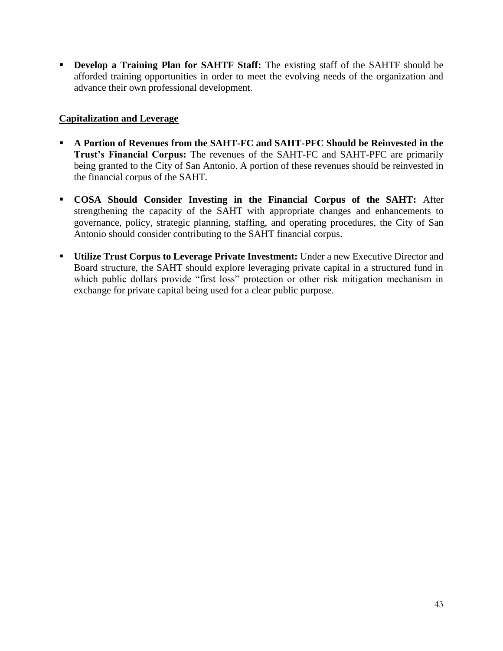▪ **Develop a Training Plan for SAHTF Staff:** The existing staff of the SAHTF should be afforded training opportunities in order to meet the evolving needs of the organization and advance their own professional development.

# **Capitalization and Leverage**

- **A Portion of Revenues from the SAHT-FC and SAHT-PFC Should be Reinvested in the Trust's Financial Corpus:** The revenues of the SAHT-FC and SAHT-PFC are primarily being granted to the City of San Antonio. A portion of these revenues should be reinvested in the financial corpus of the SAHT.
- **COSA Should Consider Investing in the Financial Corpus of the SAHT:** After strengthening the capacity of the SAHT with appropriate changes and enhancements to governance, policy, strategic planning, staffing, and operating procedures, the City of San Antonio should consider contributing to the SAHT financial corpus.
- **Utilize Trust Corpus to Leverage Private Investment:** Under a new Executive Director and Board structure, the SAHT should explore leveraging private capital in a structured fund in which public dollars provide "first loss" protection or other risk mitigation mechanism in exchange for private capital being used for a clear public purpose.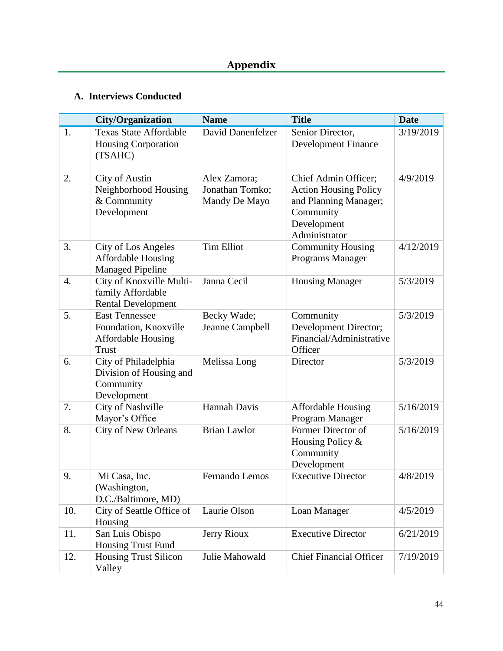# **A. Interviews Conducted**

|                  | <b>City/Organization</b>                                                                    | <b>Name</b>                                      | <b>Title</b>                                                                                                               | <b>Date</b> |
|------------------|---------------------------------------------------------------------------------------------|--------------------------------------------------|----------------------------------------------------------------------------------------------------------------------------|-------------|
| 1.               | <b>Texas State Affordable</b><br><b>Housing Corporation</b><br>(TSAHC)                      | David Danenfelzer                                | Senior Director,<br><b>Development Finance</b>                                                                             | 3/19/2019   |
| 2.               | <b>City of Austin</b><br>Neighborhood Housing<br>& Community<br>Development                 | Alex Zamora;<br>Jonathan Tomko;<br>Mandy De Mayo | Chief Admin Officer;<br><b>Action Housing Policy</b><br>and Planning Manager;<br>Community<br>Development<br>Administrator | 4/9/2019    |
| 3.               | City of Los Angeles<br><b>Affordable Housing</b><br><b>Managed Pipeline</b>                 | <b>Tim Elliot</b>                                | <b>Community Housing</b><br>Programs Manager                                                                               | 4/12/2019   |
| $\overline{4}$ . | City of Knoxville Multi-<br>family Affordable<br><b>Rental Development</b>                  | Janna Cecil                                      | <b>Housing Manager</b>                                                                                                     | 5/3/2019    |
| 5.               | <b>East Tennessee</b><br>Foundation, Knoxville<br><b>Affordable Housing</b><br><b>Trust</b> | Becky Wade;<br>Jeanne Campbell                   | Community<br>Development Director;<br>Financial/Administrative<br>Officer                                                  | 5/3/2019    |
| 6.               | City of Philadelphia<br>Division of Housing and<br>Community<br>Development                 | Melissa Long                                     | Director                                                                                                                   | 5/3/2019    |
| 7.               | <b>City of Nashville</b><br>Mayor's Office                                                  | Hannah Davis                                     | <b>Affordable Housing</b><br>Program Manager                                                                               | 5/16/2019   |
| 8.               | City of New Orleans                                                                         | <b>Brian Lawlor</b>                              | Former Director of<br>Housing Policy &<br>Community<br>Development                                                         | 5/16/2019   |
| 9.               | Mi Casa, Inc.<br>(Washington,<br>D.C./Baltimore, MD)                                        | Fernando Lemos                                   | <b>Executive Director</b>                                                                                                  | 4/8/2019    |
| 10.              | City of Seattle Office of<br>Housing                                                        | Laurie Olson                                     | Loan Manager                                                                                                               | 4/5/2019    |
| 11.              | San Luis Obispo<br>Housing Trust Fund                                                       | <b>Jerry Rioux</b>                               | <b>Executive Director</b>                                                                                                  | 6/21/2019   |
| 12.              | <b>Housing Trust Silicon</b><br>Valley                                                      | Julie Mahowald                                   | <b>Chief Financial Officer</b>                                                                                             | 7/19/2019   |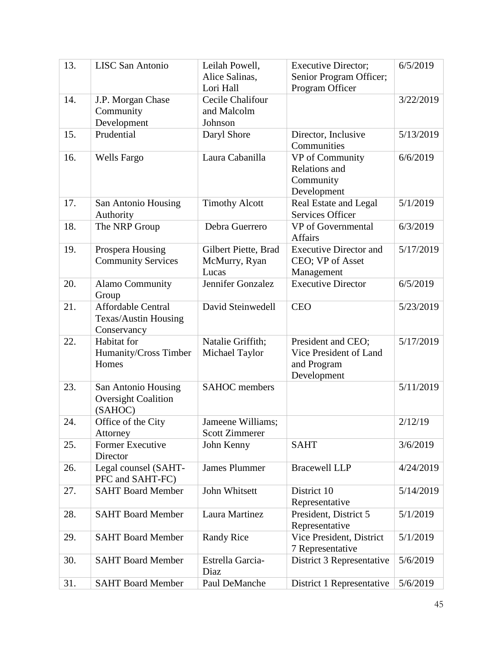| 13. | <b>LISC San Antonio</b>                       | Leilah Powell,                        | <b>Executive Director;</b>    | 6/5/2019  |
|-----|-----------------------------------------------|---------------------------------------|-------------------------------|-----------|
|     |                                               | Alice Salinas,                        | Senior Program Officer;       |           |
|     |                                               | Lori Hall                             | Program Officer               |           |
| 14. | J.P. Morgan Chase                             | Cecile Chalifour                      |                               | 3/22/2019 |
|     | Community                                     | and Malcolm                           |                               |           |
|     | Development                                   | Johnson                               |                               |           |
| 15. | Prudential                                    | Daryl Shore                           | Director, Inclusive           | 5/13/2019 |
|     |                                               |                                       | Communities                   |           |
| 16. | <b>Wells Fargo</b>                            | Laura Cabanilla                       | VP of Community               | 6/6/2019  |
|     |                                               |                                       | Relations and                 |           |
|     |                                               |                                       | Community                     |           |
|     |                                               |                                       | Development                   |           |
| 17. | San Antonio Housing                           | <b>Timothy Alcott</b>                 | Real Estate and Legal         | 5/1/2019  |
|     | Authority                                     |                                       | Services Officer              |           |
| 18. | The NRP Group                                 | Debra Guerrero                        | VP of Governmental<br>Affairs | 6/3/2019  |
| 19. |                                               |                                       | <b>Executive Director and</b> | 5/17/2019 |
|     | Prospera Housing<br><b>Community Services</b> | Gilbert Piette, Brad<br>McMurry, Ryan | CEO; VP of Asset              |           |
|     |                                               | Lucas                                 | Management                    |           |
| 20. | <b>Alamo Community</b>                        | Jennifer Gonzalez                     | <b>Executive Director</b>     | 6/5/2019  |
|     | Group                                         |                                       |                               |           |
| 21. | Affordable Central                            | David Steinwedell                     | <b>CEO</b>                    | 5/23/2019 |
|     | <b>Texas/Austin Housing</b>                   |                                       |                               |           |
|     | Conservancy                                   |                                       |                               |           |
| 22. | Habitat for                                   | Natalie Griffith;                     | President and CEO;            | 5/17/2019 |
|     | Humanity/Cross Timber                         | Michael Taylor                        | Vice President of Land        |           |
|     | Homes                                         |                                       | and Program                   |           |
|     |                                               |                                       | Development                   |           |
| 23. | San Antonio Housing                           | <b>SAHOC</b> members                  |                               | 5/11/2019 |
|     | <b>Oversight Coalition</b>                    |                                       |                               |           |
|     | (SAHOC)                                       |                                       |                               |           |
| 24. | Office of the City                            | Jameene Williams;                     |                               | 2/12/19   |
|     | Attorney                                      | <b>Scott Zimmerer</b>                 |                               |           |
| 25. | Former Executive                              | John Kenny                            | <b>SAHT</b>                   | 3/6/2019  |
|     | Director                                      |                                       |                               |           |
| 26. | Legal counsel (SAHT-                          | <b>James Plummer</b>                  | <b>Bracewell LLP</b>          | 4/24/2019 |
|     | PFC and SAHT-FC)                              |                                       |                               |           |
| 27. | <b>SAHT Board Member</b>                      | John Whitsett                         | District 10                   | 5/14/2019 |
|     |                                               |                                       | Representative                |           |
| 28. | <b>SAHT Board Member</b>                      | Laura Martinez                        | President, District 5         | 5/1/2019  |
|     |                                               |                                       | Representative                |           |
| 29. | <b>SAHT Board Member</b>                      | <b>Randy Rice</b>                     | Vice President, District      | 5/1/2019  |
|     |                                               |                                       | 7 Representative              |           |
| 30. | <b>SAHT Board Member</b>                      | Estrella Garcia-                      | District 3 Representative     | 5/6/2019  |
|     |                                               | Diaz                                  |                               |           |
| 31. | <b>SAHT Board Member</b>                      | Paul DeManche                         | District 1 Representative     | 5/6/2019  |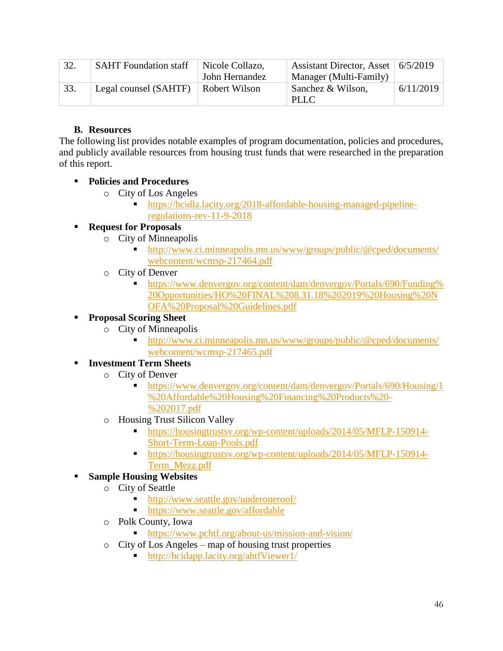| 32. | <b>SAHT</b> Foundation staff | Nicole Collazo, | Assistant Director, Asset   6/5/2019 |           |
|-----|------------------------------|-----------------|--------------------------------------|-----------|
|     |                              | John Hernandez  | Manager (Multi-Family)               |           |
| 33. | Legal counsel (SAHTF)        | Robert Wilson   | Sanchez & Wilson,                    | 6/11/2019 |
|     |                              |                 | <b>PLLC</b>                          |           |

# **B. Resources**

The following list provides notable examples of program documentation, policies and procedures, and publicly available resources from housing trust funds that were researched in the preparation of this report.

# ▪ **Policies and Procedures**

- o City of Los Angeles
	- https://hcidla.lacity.org/2018-affordable-housing-managed-pipelineregulations-rev-11-9-2018

# **Request for Proposals**

- o City of Minneapolis
	- http://www.ci.minneapolis.mn.us/www/groups/public/@cped/documents/ webcontent/wcmsp-217464.pdf
- o City of Denver
	- https://www.denvergov.org/content/dam/denvergov/Portals/690/Funding% 20Opportunities/HO%20FINAL%208.31.18%202019%20Housing%20N OFA%20Proposal%20Guidelines.pdf

# ▪ **Proposal Scoring Sheet**

- o City of Minneapolis
	- http://www.ci.minneapolis.mn.us/www/groups/public/@cped/documents/ webcontent/wcmsp-217465.pdf

# ▪ **Investment Term Sheets**

- o City of Denver
	- https://www.denvergov.org/content/dam/denvergov/Portals/690/Housing/1 %20Affordable%20Housing%20Financing%20Products%20- %202017.pdf
- o Housing Trust Silicon Valley
	- https://housingtrustsv.org/wp-content/uploads/2014/05/MFLP-150914- Short-Term-Loan-Pools.pdf
	- **Internal internal https://housingtrustsv.org/wp-content/uploads/2014/05/MFLP-150914-**Term\_Mezz.pdf

# ▪ **Sample Housing Websites**

- o City of Seattle
	- http://www.seattle.gov/underoneroof/
	- https://www.seattle.gov/affordable
- o Polk County, Iowa
	- https://www.pchtf.org/about-us/mission-and-vision/
- o City of Los Angeles map of housing trust properties
	- http://hcidapp.lacity.org/ahtfViewer1/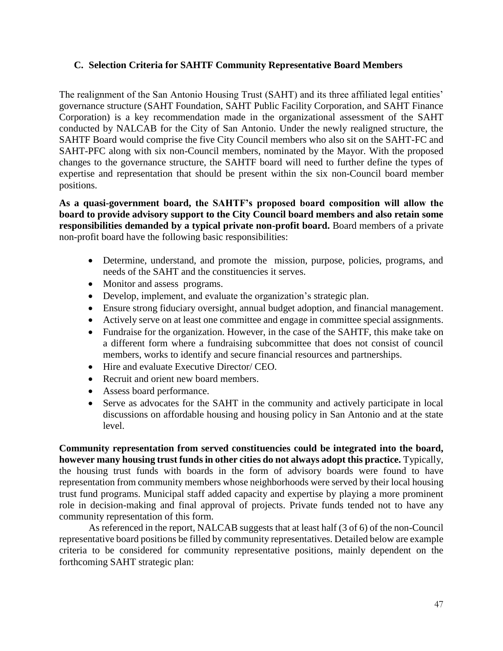### **C. Selection Criteria for SAHTF Community Representative Board Members**

The realignment of the San Antonio Housing Trust (SAHT) and its three affiliated legal entities' governance structure (SAHT Foundation, SAHT Public Facility Corporation, and SAHT Finance Corporation) is a key recommendation made in the organizational assessment of the SAHT conducted by NALCAB for the City of San Antonio. Under the newly realigned structure, the SAHTF Board would comprise the five City Council members who also sit on the SAHT-FC and SAHT-PFC along with six non-Council members, nominated by the Mayor. With the proposed changes to the governance structure, the SAHTF board will need to further define the types of expertise and representation that should be present within the six non-Council board member positions.

**As a quasi-government board, the SAHTF's proposed board composition will allow the board to provide advisory support to the City Council board members and also retain some responsibilities demanded by a typical private non-profit board.** Board members of a private non-profit board have the following basic responsibilities:

- Determine, understand, and promote the mission, purpose, policies, programs, and needs of the SAHT and the constituencies it serves.
- Monitor and assess programs.
- Develop, implement, and evaluate the organization's strategic plan.
- Ensure strong fiduciary oversight, annual budget adoption, and financial management.
- Actively serve on at least one committee and engage in committee special assignments.
- Fundraise for the organization. However, in the case of the SAHTF, this make take on a different form where a fundraising subcommittee that does not consist of council members, works to identify and secure financial resources and partnerships.
- Hire and evaluate Executive Director/ CEO.
- Recruit and orient new board members.
- Assess board performance.
- Serve as advocates for the SAHT in the community and actively participate in local discussions on affordable housing and housing policy in San Antonio and at the state level.

**Community representation from served constituencies could be integrated into the board, however many housing trust funds in other cities do not always adopt this practice.** Typically, the housing trust funds with boards in the form of advisory boards were found to have representation from community members whose neighborhoods were served by their local housing trust fund programs. Municipal staff added capacity and expertise by playing a more prominent role in decision-making and final approval of projects. Private funds tended not to have any community representation of this form.

As referenced in the report, NALCAB suggests that at least half (3 of 6) of the non-Council representative board positions be filled by community representatives. Detailed below are example criteria to be considered for community representative positions, mainly dependent on the forthcoming SAHT strategic plan: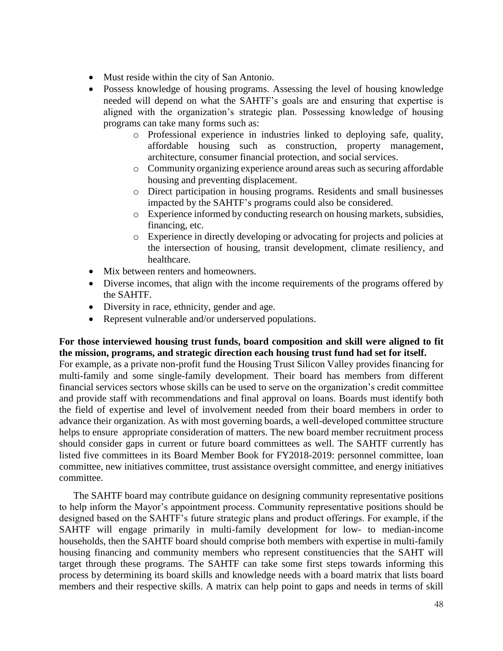- Must reside within the city of San Antonio.
- Possess knowledge of housing programs. Assessing the level of housing knowledge needed will depend on what the SAHTF's goals are and ensuring that expertise is aligned with the organization's strategic plan. Possessing knowledge of housing programs can take many forms such as:
	- o Professional experience in industries linked to deploying safe, quality, affordable housing such as construction, property management, architecture, consumer financial protection, and social services.
	- o Community organizing experience around areas such as securing affordable housing and preventing displacement.
	- o Direct participation in housing programs. Residents and small businesses impacted by the SAHTF's programs could also be considered.
	- o Experience informed by conducting research on housing markets, subsidies, financing, etc.
	- o Experience in directly developing or advocating for projects and policies at the intersection of housing, transit development, climate resiliency, and healthcare.
- Mix between renters and homeowners.
- Diverse incomes, that align with the income requirements of the programs offered by the SAHTF.
- Diversity in race, ethnicity, gender and age.
- Represent vulnerable and/or underserved populations.

### **For those interviewed housing trust funds, board composition and skill were aligned to fit the mission, programs, and strategic direction each housing trust fund had set for itself.**

For example, as a private non-profit fund the Housing Trust Silicon Valley provides financing for multi-family and some single-family development. Their board has members from different financial services sectors whose skills can be used to serve on the organization's credit committee and provide staff with recommendations and final approval on loans. Boards must identify both the field of expertise and level of involvement needed from their board members in order to advance their organization. As with most governing boards, a well-developed committee structure helps to ensure appropriate consideration of matters. The new board member recruitment process should consider gaps in current or future board committees as well. The SAHTF currently has listed five committees in its Board Member Book for FY2018-2019: personnel committee, loan committee, new initiatives committee, trust assistance oversight committee, and energy initiatives committee.

The SAHTF board may contribute guidance on designing community representative positions to help inform the Mayor's appointment process. Community representative positions should be designed based on the SAHTF's future strategic plans and product offerings. For example, if the SAHTF will engage primarily in multi-family development for low- to median-income households, then the SAHTF board should comprise both members with expertise in multi-family housing financing and community members who represent constituencies that the SAHT will target through these programs. The SAHTF can take some first steps towards informing this process by determining its board skills and knowledge needs with a board matrix that lists board members and their respective skills. A matrix can help point to gaps and needs in terms of skill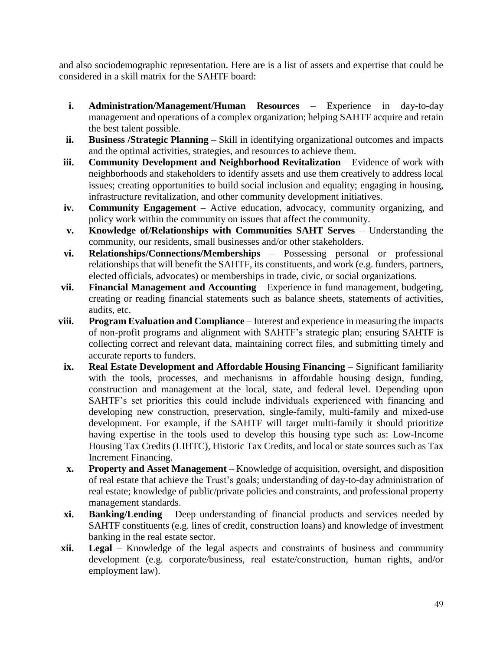and also sociodemographic representation. Here are is a list of assets and expertise that could be considered in a skill matrix for the SAHTF board:

- **i. Administration/Management/Human Resources** Experience in day-to-day management and operations of a complex organization; helping SAHTF acquire and retain the best talent possible.
- **ii. Business /Strategic Planning** Skill in identifying organizational outcomes and impacts and the optimal activities, strategies, and resources to achieve them.
- **iii. Community Development and Neighborhood Revitalization** Evidence of work with neighborhoods and stakeholders to identify assets and use them creatively to address local issues; creating opportunities to build social inclusion and equality; engaging in housing, infrastructure revitalization, and other community development initiatives.
- **iv. Community Engagement** Active education, advocacy, community organizing, and policy work within the community on issues that affect the community.
- **v. Knowledge of/Relationships with Communities SAHT Serves** Understanding the community, our residents, small businesses and/or other stakeholders.
- **vi. Relationships/Connections/Memberships** Possessing personal or professional relationships that will benefit the SAHTF, its constituents, and work (e.g. funders, partners, elected officials, advocates) or memberships in trade, civic, or social organizations.
- **vii. Financial Management and Accounting** Experience in fund management, budgeting, creating or reading financial statements such as balance sheets, statements of activities, audits, etc.
- **viii. Program Evaluation and Compliance** Interest and experience in measuring the impacts of non-profit programs and alignment with SAHTF's strategic plan; ensuring SAHTF is collecting correct and relevant data, maintaining correct files, and submitting timely and accurate reports to funders.
- **ix. Real Estate Development and Affordable Housing Financing**  Significant familiarity with the tools, processes, and mechanisms in affordable housing design, funding, construction and management at the local, state, and federal level. Depending upon SAHTF's set priorities this could include individuals experienced with financing and developing new construction, preservation, single-family, multi-family and mixed-use development. For example, if the SAHTF will target multi-family it should prioritize having expertise in the tools used to develop this housing type such as: Low-Income Housing Tax Credits (LIHTC), Historic Tax Credits, and local or state sources such as Tax Increment Financing.
- **x. Property and Asset Management** Knowledge of acquisition, oversight, and disposition of real estate that achieve the Trust's goals; understanding of day-to-day administration of real estate; knowledge of public/private policies and constraints, and professional property management standards.
- **xi. Banking/Lending** Deep understanding of financial products and services needed by SAHTF constituents (e.g. lines of credit, construction loans) and knowledge of investment banking in the real estate sector.
- **xii. Legal** Knowledge of the legal aspects and constraints of business and community development (e.g. corporate/business, real estate/construction, human rights, and/or employment law).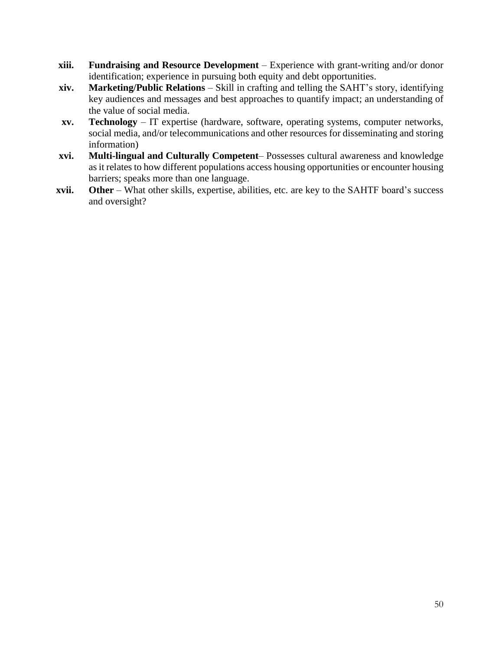- **xiii. Fundraising and Resource Development**  Experience with grant-writing and/or donor identification; experience in pursuing both equity and debt opportunities.
- **xiv. Marketing/Public Relations** Skill in crafting and telling the SAHT's story, identifying key audiences and messages and best approaches to quantify impact; an understanding of the value of social media.
- **xv. Technology** IT expertise (hardware, software, operating systems, computer networks, social media, and/or telecommunications and other resources for disseminating and storing information)
- **xvi. Multi-lingual and Culturally Competent** Possesses cultural awareness and knowledge as it relates to how different populations access housing opportunities or encounter housing barriers; speaks more than one language.
- **xvii. Other** What other skills, expertise, abilities, etc. are key to the SAHTF board's success and oversight?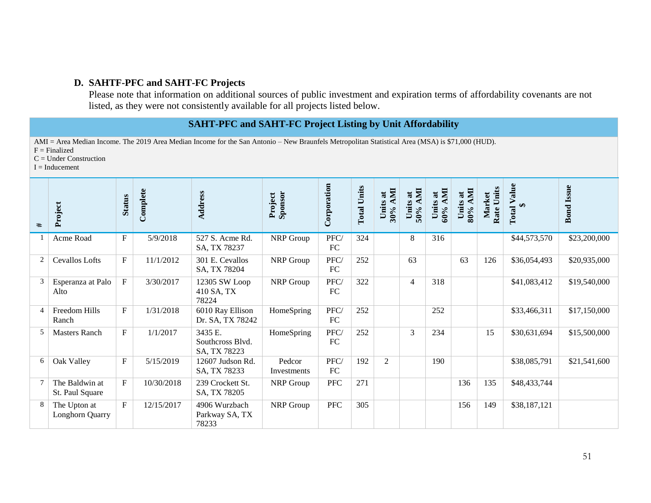### **D. SAHTF-PFC and SAHT-FC Projects**

Please note that information on additional sources of public investment and expiration terms of affordability covenants are not listed, as they were not consistently available for all projects listed below.

# **SAHT-PFC and SAHT-FC Project Listing by Unit Affordability**

AMI = Area Median Income. The 2019 Area Median Income for the San Antonio – New Braunfels Metropolitan Statistical Area (MSA) is \$71,000 (HUD).  $F =$ Finalized

C = Under Construction

 $I = Inducement$ 

| #              | Project                           | <b>Status</b>             | Complete   | Address                                     | Sponsor<br>Project    | Corporation | <b>Total Units</b> | 30% АМІ<br>Units at | Units at<br>50% AMI | Units at<br>60% AMI | <b>NMI</b><br>đ<br>Units<br>80% | Rate Units<br>Market | Value<br>$\bigoplus$<br>Total | <b>Bond</b> Issue |
|----------------|-----------------------------------|---------------------------|------------|---------------------------------------------|-----------------------|-------------|--------------------|---------------------|---------------------|---------------------|---------------------------------|----------------------|-------------------------------|-------------------|
|                | Acme Road                         | $\boldsymbol{\mathrm{F}}$ | 5/9/2018   | 527 S. Acme Rd.<br>SA, TX 78237             | NRP Group             | PFC/<br>FC  | 324                |                     | 8                   | 316                 |                                 |                      | \$44,573,570                  | \$23,200,000      |
| $\overline{2}$ | Cevallos Lofts                    | $\boldsymbol{\mathrm{F}}$ | 11/1/2012  | 301 E. Cevallos<br>SA, TX 78204             | NRP Group             | PFC/<br>FC  | 252                |                     | 63                  |                     | 63                              | 126                  | \$36,054,493                  | \$20,935,000      |
| 3              | Esperanza at Palo<br>Alto         | $\boldsymbol{\mathrm{F}}$ | 3/30/2017  | 12305 SW Loop<br>410 SA, TX<br>78224        | NRP Group             | PFC/<br>FC  | 322                |                     | 4                   | 318                 |                                 |                      | \$41,083,412                  | \$19,540,000      |
| $\overline{4}$ | Freedom Hills<br>Ranch            | $\mathbf{F}$              | 1/31/2018  | 6010 Ray Ellison<br>Dr. SA, TX 78242        | HomeSpring            | PFC/<br>FC  | 252                |                     |                     | 252                 |                                 |                      | \$33,466,311                  | \$17,150,000      |
| 5              | <b>Masters Ranch</b>              | $\mathbf{F}$              | 1/1/2017   | 3435 E.<br>Southcross Blvd.<br>SA, TX 78223 | HomeSpring            | PFC/<br>FC  | 252                |                     | 3                   | 234                 |                                 | 15                   | \$30,631,694                  | \$15,500,000      |
| 6              | Oak Valley                        | $\boldsymbol{\mathrm{F}}$ | 5/15/2019  | 12607 Judson Rd.<br>SA, TX 78233            | Pedcor<br>Investments | PFC/<br>FC  | 192                | $\overline{2}$      |                     | 190                 |                                 |                      | \$38,085,791                  | \$21,541,600      |
| $\tau$         | The Baldwin at<br>St. Paul Square | $\mathbf{F}$              | 10/30/2018 | 239 Crockett St.<br>SA, TX 78205            | NRP Group             | <b>PFC</b>  | 271                |                     |                     |                     | 136                             | 135                  | \$48,433,744                  |                   |
| 8              | The Upton at<br>Longhorn Quarry   | $\mathbf{F}$              | 12/15/2017 | 4906 Wurzbach<br>Parkway SA, TX<br>78233    | NRP Group             | <b>PFC</b>  | 305                |                     |                     |                     | 156                             | 149                  | \$38,187,121                  |                   |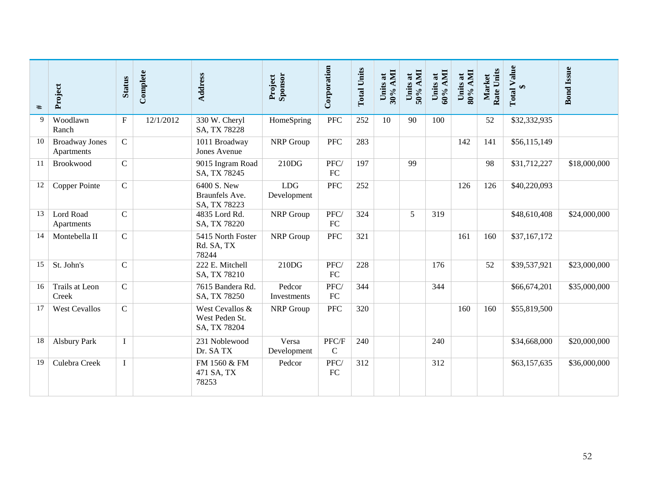| #  | Project                             | <b>Status</b> | Complete  | Address                                           | Sponsor<br>Project        | Corporation            | <b>Total Units</b> | 30% AMI<br>$\overline{\mathbf{a}}$<br><b>Units</b> | Units at<br>50% AMI | $60\%$ AMI<br>Units at | 80% AMI<br>Units at | Rate Units<br>Market | <b>Total Value</b><br>$\bullet$ | <b>Bond</b> Issue |
|----|-------------------------------------|---------------|-----------|---------------------------------------------------|---------------------------|------------------------|--------------------|----------------------------------------------------|---------------------|------------------------|---------------------|----------------------|---------------------------------|-------------------|
| 9  | Woodlawn<br>Ranch                   | $\mathbf{F}$  | 12/1/2012 | 330 W. Cheryl<br>SA, TX 78228                     | HomeSpring                | PFC                    | 252                | 10                                                 | 90                  | 100                    |                     | 52                   | \$32,332,935                    |                   |
| 10 | <b>Broadway Jones</b><br>Apartments | $\mathsf{C}$  |           | 1011 Broadway<br>Jones Avenue                     | NRP Group                 | <b>PFC</b>             | 283                |                                                    |                     |                        | 142                 | 141                  | \$56,115,149                    |                   |
| 11 | Brookwood                           | $\mathbf C$   |           | 9015 Ingram Road<br>SA, TX 78245                  | 210DG                     | PFC/<br>FC             | 197                |                                                    | 99                  |                        |                     | 98                   | \$31,712,227                    | \$18,000,000      |
| 12 | Copper Pointe                       | $\mathbf C$   |           | 6400 S. New<br>Braunfels Ave.<br>SA, TX 78223     | <b>LDG</b><br>Development | <b>PFC</b>             | 252                |                                                    |                     |                        | 126                 | 126                  | \$40,220,093                    |                   |
| 13 | Lord Road<br>Apartments             | $\mathbf C$   |           | 4835 Lord Rd.<br>SA, TX 78220                     | NRP Group                 | PFC/<br>FC             | 324                |                                                    | 5                   | 319                    |                     |                      | \$48,610,408                    | \$24,000,000      |
| 14 | Montebella II                       | $\mathbf C$   |           | 5415 North Foster<br>Rd. SA, TX<br>78244          | NRP Group                 | <b>PFC</b>             | 321                |                                                    |                     |                        | 161                 | 160                  | \$37,167,172                    |                   |
| 15 | St. John's                          | $\mathbf C$   |           | 222 E. Mitchell<br>SA, TX 78210                   | 210DG                     | PFC/<br>FC             | 228                |                                                    |                     | 176                    |                     | 52                   | \$39,537,921                    | \$23,000,000      |
| 16 | Trails at Leon<br>Creek             | $\mathbf C$   |           | 7615 Bandera Rd.<br>SA, TX 78250                  | Pedcor<br>Investments     | PFC/<br>${\rm FC}$     | 344                |                                                    |                     | 344                    |                     |                      | \$66,674,201                    | \$35,000,000      |
| 17 | <b>West Cevallos</b>                | $\mathbf C$   |           | West Cevallos &<br>West Peden St.<br>SA, TX 78204 | NRP Group                 | <b>PFC</b>             | 320                |                                                    |                     |                        | 160                 | 160                  | \$55,819,500                    |                   |
| 18 | <b>Alsbury Park</b>                 | $\bf{I}$      |           | 231 Noblewood<br>Dr. SA TX                        | Versa<br>Development      | PFC/F<br>$\mathcal{C}$ | 240                |                                                    |                     | 240                    |                     |                      | \$34,668,000                    | \$20,000,000      |
| 19 | Culebra Creek                       | $\bf{I}$      |           | FM 1560 & FM<br>471 SA, TX<br>78253               | Pedcor                    | PFC/<br>FC             | 312                |                                                    |                     | 312                    |                     |                      | \$63,157,635                    | \$36,000,000      |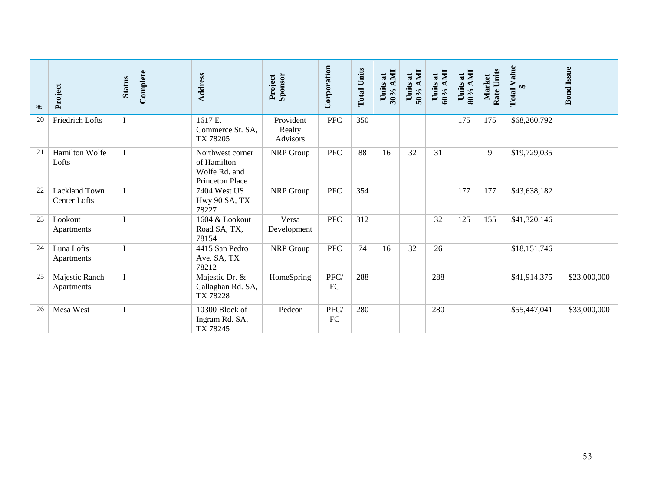| #  | Project                                     | <b>Status</b> | Complete | Address                                                             | Sponsor<br>Project                     | Corporation | <b>Total Units</b> | 30% AMI<br>Units at | Units at<br>50% AMI | Units at<br>60% AMI | 80% AMI<br>$\overline{\mathbf{a}}$<br><b>Units</b> | Rate Units<br>Market | <b>Total Value</b><br>$\bigoplus$ | <b>Bond</b> Issue |
|----|---------------------------------------------|---------------|----------|---------------------------------------------------------------------|----------------------------------------|-------------|--------------------|---------------------|---------------------|---------------------|----------------------------------------------------|----------------------|-----------------------------------|-------------------|
| 20 | Friedrich Lofts                             | $\bf{I}$      |          | 1617 E.<br>Commerce St. SA,<br>TX 78205                             | Provident<br>Realty<br><b>Advisors</b> | <b>PFC</b>  | 350                |                     |                     |                     | 175                                                | 175                  | \$68,260,792                      |                   |
| 21 | <b>Hamilton Wolfe</b><br>Lofts              | $\mathbf{I}$  |          | Northwest corner<br>of Hamilton<br>Wolfe Rd. and<br>Princeton Place | NRP Group                              | <b>PFC</b>  | 88                 | 16                  | 32                  | 31                  |                                                    | 9                    | \$19,729,035                      |                   |
| 22 | <b>Lackland Town</b><br><b>Center Lofts</b> | $\mathbf{I}$  |          | 7404 West US<br>Hwy 90 SA, TX<br>78227                              | NRP Group                              | <b>PFC</b>  | 354                |                     |                     |                     | 177                                                | 177                  | \$43,638,182                      |                   |
| 23 | Lookout<br>Apartments                       | $\mathbf{I}$  |          | 1604 & Lookout<br>Road SA, TX,<br>78154                             | Versa<br>Development                   | PFC         | 312                |                     |                     | 32                  | 125                                                | 155                  | \$41,320,146                      |                   |
| 24 | Luna Lofts<br>Apartments                    | $\mathbf{I}$  |          | 4415 San Pedro<br>Ave. SA, TX<br>78212                              | NRP Group                              | ${\rm PFC}$ | 74                 | 16                  | 32                  | 26                  |                                                    |                      | \$18,151,746                      |                   |
| 25 | Majestic Ranch<br>Apartments                | $\bf{I}$      |          | Majestic Dr. &<br>Callaghan Rd. SA,<br>TX 78228                     | HomeSpring                             | PFC/<br>FC  | 288                |                     |                     | 288                 |                                                    |                      | \$41,914,375                      | \$23,000,000      |
| 26 | Mesa West                                   | $\bf{I}$      |          | 10300 Block of<br>Ingram Rd. SA,<br>TX 78245                        | Pedcor                                 | PFC/<br>FC  | 280                |                     |                     | 280                 |                                                    |                      | \$55,447,041                      | \$33,000,000      |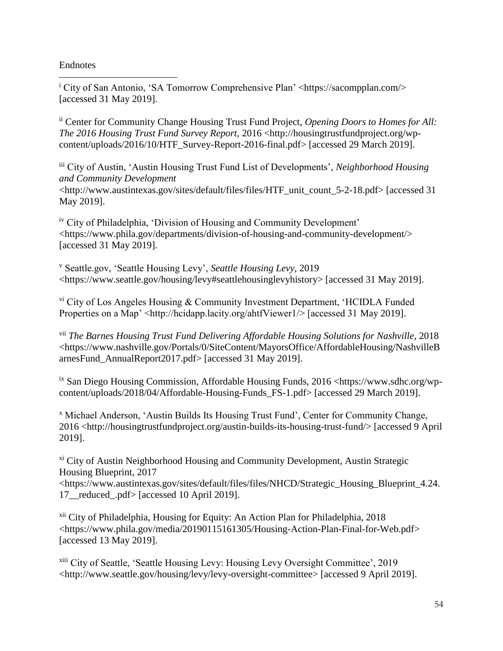Endnotes

 $\overline{a}$ 

<sup>i</sup> City of San Antonio, 'SA Tomorrow Comprehensive Plan' <https://sacompplan.com/> [accessed 31 May 2019].

ii Center for Community Change Housing Trust Fund Project, *Opening Doors to Homes for All: The 2016 Housing Trust Fund Survey Report*, 2016 <http://housingtrustfundproject.org/wpcontent/uploads/2016/10/HTF\_Survey-Report-2016-final.pdf> [accessed 29 March 2019].

iii City of Austin, 'Austin Housing Trust Fund List of Developments', *Neighborhood Housing and Community Development*  <http://www.austintexas.gov/sites/default/files/files/HTF\_unit\_count\_5-2-18.pdf> [accessed 31 May 2019].

iv City of Philadelphia, 'Division of Housing and Community Development' <https://www.phila.gov/departments/division-of-housing-and-community-development/> [accessed 31 May 2019].

<sup>v</sup> Seattle.gov, 'Seattle Housing Levy', *Seattle Housing Levy*, 2019 <https://www.seattle.gov/housing/levy#seattlehousinglevyhistory> [accessed 31 May 2019].

vi City of Los Angeles Housing & Community Investment Department, 'HCIDLA Funded Properties on a Map' <http://hcidapp.lacity.org/ahtfViewer1/> [accessed 31 May 2019].

vii *The Barnes Housing Trust Fund Delivering Affordable Housing Solutions for Nashville*, 2018 <https://www.nashville.gov/Portals/0/SiteContent/MayorsOffice/AffordableHousing/NashvilleB arnesFund\_AnnualReport2017.pdf> [accessed 31 May 2019].

 $\frac{dx}{dx}$  San Diego Housing Commission, Affordable Housing Funds, 2016 <https://www.sdhc.org/wpcontent/uploads/2018/04/Affordable-Housing-Funds\_FS-1.pdf> [accessed 29 March 2019].

<sup>x</sup> Michael Anderson, 'Austin Builds Its Housing Trust Fund', Center for Community Change,  $2016$  <http://housingtrustfundproject.org/austin-builds-its-housing-trust-fund/> [accessed 9 April] 2019].

<sup>xi</sup> City of Austin Neighborhood Housing and Community Development, Austin Strategic Housing Blueprint, 2017

<https://www.austintexas.gov/sites/default/files/files/NHCD/Strategic\_Housing\_Blueprint\_4.24. 17\_\_reduced\_.pdf> [accessed 10 April 2019].

xii City of Philadelphia, Housing for Equity: An Action Plan for Philadelphia, 2018 <https://www.phila.gov/media/20190115161305/Housing-Action-Plan-Final-for-Web.pdf> [accessed 13 May 2019].

xiii City of Seattle, 'Seattle Housing Levy: Housing Levy Oversight Committee', 2019 <http://www.seattle.gov/housing/levy/levy-oversight-committee> [accessed 9 April 2019].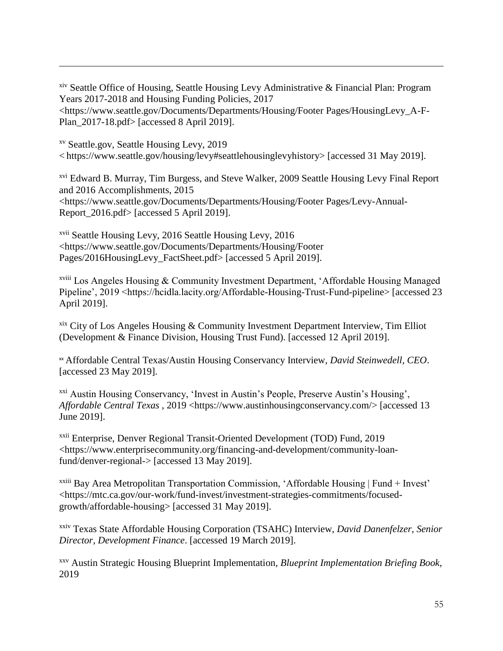xiv Seattle Office of Housing, Seattle Housing Levy Administrative & Financial Plan: Program Years 2017-2018 and Housing Funding Policies, 2017 <https://www.seattle.gov/Documents/Departments/Housing/Footer Pages/HousingLevy\_A-F-Plan\_2017-18.pdf> [accessed 8 April 2019].

xv Seattle.gov, Seattle Housing Levy, 2019 < https://www.seattle.gov/housing/levy#seattlehousinglevyhistory> [accessed 31 May 2019].

<sup>xvi</sup> Edward B. Murray, Tim Burgess, and Steve Walker, 2009 Seattle Housing Levy Final Report and 2016 Accomplishments, 2015 <https://www.seattle.gov/Documents/Departments/Housing/Footer Pages/Levy-Annual-Report\_2016.pdf> [accessed 5 April 2019].

xvii Seattle Housing Levy, 2016 Seattle Housing Levy, 2016 <https://www.seattle.gov/Documents/Departments/Housing/Footer Pages/2016HousingLevy\_FactSheet.pdf> [accessed 5 April 2019].

 $\overline{a}$ 

xviii Los Angeles Housing & Community Investment Department, 'Affordable Housing Managed Pipeline', 2019 <https://hcidla.lacity.org/Affordable-Housing-Trust-Fund-pipeline> [accessed 23 April 2019].

 $x$ <sup>xix</sup> City of Los Angeles Housing & Community Investment Department Interview, Tim Elliot (Development & Finance Division, Housing Trust Fund). [accessed 12 April 2019].

xx Affordable Central Texas/Austin Housing Conservancy Interview, *David Steinwedell, CEO*. [accessed 23 May 2019].

xxi Austin Housing Conservancy, 'Invest in Austin's People, Preserve Austin's Housing', *Affordable Central Texas* , 2019 <https://www.austinhousingconservancy.com/> [accessed 13 June 2019].

xxii Enterprise, Denver Regional Transit-Oriented Development (TOD) Fund, 2019 <https://www.enterprisecommunity.org/financing-and-development/community-loanfund/denver-regional-> [accessed 13 May 2019].

<sup>xxiii</sup> Bay Area Metropolitan Transportation Commission, 'Affordable Housing | Fund + Invest' <https://mtc.ca.gov/our-work/fund-invest/investment-strategies-commitments/focusedgrowth/affordable-housing> [accessed 31 May 2019].

xxiv Texas State Affordable Housing Corporation (TSAHC) Interview, *David Danenfelzer, Senior Director, Development Finance*. [accessed 19 March 2019].

xxv Austin Strategic Housing Blueprint Implementation, *Blueprint Implementation Briefing Book*, 2019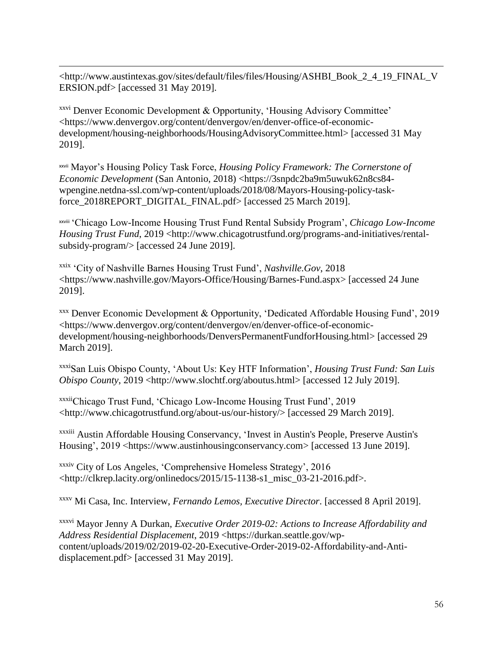$\overline{a}$ <http://www.austintexas.gov/sites/default/files/files/Housing/ASHBI\_Book\_2\_4\_19\_FINAL\_V ERSION.pdf> [accessed 31 May 2019].

xxvi Denver Economic Development & Opportunity, 'Housing Advisory Committee' <https://www.denvergov.org/content/denvergov/en/denver-office-of-economicdevelopment/housing-neighborhoods/HousingAdvisoryCommittee.html> [accessed 31 May 2019].

xxvii Mayor's Housing Policy Task Force, *Housing Policy Framework: The Cornerstone of Economic Development* (San Antonio, 2018) <https://3snpdc2ba9m5uwuk62n8cs84 wpengine.netdna-ssl.com/wp-content/uploads/2018/08/Mayors-Housing-policy-taskforce\_2018REPORT\_DIGITAL\_FINAL.pdf> [accessed 25 March 2019].

xxviii 'Chicago Low-Income Housing Trust Fund Rental Subsidy Program', *Chicago Low-Income Housing Trust Fund*, 2019 <http://www.chicagotrustfund.org/programs-and-initiatives/rentalsubsidy-program/> [accessed 24 June 2019].

xxix 'City of Nashville Barnes Housing Trust Fund', *Nashville.Gov*, 2018 <https://www.nashville.gov/Mayors-Office/Housing/Barnes-Fund.aspx> [accessed 24 June 2019].

xxx Denver Economic Development & Opportunity, 'Dedicated Affordable Housing Fund', 2019 <https://www.denvergov.org/content/denvergov/en/denver-office-of-economicdevelopment/housing-neighborhoods/DenversPermanentFundforHousing.html> [accessed 29 March 2019].

xxxiSan Luis Obispo County, 'About Us: Key HTF Information', *Housing Trust Fund: San Luis Obispo County*, 2019 <http://www.slochtf.org/aboutus.html> [accessed 12 July 2019].

xxxiiChicago Trust Fund, 'Chicago Low-Income Housing Trust Fund', 2019 <http://www.chicagotrustfund.org/about-us/our-history/> [accessed 29 March 2019].

xxxiii Austin Affordable Housing Conservancy, 'Invest in Austin's People, Preserve Austin's Housing', 2019 <https://www.austinhousingconservancy.com> [accessed 13 June 2019].

xxxiv City of Los Angeles, 'Comprehensive Homeless Strategy', 2016 <http://clkrep.lacity.org/onlinedocs/2015/15-1138-s1\_misc\_03-21-2016.pdf>.

xxxv Mi Casa, Inc. Interview, *Fernando Lemos, Executive Director*. [accessed 8 April 2019].

xxxvi Mayor Jenny A Durkan, *Executive Order 2019-02: Actions to Increase Affordability and Address Residential Displacement*, 2019 <https://durkan.seattle.gov/wpcontent/uploads/2019/02/2019-02-20-Executive-Order-2019-02-Affordability-and-Antidisplacement.pdf> [accessed 31 May 2019].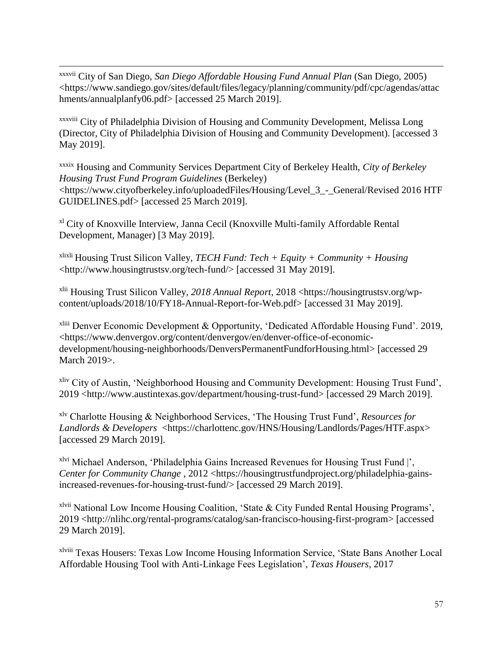xxxvii City of San Diego, *San Diego Affordable Housing Fund Annual Plan* (San Diego, 2005) <https://www.sandiego.gov/sites/default/files/legacy/planning/community/pdf/cpc/agendas/attac hments/annualplanfy06.pdf> [accessed 25 March 2019].

 $\overline{a}$ 

xxxviii City of Philadelphia Division of Housing and Community Development, Melissa Long (Director, City of Philadelphia Division of Housing and Community Development). [accessed 3 May 2019].

xxxix Housing and Community Services Department City of Berkeley Health, *City of Berkeley Housing Trust Fund Program Guidelines* (Berkeley) <https://www.cityofberkeley.info/uploadedFiles/Housing/Level\_3\_-\_General/Revised 2016 HTF GUIDELINES.pdf> [accessed 25 March 2019].

xl City of Knoxville Interview, Janna Cecil (Knoxville Multi-family Affordable Rental Development, Manager) [3 May 2019].

xlixli Housing Trust Silicon Valley, *TECH Fund: Tech + Equity + Community + Housing* <http://www.housingtrustsv.org/tech-fund/> [accessed 31 May 2019].

xlii Housing Trust Silicon Valley, *2018 Annual Report*, 2018 <https://housingtrustsv.org/wpcontent/uploads/2018/10/FY18-Annual-Report-for-Web.pdf> [accessed 31 May 2019].

xliii Denver Economic Development & Opportunity, 'Dedicated Affordable Housing Fund'. 2019, <https://www.denvergov.org/content/denvergov/en/denver-office-of-economicdevelopment/housing-neighborhoods/DenversPermanentFundforHousing.html> [accessed 29 March 2019>.

xliv City of Austin, 'Neighborhood Housing and Community Development: Housing Trust Fund', 2019 <http://www.austintexas.gov/department/housing-trust-fund> [accessed 29 March 2019].

xlv Charlotte Housing & Neighborhood Services, 'The Housing Trust Fund', *Resources for Landlords & Developers* <https://charlottenc.gov/HNS/Housing/Landlords/Pages/HTF.aspx> [accessed 29 March 2019].

xlvi Michael Anderson, 'Philadelphia Gains Increased Revenues for Housing Trust Fund |', *Center for Community Change*, 2012 <https://housingtrustfundproject.org/philadelphia-gainsincreased-revenues-for-housing-trust-fund/> [accessed 29 March 2019].

xlvii National Low Income Housing Coalition, 'State & City Funded Rental Housing Programs', 2019 <http://nlihc.org/rental-programs/catalog/san-francisco-housing-first-program> [accessed 29 March 2019].

xlviii Texas Housers: Texas Low Income Housing Information Service, 'State Bans Another Local Affordable Housing Tool with Anti-Linkage Fees Legislation', *Texas Housers*, 2017